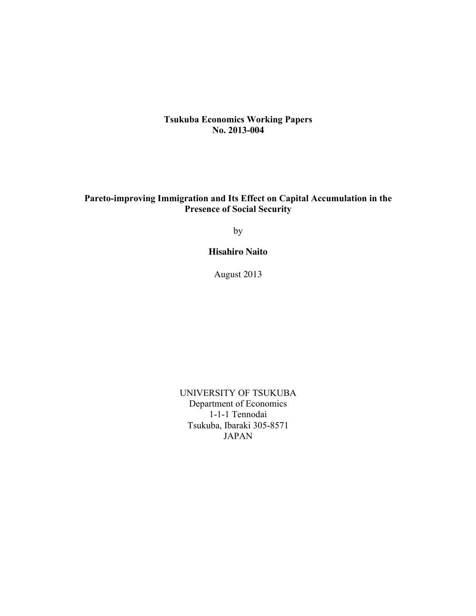**Tsukuba Economics Working Papers No. 2013-004**

## **Pareto-improving Immigration and Its Effect on Capital Accumulation in the Presence of Social Security**

by

#### **Hisahiro Naito**

August 2013

UNIVERSITY OF TSUKUBA Department of Economics 1-1-1 Tennodai Tsukuba, Ibaraki 305-8571 JAPAN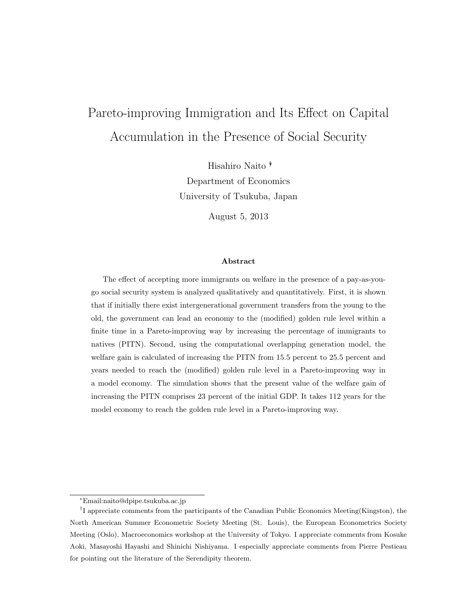# Pareto-improving Immigration and Its Effect on Capital Accumulation in the Presence of Social Security

Hisahiro Naito ∗† Department of Economics University of Tsukuba, Japan

August 5, 2013

#### Abstract

The effect of accepting more immigrants on welfare in the presence of a pay-as-yougo social security system is analyzed qualitatively and quantitatively. First, it is shown that if initially there exist intergenerational government transfers from the young to the old, the government can lead an economy to the (modified) golden rule level within a finite time in a Pareto-improving way by increasing the percentage of immigrants to natives (PITN). Second, using the computational overlapping generation model, the welfare gain is calculated of increasing the PITN from 15.5 percent to 25.5 percent and years needed to reach the (modified) golden rule level in a Pareto-improving way in a model economy. The simulation shows that the present value of the welfare gain of increasing the PITN comprises 23 percent of the initial GDP. It takes 112 years for the model economy to reach the golden rule level in a Pareto-improving way.

<sup>∗</sup>Email:naito@dpipe.tsukuba.ac.jp

<sup>&</sup>lt;sup>†</sup>I appreciate comments from the participants of the Canadian Public Economics Meeting(Kingston), the North American Summer Econometric Society Meeting (St. Louis), the European Econometrics Society Meeting (Oslo), Macroeconomics workshop at the University of Tokyo. I appreciate comments from Kosuke Aoki, Masayoshi Hayashi and Shinichi Nishiyama. I especially appreciate comments from Pierre Pestieau for pointing out the literature of the Serendipity theorem.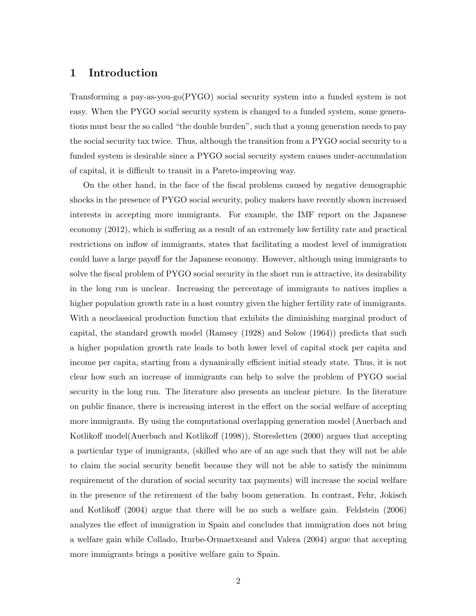## 1 Introduction

Transforming a pay-as-you-go(PYGO) social security system into a funded system is not easy. When the PYGO social security system is changed to a funded system, some generations must bear the so called "the double burden", such that a young generation needs to pay the social security tax twice. Thus, although the transition from a PYGO social security to a funded system is desirable since a PYGO social security system causes under-accumulation of capital, it is difficult to transit in a Pareto-improving way.

On the other hand, in the face of the fiscal problems caused by negative demographic shocks in the presence of PYGO social security, policy makers have recently shown increased interests in accepting more immigrants. For example, the IMF report on the Japanese economy (2012), which is suffering as a result of an extremely low fertility rate and practical restrictions on inflow of immigrants, states that facilitating a modest level of immigration could have a large payoff for the Japanese economy. However, although using immigrants to solve the fiscal problem of PYGO social security in the short run is attractive, its desirability in the long run is unclear. Increasing the percentage of immigrants to natives implies a higher population growth rate in a host country given the higher fertility rate of immigrants. With a neoclassical production function that exhibits the diminishing marginal product of capital, the standard growth model (Ramsey (1928) and Solow (1964)) predicts that such a higher population growth rate leads to both lower level of capital stock per capita and income per capita, starting from a dynamically efficient initial steady state. Thus, it is not clear how such an increase of immigrants can help to solve the problem of PYGO social security in the long run. The literature also presents an unclear picture. In the literature on public finance, there is increasing interest in the effect on the social welfare of accepting more immigrants. By using the computational overlapping generation model (Auerbach and Kotlikoff model(Auerbach and Kotlikoff (1998)), Storesletten (2000) argues that accepting a particular type of immigrants, (skilled who are of an age such that they will not be able to claim the social security benefit because they will not be able to satisfy the minimum requirement of the duration of social security tax payments) will increase the social welfare in the presence of the retirement of the baby boom generation. In contrast, Fehr, Jokisch and Kotlikoff (2004) argue that there will be no such a welfare gain. Feldstein (2006) analyzes the effect of immigration in Spain and concludes that immigration does not bring a welfare gain while Collado, Iturbe-Ormaetxeand and Valera (2004) argue that accepting more immigrants brings a positive welfare gain to Spain.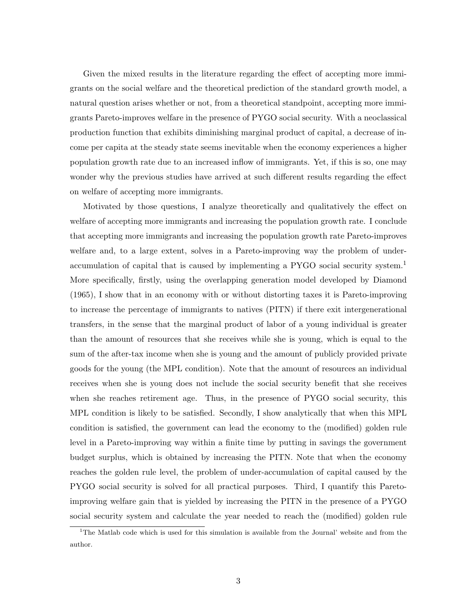Given the mixed results in the literature regarding the effect of accepting more immigrants on the social welfare and the theoretical prediction of the standard growth model, a natural question arises whether or not, from a theoretical standpoint, accepting more immigrants Pareto-improves welfare in the presence of PYGO social security. With a neoclassical production function that exhibits diminishing marginal product of capital, a decrease of income per capita at the steady state seems inevitable when the economy experiences a higher population growth rate due to an increased inflow of immigrants. Yet, if this is so, one may wonder why the previous studies have arrived at such different results regarding the effect on welfare of accepting more immigrants.

Motivated by those questions, I analyze theoretically and qualitatively the effect on welfare of accepting more immigrants and increasing the population growth rate. I conclude that accepting more immigrants and increasing the population growth rate Pareto-improves welfare and, to a large extent, solves in a Pareto-improving way the problem of underaccumulation of capital that is caused by implementing a PYGO social security system.<sup>1</sup> More specifically, firstly, using the overlapping generation model developed by Diamond (1965), I show that in an economy with or without distorting taxes it is Pareto-improving to increase the percentage of immigrants to natives (PITN) if there exit intergenerational transfers, in the sense that the marginal product of labor of a young individual is greater than the amount of resources that she receives while she is young, which is equal to the sum of the after-tax income when she is young and the amount of publicly provided private goods for the young (the MPL condition). Note that the amount of resources an individual receives when she is young does not include the social security benefit that she receives when she reaches retirement age. Thus, in the presence of PYGO social security, this MPL condition is likely to be satisfied. Secondly, I show analytically that when this MPL condition is satisfied, the government can lead the economy to the (modified) golden rule level in a Pareto-improving way within a finite time by putting in savings the government budget surplus, which is obtained by increasing the PITN. Note that when the economy reaches the golden rule level, the problem of under-accumulation of capital caused by the PYGO social security is solved for all practical purposes. Third, I quantify this Paretoimproving welfare gain that is yielded by increasing the PITN in the presence of a PYGO social security system and calculate the year needed to reach the (modified) golden rule

<sup>&</sup>lt;sup>1</sup>The Matlab code which is used for this simulation is available from the Journal' website and from the author.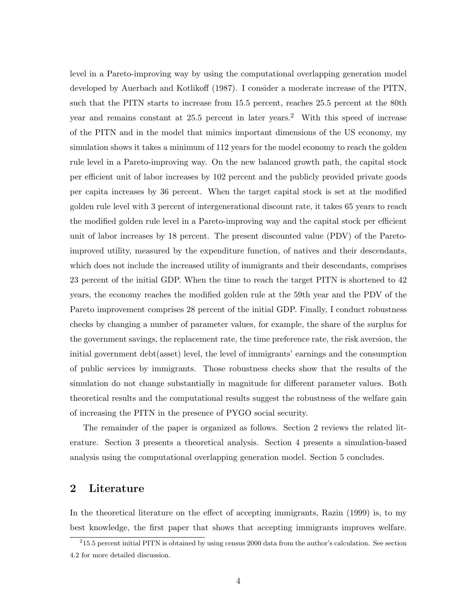level in a Pareto-improving way by using the computational overlapping generation model developed by Auerbach and Kotlikoff (1987). I consider a moderate increase of the PITN, such that the PITN starts to increase from 15.5 percent, reaches 25.5 percent at the 80th year and remains constant at  $25.5$  percent in later years.<sup>2</sup> With this speed of increase of the PITN and in the model that mimics important dimensions of the US economy, my simulation shows it takes a minimum of 112 years for the model economy to reach the golden rule level in a Pareto-improving way. On the new balanced growth path, the capital stock per efficient unit of labor increases by 102 percent and the publicly provided private goods per capita increases by 36 percent. When the target capital stock is set at the modified golden rule level with 3 percent of intergenerational discount rate, it takes 65 years to reach the modified golden rule level in a Pareto-improving way and the capital stock per efficient unit of labor increases by 18 percent. The present discounted value (PDV) of the Paretoimproved utility, measured by the expenditure function, of natives and their descendants, which does not include the increased utility of immigrants and their descendants, comprises 23 percent of the initial GDP. When the time to reach the target PITN is shortened to 42 years, the economy reaches the modified golden rule at the 59th year and the PDV of the Pareto improvement comprises 28 percent of the initial GDP. Finally, I conduct robustness checks by changing a number of parameter values, for example, the share of the surplus for the government savings, the replacement rate, the time preference rate, the risk aversion, the initial government debt(asset) level, the level of immigrants' earnings and the consumption of public services by immigrants. Those robustness checks show that the results of the simulation do not change substantially in magnitude for different parameter values. Both theoretical results and the computational results suggest the robustness of the welfare gain of increasing the PITN in the presence of PYGO social security.

The remainder of the paper is organized as follows. Section 2 reviews the related literature. Section 3 presents a theoretical analysis. Section 4 presents a simulation-based analysis using the computational overlapping generation model. Section 5 concludes.

## 2 Literature

In the theoretical literature on the effect of accepting immigrants, Razin (1999) is, to my best knowledge, the first paper that shows that accepting immigrants improves welfare.

 $^{2}15.5$  percent initial PITN is obtained by using census 2000 data from the author's calculation. See section 4.2 for more detailed discussion.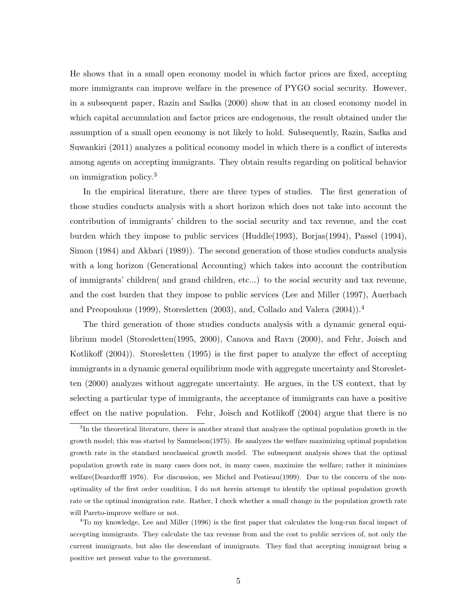He shows that in a small open economy model in which factor prices are fixed, accepting more immigrants can improve welfare in the presence of PYGO social security. However, in a subsequent paper, Razin and Sadka (2000) show that in an closed economy model in which capital accumulation and factor prices are endogenous, the result obtained under the assumption of a small open economy is not likely to hold. Subsequently, Razin, Sadka and Suwankiri (2011) analyzes a political economy model in which there is a conflict of interests among agents on accepting immigrants. They obtain results regarding on political behavior on immigration policy.<sup>3</sup>

In the empirical literature, there are three types of studies. The first generation of those studies conducts analysis with a short horizon which does not take into account the contribution of immigrants' children to the social security and tax revenue, and the cost burden which they impose to public services (Huddle(1993), Borjas(1994), Passel (1994), Simon (1984) and Akbari (1989)). The second generation of those studies conducts analysis with a long horizon (Generational Accounting) which takes into account the contribution of immigrants' children( and grand children, etc...) to the social security and tax revenue, and the cost burden that they impose to public services (Lee and Miller (1997), Auerbach and Preopoulous (1999), Storesletten (2003), and, Collado and Valera (2004)).<sup>4</sup>

The third generation of those studies conducts analysis with a dynamic general equilibrium model (Storesletten(1995, 2000), Canova and Ravn (2000), and Fehr, Joisch and Kotlikoff (2004)). Storesletten (1995) is the first paper to analyze the effect of accepting immigrants in a dynamic general equilibrium mode with aggregate uncertainty and Storesletten (2000) analyzes without aggregate uncertainty. He argues, in the US context, that by selecting a particular type of immigrants, the acceptance of immigrants can have a positive effect on the native population. Fehr, Joisch and Kotlikoff (2004) argue that there is no

<sup>&</sup>lt;sup>3</sup>In the theoretical literature, there is another strand that analyzes the optimal population growth in the growth model; this was started by Samuelson(1975). He analyzes the welfare maximizing optimal population growth rate in the standard neoclassical growth model. The subsequent analysis shows that the optimal population growth rate in many cases does not, in many cases, maximize the welfare; rather it minimizes welfare(Deardorfff 1976). For discussion, see Michel and Pestieau(1999). Due to the concern of the nonoptimality of the first order condition, I do not herein attempt to identify the optimal population growth rate or the optimal immigration rate. Rather, I check whether a small change in the population growth rate will Pareto-improve welfare or not.

<sup>4</sup>To my knowledge, Lee and Miller (1996) is the first paper that calculates the long-run fiscal impact of accepting immigrants. They calculate the tax revenue from and the cost to public services of, not only the current immigrants, but also the descendant of immigrants. They find that accepting immigrant bring a positive net present value to the government.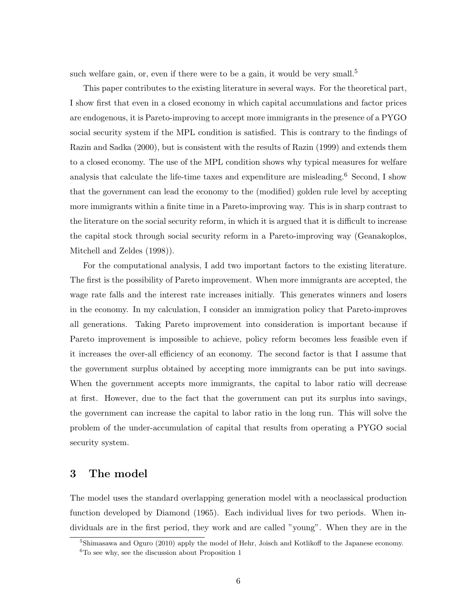such welfare gain, or, even if there were to be a gain, it would be very small.<sup>5</sup>

This paper contributes to the existing literature in several ways. For the theoretical part, I show first that even in a closed economy in which capital accumulations and factor prices are endogenous, it is Pareto-improving to accept more immigrants in the presence of a PYGO social security system if the MPL condition is satisfied. This is contrary to the findings of Razin and Sadka (2000), but is consistent with the results of Razin (1999) and extends them to a closed economy. The use of the MPL condition shows why typical measures for welfare analysis that calculate the life-time taxes and expenditure are misleading.<sup>6</sup> Second, I show that the government can lead the economy to the (modified) golden rule level by accepting more immigrants within a finite time in a Pareto-improving way. This is in sharp contrast to the literature on the social security reform, in which it is argued that it is difficult to increase the capital stock through social security reform in a Pareto-improving way (Geanakoplos, Mitchell and Zeldes (1998)).

For the computational analysis, I add two important factors to the existing literature. The first is the possibility of Pareto improvement. When more immigrants are accepted, the wage rate falls and the interest rate increases initially. This generates winners and losers in the economy. In my calculation, I consider an immigration policy that Pareto-improves all generations. Taking Pareto improvement into consideration is important because if Pareto improvement is impossible to achieve, policy reform becomes less feasible even if it increases the over-all efficiency of an economy. The second factor is that I assume that the government surplus obtained by accepting more immigrants can be put into savings. When the government accepts more immigrants, the capital to labor ratio will decrease at first. However, due to the fact that the government can put its surplus into savings, the government can increase the capital to labor ratio in the long run. This will solve the problem of the under-accumulation of capital that results from operating a PYGO social security system.

## 3 The model

The model uses the standard overlapping generation model with a neoclassical production function developed by Diamond (1965). Each individual lives for two periods. When individuals are in the first period, they work and are called "young". When they are in the

<sup>&</sup>lt;sup>5</sup>Shimasawa and Oguro (2010) apply the model of Hehr, Joisch and Kotlikoff to the Japanese economy.

 ${}^{6}$ To see why, see the discussion about Proposition 1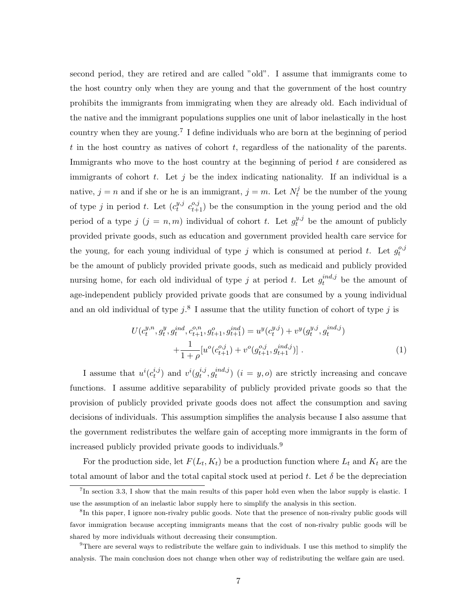second period, they are retired and are called "old". I assume that immigrants come to the host country only when they are young and that the government of the host country prohibits the immigrants from immigrating when they are already old. Each individual of the native and the immigrant populations supplies one unit of labor inelastically in the host country when they are young.<sup>7</sup> I define individuals who are born at the beginning of period t in the host country as natives of cohort  $t$ , regardless of the nationality of the parents. Immigrants who move to the host country at the beginning of period  $t$  are considered as immigrants of cohort t. Let j be the index indicating nationality. If an individual is a native,  $j = n$  and if she or he is an immigrant,  $j = m$ . Let  $N_t^j$  be the number of the young of type *j* in period *t*. Let  $(c_t^{y,j})$  $c_{t+1}^{y,j}$  c<sub>t+1</sub>) be the consumption in the young period and the old period of a type  $j$   $(j = n, m)$  individual of cohort t. Let  $g_t^{y,j}$  be the amount of publicly provided private goods, such as education and government provided health care service for the young, for each young individual of type j which is consumed at period t. Let  $g_t^{o,j}$ t be the amount of publicly provided private goods, such as medicaid and publicly provided nursing home, for each old individual of type j at period t. Let  $g_t^{ind,j}$  be the amount of age-independent publicly provided private goods that are consumed by a young individual and an old individual of type  $j^8$  I assume that the utility function of cohort of type j is

$$
U(c_t^{y,n}, g_t^y, g_t^{ind}, c_{t+1}^{o,n}, g_{t+1}^o, g_{t+1}^{ind}) = u^y(c_t^{y,j}) + v^y(g_t^{y,j}, g_t^{ind,j}) + \frac{1}{1+\rho} [u^o(c_{t+1}^{o,j}) + v^o(g_{t+1}^{o,j}, g_{t+1}^{ind,j})].
$$
\n
$$
(1)
$$

I assume that  $u^i(c_t^{i,j})$  $t^{i,j}$ ) and  $v^i(g_t^{i,j})$  $_{t}^{i,j},g_{t}^{ind,j}$  $\binom{m a, j}{t}$   $(i = y, o)$  are strictly increasing and concave functions. I assume additive separability of publicly provided private goods so that the provision of publicly provided private goods does not affect the consumption and saving decisions of individuals. This assumption simplifies the analysis because I also assume that the government redistributes the welfare gain of accepting more immigrants in the form of increased publicly provided private goods to individuals.<sup>9</sup>

For the production side, let  $F(L_t, K_t)$  be a production function where  $L_t$  and  $K_t$  are the total amount of labor and the total capital stock used at period t. Let  $\delta$  be the depreciation

<sup>&</sup>lt;sup>7</sup>In section 3.3, I show that the main results of this paper hold even when the labor supply is elastic. I use the assumption of an inelastic labor supply here to simplify the analysis in this section.

<sup>8</sup> In this paper, I ignore non-rivalry public goods. Note that the presence of non-rivalry public goods will favor immigration because accepting immigrants means that the cost of non-rivalry public goods will be shared by more individuals without decreasing their consumption.

 $9$ There are several ways to redistribute the welfare gain to individuals. I use this method to simplify the analysis. The main conclusion does not change when other way of redistributing the welfare gain are used.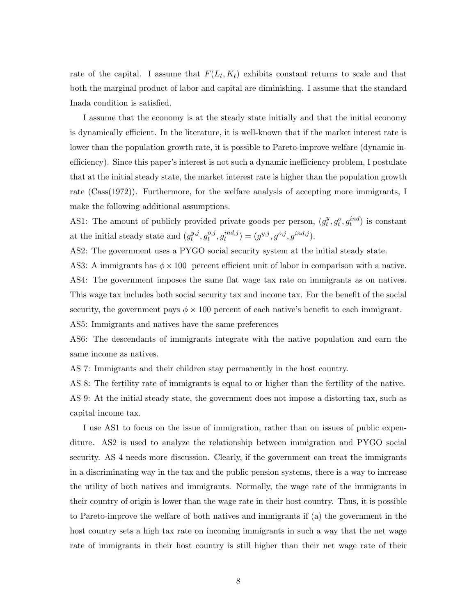rate of the capital. I assume that  $F(L_t, K_t)$  exhibits constant returns to scale and that both the marginal product of labor and capital are diminishing. I assume that the standard Inada condition is satisfied.

I assume that the economy is at the steady state initially and that the initial economy is dynamically efficient. In the literature, it is well-known that if the market interest rate is lower than the population growth rate, it is possible to Pareto-improve welfare (dynamic inefficiency). Since this paper's interest is not such a dynamic inefficiency problem, I postulate that at the initial steady state, the market interest rate is higher than the population growth rate (Cass(1972)). Furthermore, for the welfare analysis of accepting more immigrants, I make the following additional assumptions.

AS1: The amount of publicly provided private goods per person,  $(g_t^y)$  $_t^y, g_t^o, g_t^{ind}$  is constant at the initial steady state and  $(g_t^{y,j})$  $_{t}^{y,j},g_{t}^{o,j}$  $_{t}^{o,j},g_{t}^{ind,j}$  $(t^{ind,j}) = (g^{y,j}, g^{o,j}, g^{ind,j}).$ 

AS2: The government uses a PYGO social security system at the initial steady state.

AS3: A immigrants has  $\phi \times 100$  percent efficient unit of labor in comparison with a native. AS4: The government imposes the same flat wage tax rate on immigrants as on natives. This wage tax includes both social security tax and income tax. For the benefit of the social security, the government pays  $\phi \times 100$  percent of each native's benefit to each immigrant. AS5: Immigrants and natives have the same preferences

AS6: The descendants of immigrants integrate with the native population and earn the

same income as natives.

AS 7: Immigrants and their children stay permanently in the host country.

AS 8: The fertility rate of immigrants is equal to or higher than the fertility of the native. AS 9: At the initial steady state, the government does not impose a distorting tax, such as capital income tax.

I use AS1 to focus on the issue of immigration, rather than on issues of public expenditure. AS2 is used to analyze the relationship between immigration and PYGO social security. AS 4 needs more discussion. Clearly, if the government can treat the immigrants in a discriminating way in the tax and the public pension systems, there is a way to increase the utility of both natives and immigrants. Normally, the wage rate of the immigrants in their country of origin is lower than the wage rate in their host country. Thus, it is possible to Pareto-improve the welfare of both natives and immigrants if (a) the government in the host country sets a high tax rate on incoming immigrants in such a way that the net wage rate of immigrants in their host country is still higher than their net wage rate of their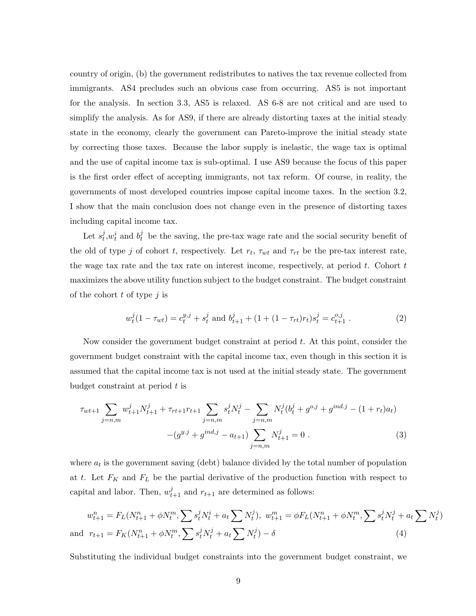country of origin, (b) the government redistributes to natives the tax revenue collected from immigrants. AS4 precludes such an obvious case from occurring. AS5 is not important for the analysis. In section 3.3, AS5 is relaxed. AS 6-8 are not critical and are used to simplify the analysis. As for AS9, if there are already distorting taxes at the initial steady state in the economy, clearly the government can Pareto-improve the initial steady state by correcting those taxes. Because the labor supply is inelastic, the wage tax is optimal and the use of capital income tax is sub-optimal. I use AS9 because the focus of this paper is the first order effect of accepting immigrants, not tax reform. Of course, in reality, the governments of most developed countries impose capital income taxes. In the section 3.2, I show that the main conclusion does not change even in the presence of distorting taxes including capital income tax.

Let  $s_t^j$  $t, w_t^j$  and  $b_t^j$  be the saving, the pre-tax wage rate and the social security benefit of the old of type j of cohort t, respectively. Let  $r_t$ ,  $\tau_{wt}$  and  $\tau_{rt}$  be the pre-tax interest rate, the wage tax rate and the tax rate on interest income, respectively, at period  $t$ . Cohort  $t$ maximizes the above utility function subject to the budget constraint. The budget constraint of the cohort  $t$  of type  $j$  is

$$
w_t^j(1 - \tau_{wt}) = c_t^{y,j} + s_t^j \text{ and } b_{t+1}^j + (1 + (1 - \tau_{rt})r_t)s_t^j = c_{t+1}^{0,j}.
$$
 (2)

Now consider the government budget constraint at period t. At this point, consider the government budget constraint with the capital income tax, even though in this section it is assumed that the capital income tax is not used at the initial steady state. The government budget constraint at period t is

$$
\tau_{wt+1} \sum_{j=n,m} w_{t+1}^j N_{t+1}^j + \tau_{rt+1} r_{t+1} \sum_{j=n,m} s_t^j N_t^j - \sum_{j=n,m} N_t^j (b_t^j + g^{o,j} + g^{ind,j} - (1+r_t)a_t)
$$

$$
-(g^{y,j} + g^{ind,j} - a_{t+1}) \sum_{j=n,m} N_{t+1}^j = 0.
$$
 (3)

where  $a_t$  is the government saving (debt) balance divided by the total number of population at t. Let  $F_K$  and  $F_L$  be the partial derivative of the production function with respect to capital and labor. Then,  $w_{t+1}^j$  and  $r_{t+1}$  are determined as follows:

$$
w_{t+1}^{n} = F_{L}(N_{t+1}^{n} + \phi N_{t}^{m}, \sum s_{t}^{j} N_{t}^{i} + a_{t} \sum N_{t}^{j}), \ w_{t+1}^{m} = \phi F_{L}(N_{t+1}^{n} + \phi N_{t}^{m}, \sum s_{t}^{j} N_{t}^{j} + a_{t} \sum N_{t}^{j})
$$
  
and  $r_{t+1} = F_{K}(N_{t+1}^{n} + \phi N_{t}^{m}, \sum s_{t}^{j} N_{t}^{j} + a_{t} \sum N_{t}^{j}) - \delta$  (4)

Substituting the individual budget constraints into the government budget constraint, we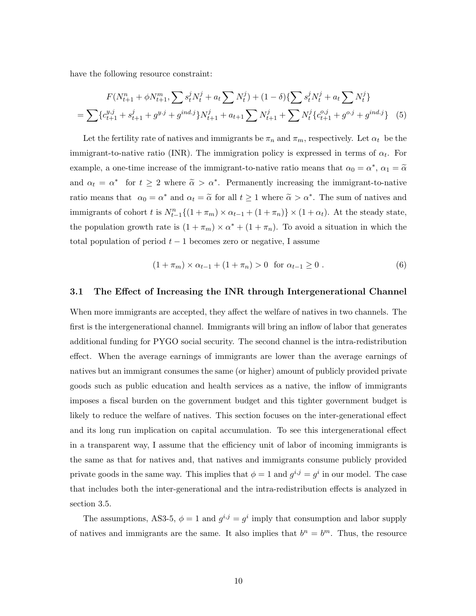have the following resource constraint:

$$
F(N_{t+1}^{n} + \phi N_{t+1}^{m}, \sum s_{t}^{j} N_{t}^{j} + a_{t} \sum N_{t}^{j}) + (1 - \delta) \{ \sum s_{t}^{j} N_{t}^{j} + a_{t} \sum N_{t}^{j} \}
$$
  
= 
$$
\sum \{ c_{t+1}^{y,j} + s_{t+1}^{j} + g^{y,j} + g^{ind,j} \} N_{t+1}^{j} + a_{t+1} \sum N_{t+1}^{j} + \sum N_{t}^{j} \{ c_{t+1}^{o,j} + g^{o,j} + g^{ind,j} \} (5)
$$

Let the fertility rate of natives and immigrants be  $\pi_n$  and  $\pi_m$ , respectively. Let  $\alpha_t$  be the immigrant-to-native ratio (INR). The immigration policy is expressed in terms of  $\alpha_t$ . For example, a one-time increase of the immigrant-to-native ratio means that  $\alpha_0 = \alpha^*$ ,  $\alpha_1 = \tilde{\alpha}$ and  $\alpha_t = \alpha^*$  for  $t \geq 2$  where  $\tilde{\alpha} > \alpha^*$ . Permanently increasing the immigrant-to-native ratio means that  $\alpha_0 = \alpha^*$  and  $\alpha_t = \tilde{\alpha}$  for all  $t \ge 1$  where  $\tilde{\alpha} > \alpha^*$ . The sum of natives and immigrants of cohort t is  $N_{t-1}^n \{(1 + \pi_m) \times \alpha_{t-1} + (1 + \pi_n)\} \times (1 + \alpha_t)$ . At the steady state, the population growth rate is  $(1 + \pi_m) \times \alpha^* + (1 + \pi_n)$ . To avoid a situation in which the total population of period  $t-1$  becomes zero or negative, I assume

$$
(1 + \pi_m) \times \alpha_{t-1} + (1 + \pi_n) > 0 \quad \text{for } \alpha_{t-1} \ge 0 \tag{6}
$$

#### 3.1 The Effect of Increasing the INR through Intergenerational Channel

When more immigrants are accepted, they affect the welfare of natives in two channels. The first is the intergenerational channel. Immigrants will bring an inflow of labor that generates additional funding for PYGO social security. The second channel is the intra-redistribution effect. When the average earnings of immigrants are lower than the average earnings of natives but an immigrant consumes the same (or higher) amount of publicly provided private goods such as public education and health services as a native, the inflow of immigrants imposes a fiscal burden on the government budget and this tighter government budget is likely to reduce the welfare of natives. This section focuses on the inter-generational effect and its long run implication on capital accumulation. To see this intergenerational effect in a transparent way, I assume that the efficiency unit of labor of incoming immigrants is the same as that for natives and, that natives and immigrants consume publicly provided private goods in the same way. This implies that  $\phi = 1$  and  $g^{i,j} = g^i$  in our model. The case that includes both the inter-generational and the intra-redistribution effects is analyzed in section 3.5.

The assumptions, AS3-5,  $\phi = 1$  and  $g^{i,j} = g^i$  imply that consumption and labor supply of natives and immigrants are the same. It also implies that  $b^n = b^m$ . Thus, the resource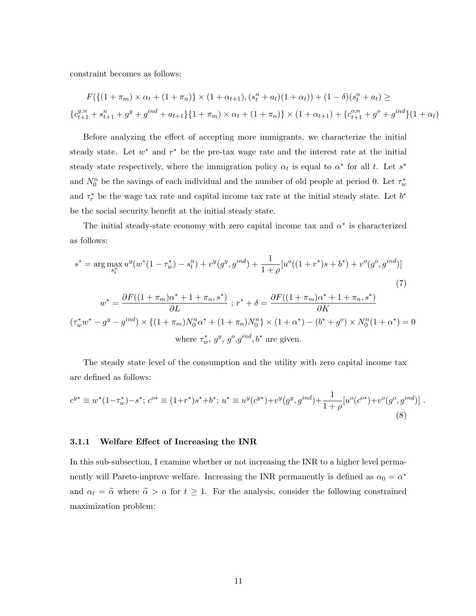constraint becomes as follows:

$$
F(\{(1+\pi_m)\times\alpha_t + (1+\pi_n)\}\times(1+\alpha_{t+1}), (s_t^n + a_t)(1+\alpha_t)) + (1-\delta)(s_t^n + a_t) \ge
$$
  

$$
\{c_{t+1}^{y,n} + s_{t+1}^n + g^y + g^{ind} + a_{t+1}\}\{1+\pi_m\}\times\alpha_t + (1+\pi_n)\}\times(1+\alpha_{t+1}) + \{c_{t+1}^{o,n} + g^{o} + g^{ind}\}(1+\alpha_t)
$$

Before analyzing the effect of accepting more immigrants, we characterize the initial steady state. Let  $w^*$  and  $r^*$  be the pre-tax wage rate and the interest rate at the initial steady state respectively, where the immigration policy  $\alpha_t$  is equal to  $\alpha^*$  for all t. Let  $s^*$ and  $N_0^n$  be the savings of each individual and the number of old people at period 0. Let  $\tau_w^*$ and  $\tau_r^*$  be the wage tax rate and capital income tax rate at the initial steady state. Let  $b^*$ be the social security benefit at the initial steady state.

The initial steady-state economy with zero capital income tax and  $\alpha^*$  is characterized as follows:

$$
s^* = \arg \max_{s_t^m} u^y(w^*(1 - \tau_w^*) - s_t^n) + v^y(g^y, g^{ind}) + \frac{1}{1 + \rho} [u^o((1 + r^*)s + b^*) + v^o(g^o, g^{ind})]
$$
  
\n
$$
w^* = \frac{\partial F((1 + \pi_m)\alpha^* + 1 + \pi_n, s^*)}{\partial L} ; r^* + \delta = \frac{\partial F((1 + \pi_m)\alpha^* + 1 + \pi_n, s^*)}{\partial K}
$$
  
\n
$$
(\tau_w^* w^* - g^y - g^{ind}) \times \{(1 + \pi_m)N_0^n \alpha^* + (1 + \pi_n)N_0^n\} \times (1 + \alpha^*) - (b^* + g^o) \times N_0^n (1 + \alpha^*) = 0
$$
  
\nwhere  $\tau_w^*, g^y, g^o, g^{ind}, b^*$  are given.

The steady state level of the consumption and the utility with zero capital income tax are defined as follows:

$$
c^{y*} \equiv w^*(1 - \tau_w^*) - s^*; \ c^{o*} \equiv (1 + r^*)s^* + b^*; \ u^* \equiv u^y(c^{y*}) + v^y(g^y, g^{ind}) + \frac{1}{1 + \rho} [u^o(c^{o*}) + v^o(g^o, g^{ind})] \ .
$$
\n(8)

#### 3.1.1 Welfare Effect of Increasing the INR

In this sub-subsection, I examine whether or not increasing the INR to a higher level permanently will Pareto-improve welfare. Increasing the INR permanently is defined as  $\alpha_0 = \alpha^*$ and  $\alpha_t = \tilde{\alpha}$  where  $\tilde{\alpha} > \alpha$  for  $t \geq 1$ . For the analysis, consider the following constrained maximization problem: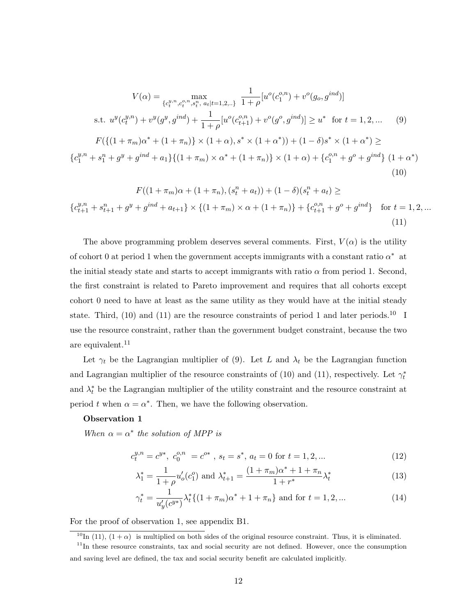$$
V(\alpha) = \max_{\{c_t^{y,n}, c_t^{o,n}, s_t^n, a_t|t=1,2,\ldots\}} \frac{1}{1+\rho} [u^o(c_1^{o,n}) + v^o(g_o, g^{ind})]
$$
  
s.t.  $u^y(c_t^{y,n}) + v^y(g^y, g^{ind}) + \frac{1}{1+\rho} [u^o(c_{t+1}^{o,n}) + v^o(g^o, g^{ind})] \ge u^*$  for  $t = 1, 2, \ldots$  (9)  

$$
F(\{(1+\pi_m)\alpha^* + (1+\pi_n)\} \times (1+\alpha), s^* \times (1+\alpha^*)) + (1-\delta)s^* \times (1+\alpha^*) \ge
$$
  

$$
\{c_1^{y,n} + s_1^n + g^y + g^{ind} + a_1\} \{(1+\pi_m) \times \alpha^* + (1+\pi_n)\} \times (1+\alpha) + \{c_1^{o,n} + g^o + g^{ind}\} (1+\alpha^*)
$$
  
(10)

$$
F((1 + \pi_m)\alpha + (1 + \pi_n), (s_t^n + a_t)) + (1 - \delta)(s_t^n + a_t) \ge
$$
  

$$
\{c_{t+1}^{y,n} + s_{t+1}^n + g^y + g^{ind} + a_{t+1}\} \times \{(1 + \pi_m) \times \alpha + (1 + \pi_n)\} + \{c_{t+1}^{o,n} + g^{i-1}\} \quad \text{for } t = 1, 2, ...
$$
  
(11)

The above programming problem deserves several comments. First,  $V(\alpha)$  is the utility of cohort 0 at period 1 when the government accepts immigrants with a constant ratio  $\alpha^*$  at the initial steady state and starts to accept immigrants with ratio  $\alpha$  from period 1. Second, the first constraint is related to Pareto improvement and requires that all cohorts except cohort 0 need to have at least as the same utility as they would have at the initial steady state. Third,  $(10)$  and  $(11)$  are the resource constraints of period 1 and later periods.<sup>10</sup> I use the resource constraint, rather than the government budget constraint, because the two are equivalent.<sup>11</sup>

Let  $\gamma_t$  be the Lagrangian multiplier of (9). Let L and  $\lambda_t$  be the Lagrangian function and Lagrangian multiplier of the resource constraints of (10) and (11), respectively. Let  $\gamma_t^*$ and  $\lambda_t^*$  be the Lagrangian multiplier of the utility constraint and the resource constraint at period t when  $\alpha = \alpha^*$ . Then, we have the following observation.

#### Observation 1

When  $\alpha = \alpha^*$  the solution of MPP is

$$
c_t^{y,n} = c^{y*}, \ c_0^{o,n} = c^{o*}, \ s_t = s^*, \ a_t = 0 \text{ for } t = 1, 2, \dots \tag{12}
$$

$$
\lambda_1^* = \frac{1}{1+\rho} u'_o(c_1^o) \text{ and } \lambda_{t+1}^* = \frac{(1+\pi_m)\alpha^* + 1+\pi_n}{1+r^*} \lambda_t^*
$$
(13)

$$
\gamma_t^* = \frac{1}{u_y'(c^{y*})} \lambda_t^* \{ (1 + \pi_m)\alpha^* + 1 + \pi_n \} \text{ and for } t = 1, 2, ... \tag{14}
$$

For the proof of observation 1, see appendix B1.

 $\frac{10}{\ln(11)}$ ,  $(1+\alpha)$  is multiplied on both sides of the original resource constraint. Thus, it is eliminated.

<sup>&</sup>lt;sup>11</sup>In these resource constraints, tax and social security are not defined. However, once the consumption and saving level are defined, the tax and social security benefit are calculated implicitly.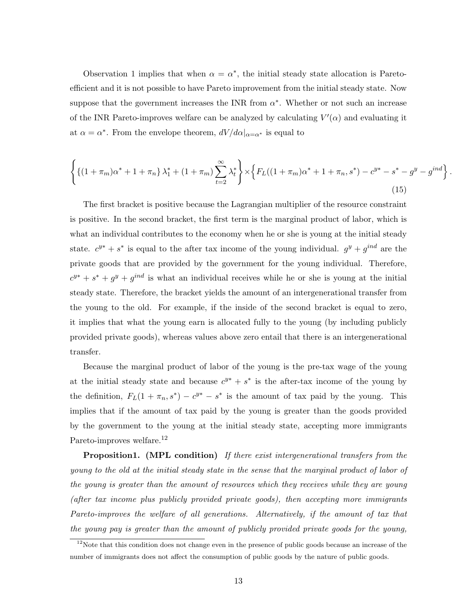Observation 1 implies that when  $\alpha = \alpha^*$ , the initial steady state allocation is Paretoefficient and it is not possible to have Pareto improvement from the initial steady state. Now suppose that the government increases the INR from  $\alpha^*$ . Whether or not such an increase of the INR Pareto-improves welfare can be analyzed by calculating  $V'(\alpha)$  and evaluating it at  $\alpha = \alpha^*$ . From the envelope theorem,  $dV/d\alpha|_{\alpha = \alpha^*}$  is equal to

$$
\left\{ \left\{ (1+\pi_m)\alpha^* + 1 + \pi_n \right\} \lambda_1^* + (1+\pi_m) \sum_{t=2}^{\infty} \lambda_t^* \right\} \times \left\{ F_L((1+\pi_m)\alpha^* + 1 + \pi_n, s^*) - c^{y*} - s^* - g^y - g^{ind} \right\}
$$
\n(15)

.

The first bracket is positive because the Lagrangian multiplier of the resource constraint is positive. In the second bracket, the first term is the marginal product of labor, which is what an individual contributes to the economy when he or she is young at the initial steady state.  $c^{y*} + s^*$  is equal to the after tax income of the young individual.  $g^y + g^{ind}$  are the private goods that are provided by the government for the young individual. Therefore,  $c^{y*} + s^* + g^{y} + g^{ind}$  is what an individual receives while he or she is young at the initial steady state. Therefore, the bracket yields the amount of an intergenerational transfer from the young to the old. For example, if the inside of the second bracket is equal to zero, it implies that what the young earn is allocated fully to the young (by including publicly provided private goods), whereas values above zero entail that there is an intergenerational transfer.

Because the marginal product of labor of the young is the pre-tax wage of the young at the initial steady state and because  $c^{y*} + s^*$  is the after-tax income of the young by the definition,  $F_L(1 + \pi_n, s^*) - c^{y*} - s^*$  is the amount of tax paid by the young. This implies that if the amount of tax paid by the young is greater than the goods provided by the government to the young at the initial steady state, accepting more immigrants Pareto-improves welfare.<sup>12</sup>

**Proposition1.** (MPL condition) If there exist intergenerational transfers from the young to the old at the initial steady state in the sense that the marginal product of labor of the young is greater than the amount of resources which they receives while they are young (after tax income plus publicly provided private goods), then accepting more immigrants Pareto-improves the welfare of all generations. Alternatively, if the amount of tax that the young pay is greater than the amount of publicly provided private goods for the young,

 $12$ Note that this condition does not change even in the presence of public goods because an increase of the number of immigrants does not affect the consumption of public goods by the nature of public goods.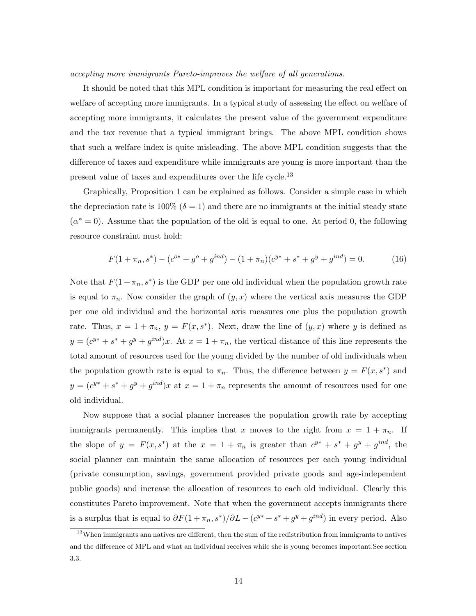accepting more immigrants Pareto-improves the welfare of all generations.

It should be noted that this MPL condition is important for measuring the real effect on welfare of accepting more immigrants. In a typical study of assessing the effect on welfare of accepting more immigrants, it calculates the present value of the government expenditure and the tax revenue that a typical immigrant brings. The above MPL condition shows that such a welfare index is quite misleading. The above MPL condition suggests that the difference of taxes and expenditure while immigrants are young is more important than the present value of taxes and expenditures over the life cycle.<sup>13</sup>

Graphically, Proposition 1 can be explained as follows. Consider a simple case in which the depreciation rate is 100% ( $\delta = 1$ ) and there are no immigrants at the initial steady state  $(\alpha^* = 0)$ . Assume that the population of the old is equal to one. At period 0, the following resource constraint must hold:

$$
F(1 + \pi_n, s^*) - (c^{o*} + g^o + g^{ind}) - (1 + \pi_n)(c^{y*} + s^* + g^y + g^{ind}) = 0.
$$
 (16)

Note that  $F(1+\pi_n, s^*)$  is the GDP per one old individual when the population growth rate is equal to  $\pi_n$ . Now consider the graph of  $(y, x)$  where the vertical axis measures the GDP per one old individual and the horizontal axis measures one plus the population growth rate. Thus,  $x = 1 + \pi_n$ ,  $y = F(x, s^*)$ . Next, draw the line of  $(y, x)$  where y is defined as  $y = (c^{y*} + s^* + g^{y} + g^{ind})x$ . At  $x = 1 + \pi_n$ , the vertical distance of this line represents the total amount of resources used for the young divided by the number of old individuals when the population growth rate is equal to  $\pi_n$ . Thus, the difference between  $y = F(x, s^*)$  and  $y = (c^{y*} + s^* + g^{y} + g^{ind})x$  at  $x = 1 + \pi_n$  represents the amount of resources used for one old individual.

Now suppose that a social planner increases the population growth rate by accepting immigrants permanently. This implies that x moves to the right from  $x = 1 + \pi_n$ . If the slope of  $y = F(x, s^*)$  at the  $x = 1 + \pi_n$  is greater than  $c^{y*} + s^* + g^{y} + g^{ind}$ , the social planner can maintain the same allocation of resources per each young individual (private consumption, savings, government provided private goods and age-independent public goods) and increase the allocation of resources to each old individual. Clearly this constitutes Pareto improvement. Note that when the government accepts immigrants there is a surplus that is equal to  $\partial F(1+\pi_n, s^*)/\partial L - (c^{y*}+s^*+g^y+g^{ind})$  in every period. Also

<sup>&</sup>lt;sup>13</sup>When immigrants ana natives are different, then the sum of the redistribution from immigrants to natives and the difference of MPL and what an individual receives while she is young becomes important.See section 3.3.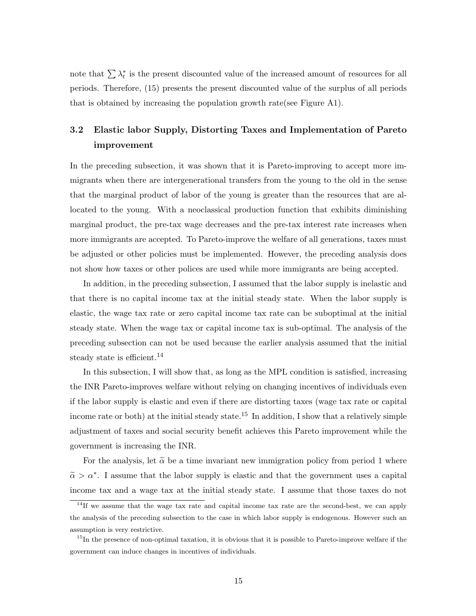note that  $\sum \lambda_t^*$  is the present discounted value of the increased amount of resources for all periods. Therefore, (15) presents the present discounted value of the surplus of all periods that is obtained by increasing the population growth rate(see Figure A1).

## 3.2 Elastic labor Supply, Distorting Taxes and Implementation of Pareto improvement

In the preceding subsection, it was shown that it is Pareto-improving to accept more immigrants when there are intergenerational transfers from the young to the old in the sense that the marginal product of labor of the young is greater than the resources that are allocated to the young. With a neoclassical production function that exhibits diminishing marginal product, the pre-tax wage decreases and the pre-tax interest rate increases when more immigrants are accepted. To Pareto-improve the welfare of all generations, taxes must be adjusted or other policies must be implemented. However, the preceding analysis does not show how taxes or other polices are used while more immigrants are being accepted.

In addition, in the preceding subsection, I assumed that the labor supply is inelastic and that there is no capital income tax at the initial steady state. When the labor supply is elastic, the wage tax rate or zero capital income tax rate can be suboptimal at the initial steady state. When the wage tax or capital income tax is sub-optimal. The analysis of the preceding subsection can not be used because the earlier analysis assumed that the initial steady state is efficient.<sup>14</sup>

In this subsection, I will show that, as long as the MPL condition is satisfied, increasing the INR Pareto-improves welfare without relying on changing incentives of individuals even if the labor supply is elastic and even if there are distorting taxes (wage tax rate or capital income rate or both) at the initial steady state.<sup>15</sup> In addition, I show that a relatively simple adjustment of taxes and social security benefit achieves this Pareto improvement while the government is increasing the INR.

For the analysis, let  $\tilde{\alpha}$  be a time invariant new immigration policy from period 1 where  $\tilde{\alpha} > \alpha^*$ . I assume that the labor supply is elastic and that the government uses a capital income tax and a wage tax at the initial steady state. I assume that those taxes do not

 $14$ If we assume that the wage tax rate and capital income tax rate are the second-best, we can apply the analysis of the preceding subsection to the case in which labor supply is endogenous. However such an assumption is very restrictive.

<sup>&</sup>lt;sup>15</sup>In the presence of non-optimal taxation, it is obvious that it is possible to Pareto-improve welfare if the government can induce changes in incentives of individuals.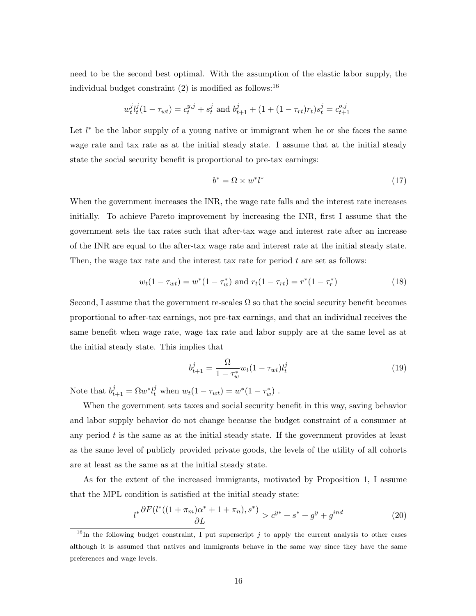need to be the second best optimal. With the assumption of the elastic labor supply, the individual budget constraint  $(2)$  is modified as follows:<sup>16</sup>

$$
w_t^j l_t^j (1 - \tau_{wt}) = c_t^{y,j} + s_t^j \text{ and } b_{t+1}^j + (1 + (1 - \tau_{rt})r_t) s_t^j = c_{t+1}^{o,j}
$$

Let  $l^*$  be the labor supply of a young native or immigrant when he or she faces the same wage rate and tax rate as at the initial steady state. I assume that at the initial steady state the social security benefit is proportional to pre-tax earnings:

$$
b^* = \Omega \times w^* l^* \tag{17}
$$

When the government increases the INR, the wage rate falls and the interest rate increases initially. To achieve Pareto improvement by increasing the INR, first I assume that the government sets the tax rates such that after-tax wage and interest rate after an increase of the INR are equal to the after-tax wage rate and interest rate at the initial steady state. Then, the wage tax rate and the interest tax rate for period  $t$  are set as follows:

$$
w_t(1 - \tau_{wt}) = w^*(1 - \tau_w^*) \text{ and } r_t(1 - \tau_{rt}) = r^*(1 - \tau_r^*)
$$
\n(18)

Second, I assume that the government re-scales  $\Omega$  so that the social security benefit becomes proportional to after-tax earnings, not pre-tax earnings, and that an individual receives the same benefit when wage rate, wage tax rate and labor supply are at the same level as at the initial steady state. This implies that

$$
b_{t+1}^j = \frac{\Omega}{1 - \tau_w^*} w_t (1 - \tau_{wt}) l_t^j
$$
\n(19)

Note that  $b_{t+1}^j = \Omega w^* l_t^j$  when  $w_t(1 - \tau_{wt}) = w^*(1 - \tau_w^*)$ .

When the government sets taxes and social security benefit in this way, saving behavior and labor supply behavior do not change because the budget constraint of a consumer at any period  $t$  is the same as at the initial steady state. If the government provides at least as the same level of publicly provided private goods, the levels of the utility of all cohorts are at least as the same as at the initial steady state.

As for the extent of the increased immigrants, motivated by Proposition 1, I assume that the MPL condition is satisfied at the initial steady state:

$$
l^* \frac{\partial F(l^*((1 + \pi_m)\alpha^* + 1 + \pi_n), s^*)}{\partial L} > c^{y*} + s^* + g^y + g^{ind}
$$
 (20)

 $16$ In the following budget constraint, I put superscript j to apply the current analysis to other cases although it is assumed that natives and immigrants behave in the same way since they have the same preferences and wage levels.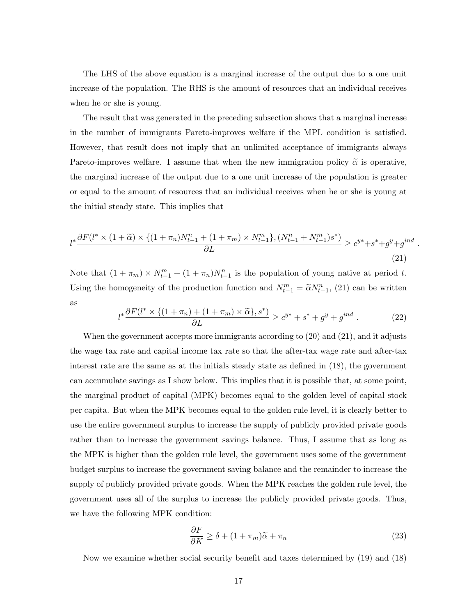The LHS of the above equation is a marginal increase of the output due to a one unit increase of the population. The RHS is the amount of resources that an individual receives when he or she is young.

The result that was generated in the preceding subsection shows that a marginal increase in the number of immigrants Pareto-improves welfare if the MPL condition is satisfied. However, that result does not imply that an unlimited acceptance of immigrants always Pareto-improves welfare. I assume that when the new immigration policy  $\tilde{\alpha}$  is operative, the marginal increase of the output due to a one unit increase of the population is greater or equal to the amount of resources that an individual receives when he or she is young at the initial steady state. This implies that

$$
l^* \frac{\partial F(l^* \times (1 + \widetilde{\alpha}) \times \{(1 + \pi_n)N_{t-1}^n + (1 + \pi_m) \times N_{t-1}^m\}, (N_{t-1}^n + N_{t-1}^m)s^*)}{\partial L} \ge c^{y*} + s^* + g^y + g^{ind}.
$$
\n(21)

Note that  $(1 + \pi_m) \times N_{t-1}^m + (1 + \pi_n)N_{t-1}^n$  is the population of young native at period t. Using the homogeneity of the production function and  $N_{t-1}^m = \tilde{\alpha} N_{t-1}^n$ , (21) can be written as

$$
l^* \frac{\partial F(l^* \times \{ (1 + \pi_n) + (1 + \pi_m) \times \widetilde{\alpha} \}, s^*)}{\partial L} \ge c^{y*} + s^* + g^y + g^{ind}.
$$
 (22)

When the government accepts more immigrants according to (20) and (21), and it adjusts the wage tax rate and capital income tax rate so that the after-tax wage rate and after-tax interest rate are the same as at the initials steady state as defined in (18), the government can accumulate savings as I show below. This implies that it is possible that, at some point, the marginal product of capital (MPK) becomes equal to the golden level of capital stock per capita. But when the MPK becomes equal to the golden rule level, it is clearly better to use the entire government surplus to increase the supply of publicly provided private goods rather than to increase the government savings balance. Thus, I assume that as long as the MPK is higher than the golden rule level, the government uses some of the government budget surplus to increase the government saving balance and the remainder to increase the supply of publicly provided private goods. When the MPK reaches the golden rule level, the government uses all of the surplus to increase the publicly provided private goods. Thus, we have the following MPK condition:

$$
\frac{\partial F}{\partial K} \ge \delta + (1 + \pi_m)\tilde{\alpha} + \pi_n \tag{23}
$$

Now we examine whether social security benefit and taxes determined by (19) and (18)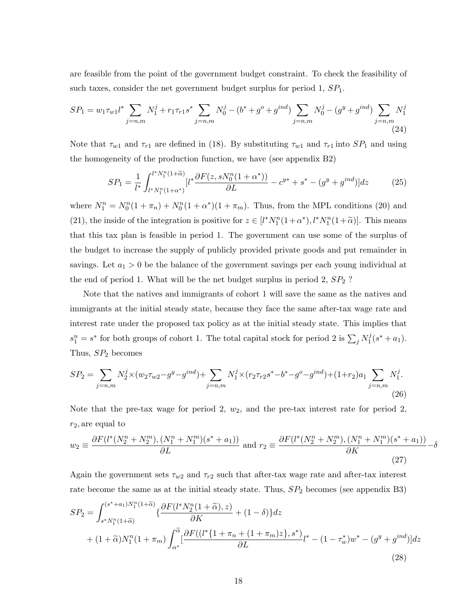are feasible from the point of the government budget constraint. To check the feasibility of such taxes, consider the net government budget surplus for period 1,  $SP<sub>1</sub>$ .

$$
SP_1 = w_1 \tau_{w1} l^* \sum_{j=n,m} N_1^j + r_1 \tau_{r1} s^* \sum_{j=n,m} N_0^j - (b^* + g^o + g^{ind}) \sum_{j=n,m} N_0^j - (g^y + g^{ind}) \sum_{j=n,m} N_1^j
$$
\n(24)

Note that  $\tau_{w1}$  and  $\tau_{r1}$  are defined in (18). By substituting  $\tau_{w1}$  and  $\tau_{r1}$  into  $SP_1$  and using the homogeneity of the production function, we have (see appendix B2)

$$
SP_1 = \frac{1}{l^*} \int_{l^* N_1^n (1 + \alpha^*)}^{l^* N_1^n (1 + \widetilde{\alpha})} [l^* \frac{\partial F(z, s N_0^n (1 + \alpha^*))}{\partial L} - c^{y*} + s^* - (g^y + g^{ind})] dz \tag{25}
$$

where  $N_1^n = N_0^n(1 + \pi_n) + N_0^n(1 + \alpha^*)(1 + \pi_m)$ . Thus, from the MPL conditions (20) and (21), the inside of the integration is positive for  $z \in [l^*N_1^n(1+\alpha^*), l^*N_1^n(1+\tilde{\alpha})]$ . This means that this tax plan is feasible in period 1. The government can use some of the surplus of the budget to increase the supply of publicly provided private goods and put remainder in savings. Let  $a_1 > 0$  be the balance of the government savings per each young individual at the end of period 1. What will be the net budget surplus in period 2,  $SP_2$  ?

Note that the natives and immigrants of cohort 1 will save the same as the natives and immigrants at the initial steady state, because they face the same after-tax wage rate and interest rate under the proposed tax policy as at the initial steady state. This implies that  $s_1^n = s^*$  for both groups of cohort 1. The total capital stock for period 2 is  $\sum_j N_1^j$  $i_1^j(s^*+a_1).$ Thus,  $SP<sub>2</sub>$  becomes

$$
SP_2 = \sum_{j=n,m} N_2^j \times (w_2 \tau_{w2} - g^y - g^{ind}) + \sum_{j=n,m} N_1^j \times (r_2 \tau_{r2} s^* - b^* - g^o - g^{ind}) + (1+r_2)a_1 \sum_{j=n,m} N_1^j.
$$
\n(26)

Note that the pre-tax wage for period 2,  $w_2$ , and the pre-tax interest rate for period 2,  $r_2$ , are equal to

$$
w_2 \equiv \frac{\partial F(l^*(N_2^n + N_2^m), (N_1^n + N_1^m)(s^* + a_1))}{\partial L} \text{ and } r_2 \equiv \frac{\partial F(l^*(N_2^n + N_2^m), (N_1^n + N_1^m)(s^* + a_1))}{\partial K} - \delta
$$
\n(27)

Again the government sets  $\tau_{w2}$  and  $\tau_{r2}$  such that after-tax wage rate and after-tax interest rate become the same as at the initial steady state. Thus,  $SP<sub>2</sub>$  becomes (see appendix B3)

$$
SP_{2} = \int_{s^{*}N_{1}^{n}(1+\tilde{\alpha})}^{(s^{*}+a_{1})N_{1}^{n}(1+\tilde{\alpha})} \{ \frac{\partial F(l^{*}N_{2}^{n}(1+\tilde{\alpha}),z)}{\partial K} + (1-\delta) \} dz + (1+\tilde{\alpha})N_{1}^{n}(1+\pi_{m}) \int_{\alpha^{*}}^{\tilde{\alpha}} [\frac{\partial F((l^{*}\{1+\pi_{n}+(1+\pi_{m})z\},s^{*})}{\partial L}l^{*} - (1-\tau_{w}^{*})w^{*} - (g^{y}+g^{ind})] dz \tag{28}
$$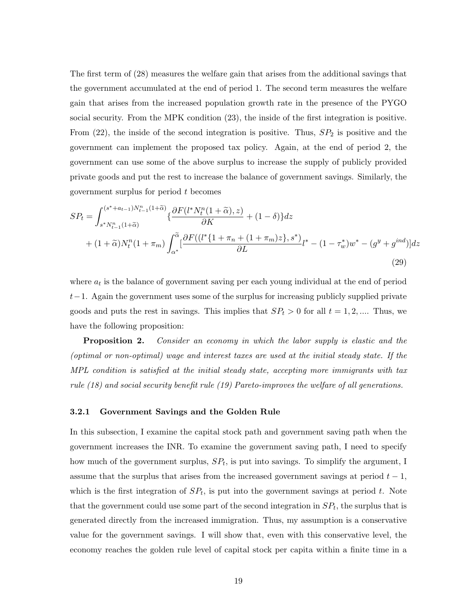The first term of (28) measures the welfare gain that arises from the additional savings that the government accumulated at the end of period 1. The second term measures the welfare gain that arises from the increased population growth rate in the presence of the PYGO social security. From the MPK condition (23), the inside of the first integration is positive. From  $(22)$ , the inside of the second integration is positive. Thus,  $SP<sub>2</sub>$  is positive and the government can implement the proposed tax policy. Again, at the end of period 2, the government can use some of the above surplus to increase the supply of publicly provided private goods and put the rest to increase the balance of government savings. Similarly, the government surplus for period t becomes

$$
SP_{t} = \int_{s^{*}N_{t-1}^{n}(1+\tilde{\alpha})}^{(s^{*}+a_{t-1})N_{t-1}^{n}(1+\tilde{\alpha})} \{ \frac{\partial F(l^{*}N_{t}^{n}(1+\tilde{\alpha}),z)}{\partial K} + (1-\delta) \} dz + (1+\tilde{\alpha})N_{t}^{n}(1+\pi_{m}) \int_{\alpha^{*}}^{\tilde{\alpha}} \left[ \frac{\partial F((l^{*}\{1+\pi_{n}+(1+\pi_{m})z\},s^{*})}{\partial L}l^{*} - (1-\tau_{w}^{*})w^{*} - (g^{y}+g^{ind}) \right] dz \tag{29}
$$

where  $a_t$  is the balance of government saving per each young individual at the end of period  $t-1$ . Again the government uses some of the surplus for increasing publicly supplied private goods and puts the rest in savings. This implies that  $SP<sub>t</sub> > 0$  for all  $t = 1, 2, ...$  Thus, we have the following proposition:

**Proposition 2.** Consider an economy in which the labor supply is elastic and the (optimal or non-optimal) wage and interest taxes are used at the initial steady state. If the MPL condition is satisfied at the initial steady state, accepting more immigrants with tax rule (18) and social security benefit rule (19) Pareto-improves the welfare of all generations.

#### 3.2.1 Government Savings and the Golden Rule

In this subsection, I examine the capital stock path and government saving path when the government increases the INR. To examine the government saving path, I need to specify how much of the government surplus,  $SP_t$ , is put into savings. To simplify the argument, I assume that the surplus that arises from the increased government savings at period  $t - 1$ , which is the first integration of  $SP<sub>t</sub>$ , is put into the government savings at period t. Note that the government could use some part of the second integration in  $SP<sub>t</sub>$ , the surplus that is generated directly from the increased immigration. Thus, my assumption is a conservative value for the government savings. I will show that, even with this conservative level, the economy reaches the golden rule level of capital stock per capita within a finite time in a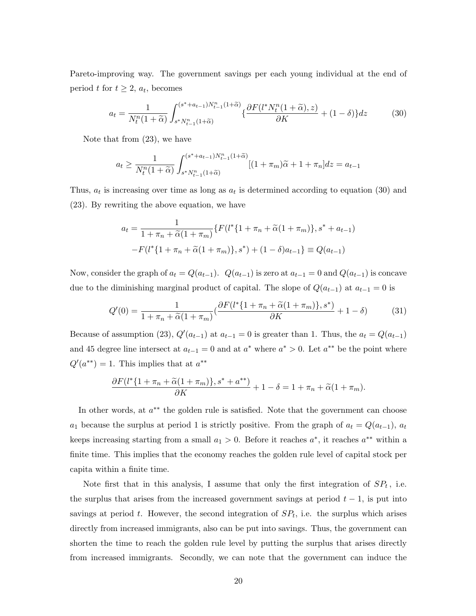Pareto-improving way. The government savings per each young individual at the end of period t for  $t \geq 2$ ,  $a_t$ , becomes

$$
a_t = \frac{1}{N_t^n(1+\widetilde{\alpha})} \int_{s^*N_{t-1}^n(1+\widetilde{\alpha})}^{(s^*+a_{t-1})N_{t-1}^n(1+\widetilde{\alpha})} \left\{ \frac{\partial F(l^*N_t^n(1+\widetilde{\alpha}),z)}{\partial K} + (1-\delta) \right\} dz \tag{30}
$$

Note that from (23), we have

$$
a_t \ge \frac{1}{N_t^n (1 + \widetilde{\alpha})} \int_{s^* N_{t-1}^n (1 + \widetilde{\alpha})}^{(s^* + a_{t-1}) N_{t-1}^n (1 + \widetilde{\alpha})} [(1 + \pi_m) \widetilde{\alpha} + 1 + \pi_n] dz = a_{t-1}
$$

Thus,  $a_t$  is increasing over time as long as  $a_t$  is determined according to equation (30) and (23). By rewriting the above equation, we have

$$
a_t = \frac{1}{1 + \pi_n + \widetilde{\alpha}(1 + \pi_m)} \{ F(l^* \{ 1 + \pi_n + \widetilde{\alpha}(1 + \pi_m) \}, s^* + a_{t-1})
$$

$$
-F(l^* \{ 1 + \pi_n + \widetilde{\alpha}(1 + \pi_m) \}, s^*) + (1 - \delta) a_{t-1} \} \equiv Q(a_{t-1})
$$

Now, consider the graph of  $a_t = Q(a_{t-1})$ .  $Q(a_{t-1})$  is zero at  $a_{t-1} = 0$  and  $Q(a_{t-1})$  is concave due to the diminishing marginal product of capital. The slope of  $Q(a_{t-1})$  at  $a_{t-1} = 0$  is

$$
Q'(0) = \frac{1}{1 + \pi_n + \widetilde{\alpha}(1 + \pi_m)} \left( \frac{\partial F(l^* \{1 + \pi_n + \widetilde{\alpha}(1 + \pi_m)\}, s^*)}{\partial K} + 1 - \delta \right) \tag{31}
$$

Because of assumption (23),  $Q'(a_{t-1})$  at  $a_{t-1} = 0$  is greater than 1. Thus, the  $a_t = Q(a_{t-1})$ and 45 degree line intersect at  $a_{t-1} = 0$  and at  $a^*$  where  $a^* > 0$ . Let  $a^{**}$  be the point where  $Q'(a^{**}) = 1$ . This implies that at  $a^{**}$ 

$$
\frac{\partial F(l^*\{1+\pi_n+\widetilde{\alpha}(1+\pi_m)\},s^*+a^{**})}{\partial K}+1-\delta=1+\pi_n+\widetilde{\alpha}(1+\pi_m).
$$

In other words, at  $a^{**}$  the golden rule is satisfied. Note that the government can choose  $a_1$  because the surplus at period 1 is strictly positive. From the graph of  $a_t = Q(a_{t-1}), a_t$ keeps increasing starting from a small  $a_1 > 0$ . Before it reaches  $a^*$ , it reaches  $a^{**}$  within a finite time. This implies that the economy reaches the golden rule level of capital stock per capita within a finite time.

Note first that in this analysis, I assume that only the first integration of  $SP<sub>t</sub>$ , i.e. the surplus that arises from the increased government savings at period  $t - 1$ , is put into savings at period t. However, the second integration of  $SP<sub>t</sub>$ , i.e. the surplus which arises directly from increased immigrants, also can be put into savings. Thus, the government can shorten the time to reach the golden rule level by putting the surplus that arises directly from increased immigrants. Secondly, we can note that the government can induce the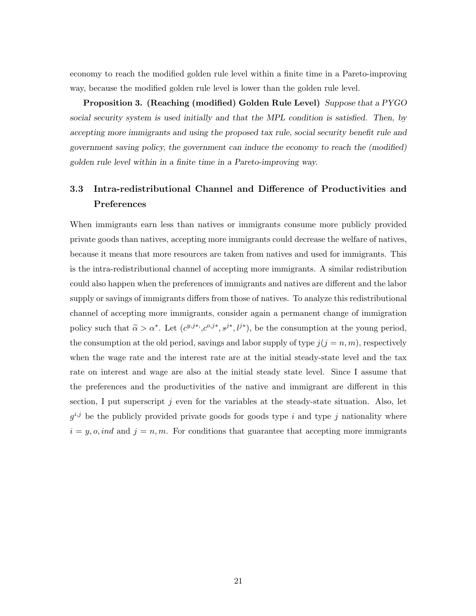economy to reach the modified golden rule level within a finite time in a Pareto-improving way, because the modified golden rule level is lower than the golden rule level.

Proposition 3. (Reaching (modified) Golden Rule Level) Suppose that a PYGO social security system is used initially and that the MPL condition is satisfied. Then, by accepting more immigrants and using the proposed tax rule, social security benefit rule and government saving policy, the government can induce the economy to reach the (modified) golden rule level within in a finite time in a Pareto-improving way.

## 3.3 Intra-redistributional Channel and Difference of Productivities and Preferences

When immigrants earn less than natives or immigrants consume more publicly provided private goods than natives, accepting more immigrants could decrease the welfare of natives, because it means that more resources are taken from natives and used for immigrants. This is the intra-redistributional channel of accepting more immigrants. A similar redistribution could also happen when the preferences of immigrants and natives are different and the labor supply or savings of immigrants differs from those of natives. To analyze this redistributional channel of accepting more immigrants, consider again a permanent change of immigration policy such that  $\tilde{\alpha} > \alpha^*$ . Let  $(c^{y,j*}, c^{o,j*}, s^{j*}, l^{j*})$ , be the consumption at the young period, the consumption at the old period, savings and labor supply of type  $j(j = n, m)$ , respectively when the wage rate and the interest rate are at the initial steady-state level and the tax rate on interest and wage are also at the initial steady state level. Since I assume that the preferences and the productivities of the native and immigrant are different in this section, I put superscript  $j$  even for the variables at the steady-state situation. Also, let  $g^{i,j}$  be the publicly provided private goods for goods type i and type j nationality where  $i = y, o, ind$  and  $j = n, m$ . For conditions that guarantee that accepting more immigrants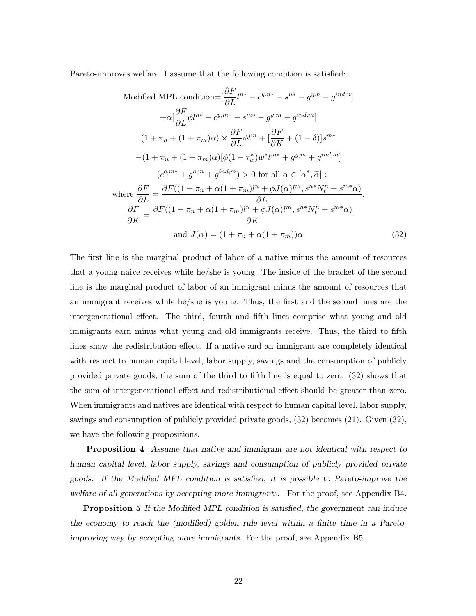Pareto-improves welfare, I assume that the following condition is satisfied:

Modified MPL condition

\n
$$
= \left[ \frac{\partial F}{\partial L} l^{n*} - c^{y,n*} - s^{n*} - g^{y,n} - g^{ind,n} \right]
$$
\n
$$
+ \alpha \left[ \frac{\partial F}{\partial L} \phi l^{n*} - c^{y,m*} - s^{m*} - g^{y,m} - g^{ind,m} \right]
$$
\n
$$
(1 + \pi_n + (1 + \pi_m) \alpha) \times \frac{\partial F}{\partial L} \phi l^m + \left[ \frac{\partial F}{\partial K} + (1 - \delta) \right] s^{m*}
$$
\n
$$
- (1 + \pi_n + (1 + \pi_m) \alpha) [\phi (1 - \tau_w^*) w^* l^{m*} + g^{y,m} + g^{ind,m}]
$$
\n
$$
- (c^{o,m*} + g^{o,m} + g^{ind,m}) > 0 \text{ for all } \alpha \in [\alpha^*, \tilde{\alpha}] :
$$
\nwhere

\n
$$
\frac{\partial F}{\partial L} = \frac{\partial F((1 + \pi_n + \alpha(1 + \pi_m)l^n + \phi J(\alpha)l^m, s^{n*} N_t^n + s^{m*} \alpha)}{\partial L},
$$
\n
$$
\frac{\partial F}{\partial K} = \frac{\partial F((1 + \pi_n + \alpha(1 + \pi_m)l^n + \phi J(\alpha)l^m, s^{n*} N_t^n + s^{m*} \alpha)}{\partial K}
$$
\nand

\n
$$
J(\alpha) = (1 + \pi_n + \alpha(1 + \pi_m))\alpha
$$
\n(32)

The first line is the marginal product of labor of a native minus the amount of resources that a young naive receives while he/she is young. The inside of the bracket of the second line is the marginal product of labor of an immigrant minus the amount of resources that an immigrant receives while he/she is young. Thus, the first and the second lines are the intergenerational effect. The third, fourth and fifth lines comprise what young and old immigrants earn minus what young and old immigrants receive. Thus, the third to fifth lines show the redistribution effect. If a native and an immigrant are completely identical with respect to human capital level, labor supply, savings and the consumption of publicly provided private goods, the sum of the third to fifth line is equal to zero. (32) shows that the sum of intergenerational effect and redistributional effect should be greater than zero. When immigrants and natives are identical with respect to human capital level, labor supply, savings and consumption of publicly provided private goods, (32) becomes (21). Given (32), we have the following propositions.

Proposition 4 Assume that native and immigrant are not identical with respect to human capital level, labor supply, savings and consumption of publicly provided private goods. If the Modified MPL condition is satisfied, it is possible to Pareto-improve the welfare of all generations by accepting more immigrants. For the proof, see Appendix B4.

Proposition 5 If the Modified MPL condition is satisfied, the government can induce the economy to reach the (modified) golden rule level within a finite time in a Paretoimproving way by accepting more immigrants. For the proof, see Appendix B5.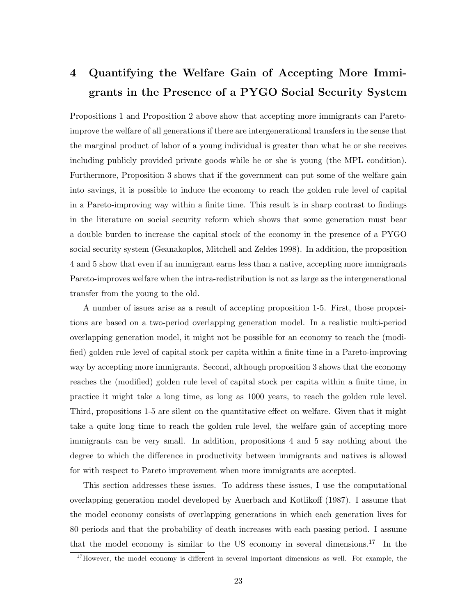## 4 Quantifying the Welfare Gain of Accepting More Immigrants in the Presence of a PYGO Social Security System

Propositions 1 and Proposition 2 above show that accepting more immigrants can Paretoimprove the welfare of all generations if there are intergenerational transfers in the sense that the marginal product of labor of a young individual is greater than what he or she receives including publicly provided private goods while he or she is young (the MPL condition). Furthermore, Proposition 3 shows that if the government can put some of the welfare gain into savings, it is possible to induce the economy to reach the golden rule level of capital in a Pareto-improving way within a finite time. This result is in sharp contrast to findings in the literature on social security reform which shows that some generation must bear a double burden to increase the capital stock of the economy in the presence of a PYGO social security system (Geanakoplos, Mitchell and Zeldes 1998). In addition, the proposition 4 and 5 show that even if an immigrant earns less than a native, accepting more immigrants Pareto-improves welfare when the intra-redistribution is not as large as the intergenerational transfer from the young to the old.

A number of issues arise as a result of accepting proposition 1-5. First, those propositions are based on a two-period overlapping generation model. In a realistic multi-period overlapping generation model, it might not be possible for an economy to reach the (modified) golden rule level of capital stock per capita within a finite time in a Pareto-improving way by accepting more immigrants. Second, although proposition 3 shows that the economy reaches the (modified) golden rule level of capital stock per capita within a finite time, in practice it might take a long time, as long as 1000 years, to reach the golden rule level. Third, propositions 1-5 are silent on the quantitative effect on welfare. Given that it might take a quite long time to reach the golden rule level, the welfare gain of accepting more immigrants can be very small. In addition, propositions 4 and 5 say nothing about the degree to which the difference in productivity between immigrants and natives is allowed for with respect to Pareto improvement when more immigrants are accepted.

This section addresses these issues. To address these issues, I use the computational overlapping generation model developed by Auerbach and Kotlikoff (1987). I assume that the model economy consists of overlapping generations in which each generation lives for 80 periods and that the probability of death increases with each passing period. I assume that the model economy is similar to the US economy in several dimensions.<sup>17</sup> In the

<sup>&</sup>lt;sup>17</sup>However, the model economy is different in several important dimensions as well. For example, the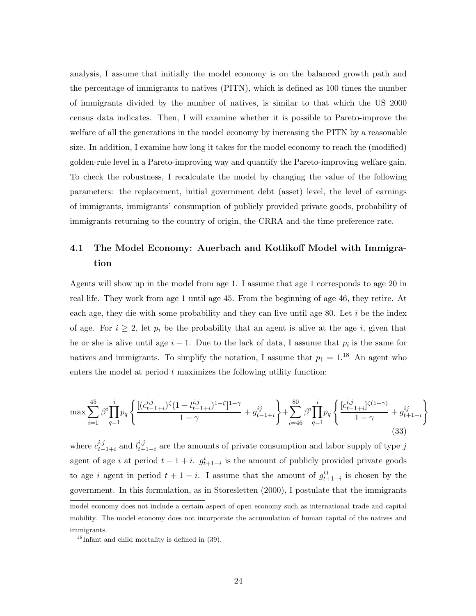analysis, I assume that initially the model economy is on the balanced growth path and the percentage of immigrants to natives (PITN), which is defined as 100 times the number of immigrants divided by the number of natives, is similar to that which the US 2000 census data indicates. Then, I will examine whether it is possible to Pareto-improve the welfare of all the generations in the model economy by increasing the PITN by a reasonable size. In addition, I examine how long it takes for the model economy to reach the (modified) golden-rule level in a Pareto-improving way and quantify the Pareto-improving welfare gain. To check the robustness, I recalculate the model by changing the value of the following parameters: the replacement, initial government debt (asset) level, the level of earnings of immigrants, immigrants' consumption of publicly provided private goods, probability of immigrants returning to the country of origin, the CRRA and the time preference rate.

## 4.1 The Model Economy: Auerbach and Kotlikoff Model with Immigration

Agents will show up in the model from age 1. I assume that age 1 corresponds to age 20 in real life. They work from age 1 until age 45. From the beginning of age 46, they retire. At each age, they die with some probability and they can live until age 80. Let  $i$  be the index of age. For  $i \geq 2$ , let  $p_i$  be the probability that an agent is alive at the age i, given that he or she is alive until age  $i - 1$ . Due to the lack of data, I assume that  $p_i$  is the same for natives and immigrants. To simplify the notation, I assume that  $p_1 = 1^{18}$  An agent who enters the model at period  $t$  maximizes the following utility function:

$$
\max \sum_{i=1}^{45} \beta^i \prod_{q=1}^i p_q \left\{ \frac{[(c_{t-1+i}^{i,j})^{\zeta}(1-l_{t-1+i}^{i,j})^{1-\zeta}]^{1-\gamma}}{1-\gamma} + g_{t-1+i}^{ij} \right\} + \sum_{i=46}^{80} \beta^i \prod_{q=1}^i p_q \left\{ \frac{[c_{t-1+i}^{i,j}]^{\zeta(1-\gamma)}}{1-\gamma} + g_{t+1-i}^{ij} \right\} \tag{33}
$$

where  $c_{t-}^{i,j}$  $_{t-1+i}^{i,j}$  and  $l_{t+}^{i,j}$  $t_{t+1-i}^{i,j}$  are the amounts of private consumption and labor supply of type j agent of age i at period  $t-1+i$ .  $g_{t+1-i}^i$  is the amount of publicly provided private goods to age i agent in period  $t + 1 - i$ . I assume that the amount of  $g_{t}^{ij}$  $_{t+1-i}^{ij}$  is chosen by the government. In this formulation, as in Storesletten (2000), I postulate that the immigrants

model economy does not include a certain aspect of open economy such as international trade and capital mobility. The model economy does not incorporate the accumulation of human capital of the natives and immigrants.

<sup>&</sup>lt;sup>18</sup>Infant and child mortality is defined in (39).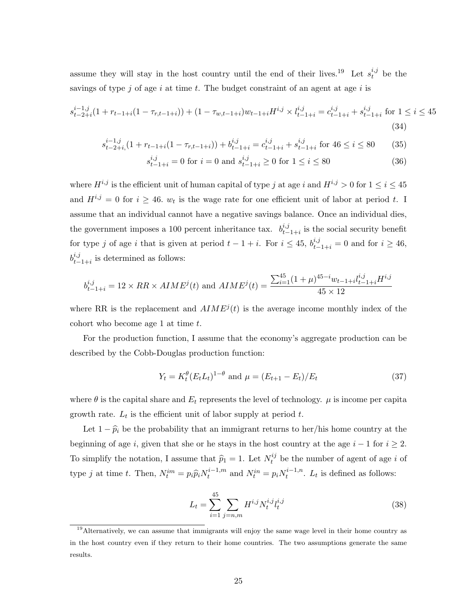assume they will stay in the host country until the end of their lives.<sup>19</sup> Let  $s_t^{i,j}$  be the savings of type j of age i at time t. The budget constraint of an agent at age i is

$$
s_{t-2+i}^{i-1,j}(1+r_{t-1+i}(1-\tau_{r,t-1+i})) + (1-\tau_{w,t-1+i})w_{t-1+i}H^{i,j} \times l_{t-1+i}^{i,j} = c_{t-1+i}^{i,j} + s_{t-1+i}^{i,j}
$$
 for  $1 \le i \le 45$  (34)

$$
s_{t-2+i,1}^{i-1,j}(1+r_{t-1+i}(1-\tau_{r,t-1+i})) + b_{t-1+i}^{i,j} = c_{t-1+i}^{i,j} + s_{t-1+i}^{i,j} \text{ for } 46 \le i \le 80 \tag{35}
$$

$$
s_{t-1+i}^{i,j} = 0 \text{ for } i = 0 \text{ and } s_{t-1+i}^{i,j} \ge 0 \text{ for } 1 \le i \le 80
$$
 (36)

where  $H^{i,j}$  is the efficient unit of human capital of type j at age i and  $H^{i,j} > 0$  for  $1 \le i \le 45$ and  $H^{i,j} = 0$  for  $i \geq 46$ .  $w_t$  is the wage rate for one efficient unit of labor at period t. I assume that an individual cannot have a negative savings balance. Once an individual dies, the government imposes a 100 percent inheritance tax.  $b_{t-}^{i,j}$  $_{t-1+i}^{i,j}$  is the social security benefit for type j of age i that is given at period  $t-1+i$ . For  $i \leq 45$ ,  $b_{t-1+i}^{i,j} = 0$  and for  $i \geq 46$ ,  $b_t^{i,j}$  $_{t-1+i}^{i,j}$  is determined as follows:

$$
b_{t-1+i}^{i,j} = 12 \times RR \times AIME^{j}(t) \text{ and } AIME^{j}(t) = \frac{\sum_{i=1}^{45} (1 + \mu)^{45-i} w_{t-1+i} l_{t-1+i}^{i,j} H^{i,j}}{45 \times 12}
$$

where RR is the replacement and  $\overline{AIME}^j(t)$  is the average income monthly index of the cohort who become age 1 at time  $t$ .

For the production function, I assume that the economy's aggregate production can be described by the Cobb-Douglas production function:

$$
Y_t = K_t^{\theta} (E_t L_t)^{1-\theta} \text{ and } \mu = (E_{t+1} - E_t) / E_t
$$
 (37)

where  $\theta$  is the capital share and  $E_t$  represents the level of technology.  $\mu$  is income per capita growth rate.  $L_t$  is the efficient unit of labor supply at period t.

Let  $1 - \hat{p}_i$  be the probability that an immigrant returns to her/his home country at the beginning of age i, given that she or he stays in the host country at the age  $i - 1$  for  $i \geq 2$ . To simplify the notation, I assume that  $\hat{p}_1 = 1$ . Let  $N_t^{ij}$  be the number of agent of age i of type *j* at time *t*. Then,  $N_t^{im} = p_i \hat{p}_i N_t^{i-1,m}$  $t_i^{i-1,m}$  and  $N_t^{in} = p_i N_t^{i-1,n}$  $t^{i-1,n}$ .  $L_t$  is defined as follows:

$$
L_t = \sum_{i=1}^{45} \sum_{j=n,m} H^{i,j} N_t^{i,j} l_t^{i,j}
$$
 (38)

<sup>&</sup>lt;sup>19</sup>Alternatively, we can assume that immigrants will enjoy the same wage level in their home country as in the host country even if they return to their home countries. The two assumptions generate the same results.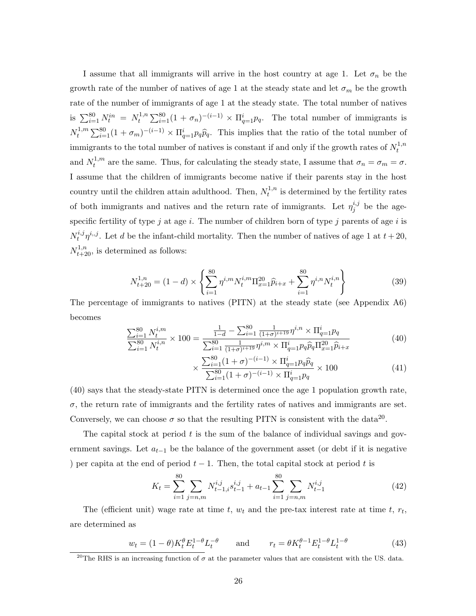I assume that all immigrants will arrive in the host country at age 1. Let  $\sigma_n$  be the growth rate of the number of natives of age 1 at the steady state and let  $\sigma_m$  be the growth rate of the number of immigrants of age 1 at the steady state. The total number of natives is  $\sum_{i=1}^{80} N_t^{in} = N_t^{1,n}$  $\prod_{i=1}^{n} (1 + \sigma_n)^{-(i-1)} \times \prod_{q=1}^{i} p_q$ . The total number of immigrants is  $N_t^{1,m}$  $\sum_{i=1}^{1,m} \sum_{i=1}^{80} (1 + \sigma_m)^{-(i-1)} \times \Pi_{q=1}^i p_q \hat{p}_q$ . This implies that the ratio of the total number of immigrants to the total number of natives is constant if and only if the growth rates of  $N_t^{1,n}$ t and  $N_t^{1,m}$ <sup>1,*m*</sup> are the same. Thus, for calculating the steady state, I assume that  $\sigma_n = \sigma_m = \sigma$ . I assume that the children of immigrants become native if their parents stay in the host country until the children attain adulthood. Then,  $N_t^{1,n}$  $t^{1,n}$  is determined by the fertility rates of both immigrants and natives and the return rate of immigrants. Let  $\eta_i^{i,j}$  $j^{i,j}$  be the agespecific fertility of type  $j$  at age  $i$ . The number of children born of type  $j$  parents of age  $i$  is  $N_t^{i,j}$  $t^{i,j} \eta^{i,j}$ . Let d be the infant-child mortality. Then the number of natives of age 1 at  $t + 20$ ,  $N_{t+20}^{1,n}$ , is determined as follows:

$$
N_{t+20}^{1,n} = (1-d) \times \left\{ \sum_{i=1}^{80} \eta^{i,m} N_t^{i,m} \Pi_{x=1}^{20} \widehat{p}_{i+x} + \sum_{i=1}^{80} \eta^{i,n} N_t^{i,n} \right\}
$$
(39)

The percentage of immigrants to natives (PITN) at the steady state (see Appendix A6) becomes

$$
\frac{\sum_{i=1}^{80} N_t^{i,m}}{\sum_{i=1}^{80} N_t^{i,m}} \times 100 = \frac{\frac{1}{1-d} - \sum_{i=1}^{80} \frac{1}{(1+\sigma)^{i+19}} \eta^{i,n} \times \Pi_{q=1}^i p_q}{\sum_{i=1}^{80} \frac{1}{(1+\sigma)^{i+19}} \eta^{i,m} \times \Pi_{q=1}^i p_q \widehat{p}_q \Pi_{x=1}^{20} \widehat{p}_{i+x}}
$$
(40)

$$
\times \frac{\sum_{i=1}^{80} (1+\sigma)^{-(i-1)} \times \Pi_{q=1}^{i} p_q \widehat{p}_q}{\sum_{i=1}^{80} (1+\sigma)^{-(i-1)} \times \Pi_{q=1}^{i} p_q} \times 100
$$
\n(41)

(40) says that the steady-state PITN is determined once the age 1 population growth rate,  $\sigma$ , the return rate of immigrants and the fertility rates of natives and immigrants are set. Conversely, we can choose  $\sigma$  so that the resulting PITN is consistent with the data<sup>20</sup>.

The capital stock at period  $t$  is the sum of the balance of individual savings and government savings. Let  $a_{t-1}$  be the balance of the government asset (or debt if it is negative ) per capita at the end of period  $t-1$ . Then, the total capital stock at period t is

$$
K_t = \sum_{i=1}^{80} \sum_{j=n,m} N_{t-1,i}^{i,j} s_{t-1}^{i,j} + a_{t-1} \sum_{i=1}^{80} \sum_{j=n,m} N_{t-1}^{i,j}
$$
(42)

The (efficient unit) wage rate at time  $t, w_t$  and the pre-tax interest rate at time  $t, r_t$ , are determined as

$$
w_t = (1 - \theta)K_t^{\theta} E_t^{1 - \theta} L_t^{-\theta} \quad \text{and} \quad r_t = \theta K_t^{\theta - 1} E_t^{1 - \theta} L_t^{1 - \theta} \tag{43}
$$

<sup>&</sup>lt;sup>20</sup>The RHS is an increasing function of  $\sigma$  at the parameter values that are consistent with the US. data.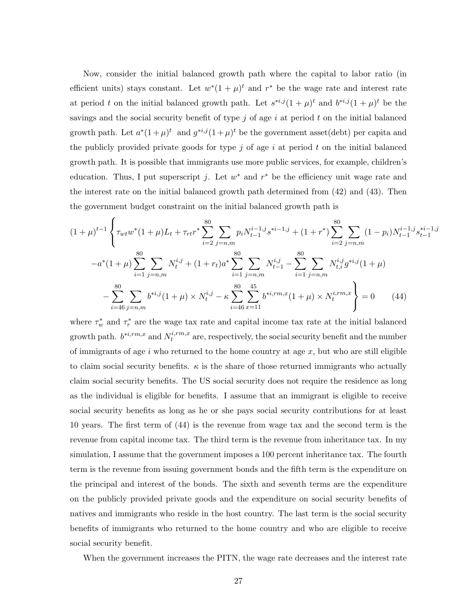Now, consider the initial balanced growth path where the capital to labor ratio (in efficient units) stays constant. Let  $w^*(1 + \mu)^t$  and  $r^*$  be the wage rate and interest rate at period t on the initial balanced growth path. Let  $s^{*i,j}(1+\mu)^t$  and  $b^{*i,j}(1+\mu)^t$  be the savings and the social security benefit of type  $j$  of age  $i$  at period  $t$  on the initial balanced growth path. Let  $a^*(1+\mu)^t$  and  $g^{*i,j}(1+\mu)^t$  be the government asset(debt) per capita and the publicly provided private goods for type  $j$  of age  $i$  at period  $t$  on the initial balanced growth path. It is possible that immigrants use more public services, for example, children's education. Thus, I put superscript j. Let  $w^*$  and  $r^*$  be the efficiency unit wage rate and the interest rate on the initial balanced growth path determined from (42) and (43). Then the government budget constraint on the initial balanced growth path is

$$
(1+\mu)^{t-1} \left\{ \tau_{wt} w^*(1+\mu) L_t + \tau_{rt} r^* \sum_{i=2}^{80} \sum_{j=n,m} p_i N_{t-1}^{i-1,j} s^{*i-1,j} + (1+r^*) \sum_{i=2}^{80} \sum_{j=n,m} (1-p_i) N_{t-1}^{i-1,j} s_{t-1}^{*i-1,j} \right\}
$$

$$
-a^*(1+\mu) \sum_{i=1}^{80} \sum_{j=n,m} N_t^{i,j} + (1+r_t)a^* \sum_{i=1}^{80} \sum_{j=n,m} N_{t-1}^{i,j} - \sum_{i=1}^{80} \sum_{j=n,m} N_{t,i}^{i,j} g^{*i,j} (1+\mu)
$$

$$
- \sum_{i=46}^{80} \sum_{j=n,m} b^{*i,j} (1+\mu) \times N_t^{i,j} - \kappa \sum_{i=46}^{80} \sum_{x=11}^{45} b^{*i,rm,x} (1+\mu) \times N_t^{i,rm,x} \right\} = 0 \qquad (44)
$$

where  $\tau_w^*$  and  $\tau_r^*$  are the wage tax rate and capital income tax rate at the initial balanced growth path.  $b^{*i,rm,x}$  and  $N_t^{i,rm,x}$  $t^{i,rm,x}$  are, respectively, the social security benefit and the number of immigrants of age i who returned to the home country at age  $x$ , but who are still eligible to claim social security benefits.  $\kappa$  is the share of those returned immigrants who actually claim social security benefits. The US social security does not require the residence as long as the individual is eligible for benefits. I assume that an immigrant is eligible to receive social security benefits as long as he or she pays social security contributions for at least 10 years. The first term of (44) is the revenue from wage tax and the second term is the revenue from capital income tax. The third term is the revenue from inheritance tax. In my simulation, I assume that the government imposes a 100 percent inheritance tax. The fourth term is the revenue from issuing government bonds and the fifth term is the expenditure on the principal and interest of the bonds. The sixth and seventh terms are the expenditure on the publicly provided private goods and the expenditure on social security benefits of natives and immigrants who reside in the host country. The last term is the social security benefits of immigrants who returned to the home country and who are eligible to receive social security benefit.

When the government increases the PITN, the wage rate decreases and the interest rate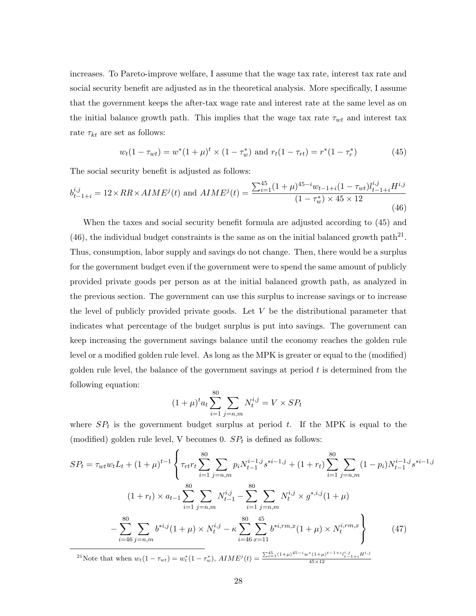increases. To Pareto-improve welfare, I assume that the wage tax rate, interest tax rate and social security benefit are adjusted as in the theoretical analysis. More specifically, I assume that the government keeps the after-tax wage rate and interest rate at the same level as on the initial balance growth path. This implies that the wage tax rate  $\tau_{wt}$  and interest tax rate  $\tau_{kt}$  are set as follows:

$$
w_t(1 - \tau_{wt}) = w^*(1 + \mu)^t \times (1 - \tau_w^*) \text{ and } r_t(1 - \tau_{rt}) = r^*(1 - \tau_r^*)
$$
 (45)

The social security benefit is adjusted as follows:

$$
b_{t-1+i}^{i,j} = 12 \times RR \times AIME^{j}(t) \text{ and } AIME^{j}(t) = \frac{\sum_{i=1}^{45} (1+\mu)^{45-i} w_{t-1+i} (1-\tau_{wt}) l_{t-1+i}^{i,j} H^{i,j}}{(1-\tau_{w}^{*}) \times 45 \times 12}
$$
\n(46)

When the taxes and social security benefit formula are adjusted according to (45) and  $(46)$ , the individual budget constraints is the same as on the initial balanced growth path<sup>21</sup>. Thus, consumption, labor supply and savings do not change. Then, there would be a surplus for the government budget even if the government were to spend the same amount of publicly provided private goods per person as at the initial balanced growth path, as analyzed in the previous section. The government can use this surplus to increase savings or to increase the level of publicly provided private goods. Let V be the distributional parameter that indicates what percentage of the budget surplus is put into savings. The government can keep increasing the government savings balance until the economy reaches the golden rule level or a modified golden rule level. As long as the MPK is greater or equal to the (modified) golden rule level, the balance of the government savings at period  $t$  is determined from the following equation:

$$
(1 + \mu)^{t} a_{t} \sum_{i=1}^{80} \sum_{j=n,m} N_{t}^{i,j} = V \times SP_{t}
$$

where  $SP_t$  is the government budget surplus at period t. If the MPK is equal to the (modified) golden rule level, V becomes 0.  $SP<sub>t</sub>$  is defined as follows:

$$
SP_{t} = \tau_{wt} w_{t} L_{t} + (1 + \mu)^{t-1} \left\{ \tau_{rt} r_{t} \sum_{i=1}^{80} \sum_{j=n,m} p_{i} N_{t-1}^{i-1,j} s^{*i-1,j} + (1 + r_{t}) \sum_{i=1}^{80} \sum_{j=n,m} (1 - p_{i}) N_{t-1}^{i-1,j} s^{*i-1,j} \right\}
$$
  

$$
(1 + r_{t}) \times a_{t-1} \sum_{i=1}^{80} \sum_{j=n,m} N_{t-1}^{i,j} - \sum_{i=1}^{80} \sum_{j=n,m} N_{t}^{i,j} \times g^{*,i,j} (1 + \mu)
$$
  

$$
- \sum_{i=46}^{80} \sum_{j=n,m} b^{*i,j} (1 + \mu) \times N_{t}^{i,j} - \kappa \sum_{i=46}^{80} \sum_{x=11}^{45} b^{*i,rm,x} (1 + \mu) \times N_{t}^{i,rm,x} \right\}
$$
(47)

<sup>21</sup>Note that when  $w_t(1 - \tau_{wt}) = w_t^*(1 - \tau_w^*)$ ,  $\text{AIME}^j(t) = \frac{\sum_{i=1}^{45} (1 + \mu)^{45-i} w^*(1 + \mu)^{t-1+i} i_{t-1+i}^{i,j} H^{i,j}}{45 \times 12}$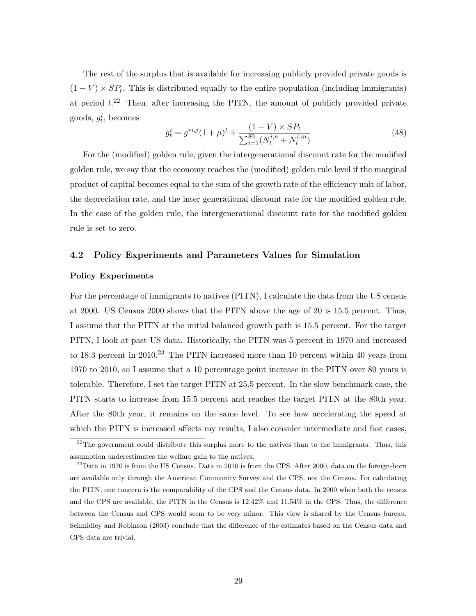The rest of the surplus that is available for increasing publicly provided private goods is  $(1 - V) \times SP_t$ . This is distributed equally to the entire population (including immigrants) at period  $t^{22}$ . Then, after increasing the PITN, the amount of publicly provided private goods,  $g_t^i$ , becomes

$$
g_t^i = g^{*i,j}(1+\mu)^t + \frac{(1-V) \times SP_t}{\sum_{i=1}^{80} (N_t^{i,n} + N_t^{i,m})}
$$
(48)

For the (modified) golden rule, given the intergenerational discount rate for the modified golden rule, we say that the economy reaches the (modified) golden rule level if the marginal product of capital becomes equal to the sum of the growth rate of the efficiency unit of labor, the depreciation rate, and the inter generational discount rate for the modified golden rule. In the case of the golden rule, the intergenerational discount rate for the modified golden rule is set to zero.

#### 4.2 Policy Experiments and Parameters Values for Simulation

#### Policy Experiments

For the percentage of immigrants to natives (PITN), I calculate the data from the US census at 2000. US Census 2000 shows that the PITN above the age of 20 is 15.5 percent. Thus, I assume that the PITN at the initial balanced growth path is 15.5 percent. For the target PITN, I look at past US data. Historically, the PITN was 5 percent in 1970 and increased to 18.3 percent in 2010.<sup>23</sup> The PITN increased more than 10 percent within 40 years from 1970 to 2010, so I assume that a 10 percentage point increase in the PITN over 80 years is tolerable. Therefore, I set the target PITN at 25.5 percent. In the slow benchmark case, the PITN starts to increase from 15.5 percent and reaches the target PITN at the 80th year. After the 80th year, it remains on the same level. To see how accelerating the speed at which the PITN is increased affects my results, I also consider intermediate and fast cases,

 $2<sup>22</sup>$ The government could distribute this surplus more to the natives than to the immigrants. Thus, this assumption underestimates the welfare gain to the natives.

 $^{23}$ Data in 1970 is from the US Census. Data in 2010 is from the CPS. After 2000, data on the foreign-born are available only through the American Community Survey and the CPS, not the Census. For calculating the PITN, one concern is the comparability of the CPS and the Census data. In 2000 when both the census and the CPS are available, the PITN in the Census is 12.42% and 11.54% in the CPS. Thus, the difference between the Census and CPS would seem to be very minor. This view is shared by the Census bureau. Schmidley and Robinson (2003) conclude that the difference of the estimates based on the Census data and CPS data are trivial.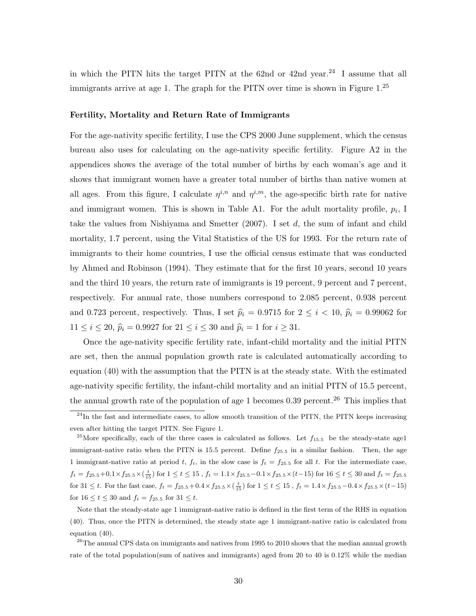in which the PITN hits the target PITN at the  $62nd$  or  $42nd$  year.<sup>24</sup> I assume that all immigrants arrive at age 1. The graph for the PITN over time is shown in Figure 1.<sup>25</sup>

#### Fertility, Mortality and Return Rate of Immigrants

For the age-nativity specific fertility, I use the CPS 2000 June supplement, which the census bureau also uses for calculating on the age-nativity specific fertility. Figure A2 in the appendices shows the average of the total number of births by each woman's age and it shows that immigrant women have a greater total number of births than native women at all ages. From this figure, I calculate  $\eta^{i,n}$  and  $\eta^{i,m}$ , the age-specific birth rate for native and immigrant women. This is shown in Table A1. For the adult mortality profile,  $p_i$ , I take the values from Nishiyama and Smetter  $(2007)$ . I set d, the sum of infant and child mortality, 1.7 percent, using the Vital Statistics of the US for 1993. For the return rate of immigrants to their home countries, I use the official census estimate that was conducted by Ahmed and Robinson (1994). They estimate that for the first 10 years, second 10 years and the third 10 years, the return rate of immigrants is 19 percent, 9 percent and 7 percent, respectively. For annual rate, those numbers correspond to 2.085 percent, 0.938 percent and 0.723 percent, respectively. Thus, I set  $\hat{p}_i = 0.9715$  for  $2 \leq i \leq 10$ ,  $\hat{p}_i = 0.99062$  for  $11\leq i\leq 20,$   $\widehat{p}_i=0.9927$  for  $21\leq i\leq 30$  and  $\widehat{p}_i=1$  for  $i\geq 31.$ 

Once the age-nativity specific fertility rate, infant-child mortality and the initial PITN are set, then the annual population growth rate is calculated automatically according to equation (40) with the assumption that the PITN is at the steady state. With the estimated age-nativity specific fertility, the infant-child mortality and an initial PITN of 15.5 percent, the annual growth rate of the population of age 1 becomes 0.39 percent.<sup>26</sup> This implies that

 $^{24}$ In the fast and intermediate cases, to allow smooth transition of the PITN, the PITN keeps increasing even after hitting the target PITN. See Figure 1.

<sup>&</sup>lt;sup>25</sup>More specifically, each of the three cases is calculated as follows. Let  $f_{15.5}$  be the steady-state age1 immigrant-native ratio when the PITN is 15.5 percent. Define  $f_{25.5}$  in a similar fashion. Then, the age 1 immigrant-native ratio at period t,  $f_t$ , in the slow case is  $f_t = f_{25.5}$  for all t. For the intermediate case,  $f_t = f_{25.5} + 0.1 \times f_{25.5} \times (\frac{t}{15})$  for  $1 \le t \le 15$ ,  $f_t = 1.1 \times f_{25.5} - 0.1 \times f_{25.5} \times (t - 15)$  for  $16 \le t \le 30$  and  $f_t = f_{25.5}$ for  $31 \le t$ . For the fast case,  $f_t = f_{25.5} + 0.4 \times f_{25.5} \times (\frac{t}{15})$  for  $1 \le t \le 15$ ,  $f_t = 1.4 \times f_{25.5} - 0.4 \times f_{25.5} \times (t - 15)$ for  $16 \le t \le 30$  and  $f_t = f_{25.5}$  for  $31 \le t$ .

Note that the steady-state age 1 immigrant-native ratio is defined in the first term of the RHS in equation (40). Thus, once the PITN is determined, the steady state age 1 immigrant-native ratio is calculated from equation (40).

 $^{26}$ The annual CPS data on immigrants and natives from 1995 to 2010 shows that the median annual growth rate of the total population(sum of natives and immigrants) aged from 20 to 40 is 0.12% while the median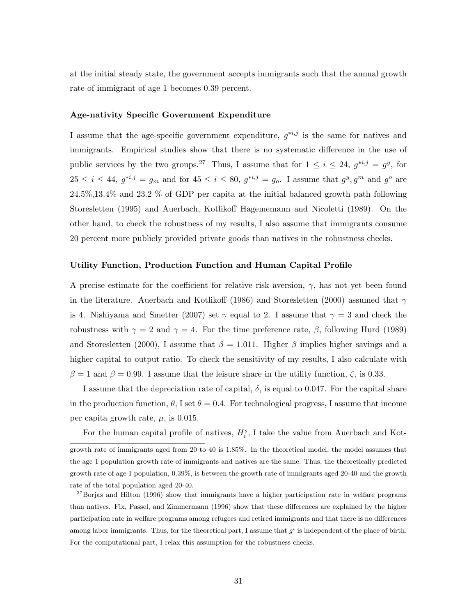at the initial steady state, the government accepts immigrants such that the annual growth rate of immigrant of age 1 becomes 0.39 percent.

#### Age-nativity Specific Government Expenditure

I assume that the age-specific government expenditure,  $g^{*i,j}$  is the same for natives and immigrants. Empirical studies show that there is no systematic difference in the use of public services by the two groups.<sup>27</sup> Thus, I assume that for  $1 \leq i \leq 24$ ,  $g^{*i,j} = g^y$ , for  $25 \leq i \leq 44$ ,  $g^{*i,j} = g_m$  and for  $45 \leq i \leq 80$ ,  $g^{*i,j} = g_o$ . I assume that  $g^y, g^m$  and  $g^o$  are 24.5%,13.4% and 23.2 % of GDP per capita at the initial balanced growth path following Storesletten (1995) and Auerbach, Kotlikoff Hagememann and Nicoletti (1989). On the other hand, to check the robustness of my results, I also assume that immigrants consume 20 percent more publicly provided private goods than natives in the robustness checks.

#### Utility Function, Production Function and Human Capital Profile

A precise estimate for the coefficient for relative risk aversion,  $\gamma$ , has not yet been found in the literature. Auerbach and Kotlikoff (1986) and Storesletten (2000) assumed that  $\gamma$ is 4. Nishiyama and Smetter (2007) set  $\gamma$  equal to 2. I assume that  $\gamma = 3$  and check the robustness with  $\gamma = 2$  and  $\gamma = 4$ . For the time preference rate,  $\beta$ , following Hurd (1989) and Storesletten (2000), I assume that  $\beta = 1.011$ . Higher  $\beta$  implies higher savings and a higher capital to output ratio. To check the sensitivity of my results, I also calculate with  $β = 1$  and  $β = 0.99$ . I assume that the leisure share in the utility function,  $ζ$ , is 0.33.

I assume that the depreciation rate of capital,  $\delta$ , is equal to 0.047. For the capital share in the production function,  $\theta$ , I set  $\theta = 0.4$ . For technological progress, I assume that income per capita growth rate,  $\mu$ , is 0.015.

For the human capital profile of natives,  $H_i^s$ , I take the value from Auerbach and Kotgrowth rate of immigrants aged from 20 to 40 is 1.85%. In the theoretical model, the model assumes that the age 1 population growth rate of immigrants and natives are the same. Thus, the theoretically predicted growth rate of age 1 population, 0.39%, is between the growth rate of immigrants aged 20-40 and the growth rate of the total population aged 20-40.

 $^{27}$ Borjas and Hilton (1996) show that immigrants have a higher participation rate in welfare programs than natives. Fix, Passel, and Zimmermann (1996) show that these differences are explained by the higher participation rate in welfare programs among refugees and retired immigrants and that there is no differences among labor immigrants. Thus, for the theoretical part, I assume that  $g^i$  is independent of the place of birth. For the computational part, I relax this assumption for the robustness checks.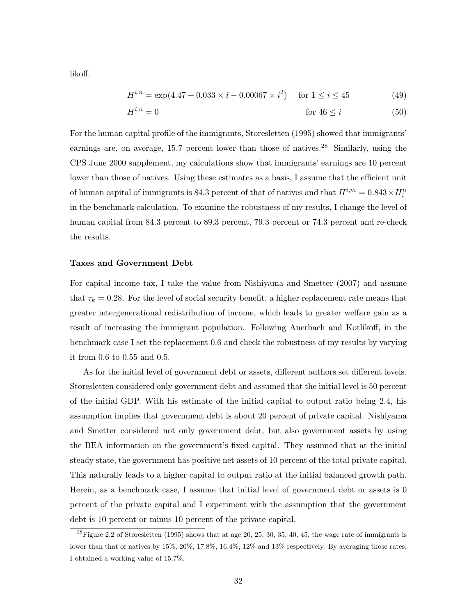likoff.

$$
H^{i,n} = \exp(4.47 + 0.033 \times i - 0.00067 \times i^2) \quad \text{for } 1 \le i \le 45 \tag{49}
$$

$$
H^{i,n} = 0 \t\t for 46 \le i \t\t (50)
$$

For the human capital profile of the immigrants, Storesletten (1995) showed that immigrants' earnings are, on average,  $15.7$  percent lower than those of natives.<sup>28</sup> Similarly, using the CPS June 2000 supplement, my calculations show that immigrants' earnings are 10 percent lower than those of natives. Using these estimates as a basis, I assume that the efficient unit of human capital of immigrants is 84.3 percent of that of natives and that  $H^{i,m} = 0.843 \times H_i^n$ in the benchmark calculation. To examine the robustness of my results, I change the level of human capital from 84.3 percent to 89.3 percent, 79.3 percent or 74.3 percent and re-check the results.

#### Taxes and Government Debt

For capital income tax, I take the value from Nishiyama and Smetter (2007) and assume that  $\tau_k = 0.28$ . For the level of social security benefit, a higher replacement rate means that greater intergenerational redistribution of income, which leads to greater welfare gain as a result of increasing the immigrant population. Following Auerbach and Kotlikoff, in the benchmark case I set the replacement 0.6 and check the robustness of my results by varying it from 0.6 to 0.55 and 0.5.

As for the initial level of government debt or assets, different authors set different levels. Storesletten considered only government debt and assumed that the initial level is 50 percent of the initial GDP. With his estimate of the initial capital to output ratio being 2.4, his assumption implies that government debt is about 20 percent of private capital. Nishiyama and Smetter considered not only government debt, but also government assets by using the BEA information on the government's fixed capital. They assumed that at the initial steady state, the government has positive net assets of 10 percent of the total private capital. This naturally leads to a higher capital to output ratio at the initial balanced growth path. Herein, as a benchmark case, I assume that initial level of government debt or assets is 0 percent of the private capital and I experiment with the assumption that the government debt is 10 percent or minus 10 percent of the private capital.

 $^{28}$ Figure 2.2 of Storesletten (1995) shows that at age 20, 25, 30, 35, 40, 45, the wage rate of immigrants is lower than that of natives by 15%, 20%, 17.8%, 16.4%, 12% and 13% respectively. By averaging those rates, I obtained a working value of 15.7%.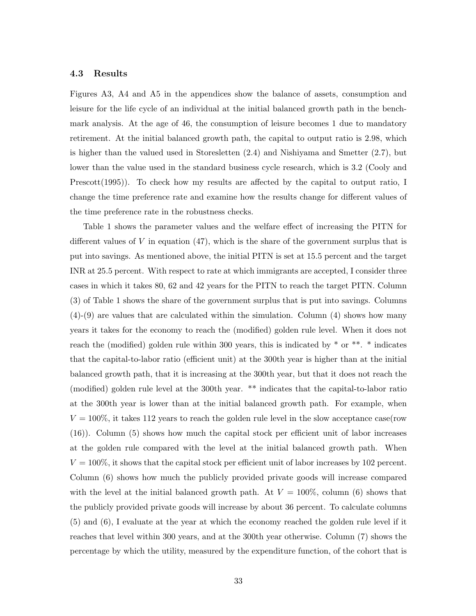#### 4.3 Results

Figures A3, A4 and A5 in the appendices show the balance of assets, consumption and leisure for the life cycle of an individual at the initial balanced growth path in the benchmark analysis. At the age of 46, the consumption of leisure becomes 1 due to mandatory retirement. At the initial balanced growth path, the capital to output ratio is 2.98, which is higher than the valued used in Storesletten (2.4) and Nishiyama and Smetter (2.7), but lower than the value used in the standard business cycle research, which is 3.2 (Cooly and Prescott(1995)). To check how my results are affected by the capital to output ratio, I change the time preference rate and examine how the results change for different values of the time preference rate in the robustness checks.

Table 1 shows the parameter values and the welfare effect of increasing the PITN for different values of V in equation  $(47)$ , which is the share of the government surplus that is put into savings. As mentioned above, the initial PITN is set at 15.5 percent and the target INR at 25.5 percent. With respect to rate at which immigrants are accepted, I consider three cases in which it takes 80, 62 and 42 years for the PITN to reach the target PITN. Column (3) of Table 1 shows the share of the government surplus that is put into savings. Columns (4)-(9) are values that are calculated within the simulation. Column (4) shows how many years it takes for the economy to reach the (modified) golden rule level. When it does not reach the (modified) golden rule within 300 years, this is indicated by \* or \*\*. \* indicates that the capital-to-labor ratio (efficient unit) at the 300th year is higher than at the initial balanced growth path, that it is increasing at the 300th year, but that it does not reach the (modified) golden rule level at the 300th year. \*\* indicates that the capital-to-labor ratio at the 300th year is lower than at the initial balanced growth path. For example, when  $V = 100\%$ , it takes 112 years to reach the golden rule level in the slow acceptance case(row (16)). Column (5) shows how much the capital stock per efficient unit of labor increases at the golden rule compared with the level at the initial balanced growth path. When  $V = 100\%$ , it shows that the capital stock per efficient unit of labor increases by 102 percent. Column (6) shows how much the publicly provided private goods will increase compared with the level at the initial balanced growth path. At  $V = 100\%$ , column (6) shows that the publicly provided private goods will increase by about 36 percent. To calculate columns (5) and (6), I evaluate at the year at which the economy reached the golden rule level if it reaches that level within 300 years, and at the 300th year otherwise. Column (7) shows the percentage by which the utility, measured by the expenditure function, of the cohort that is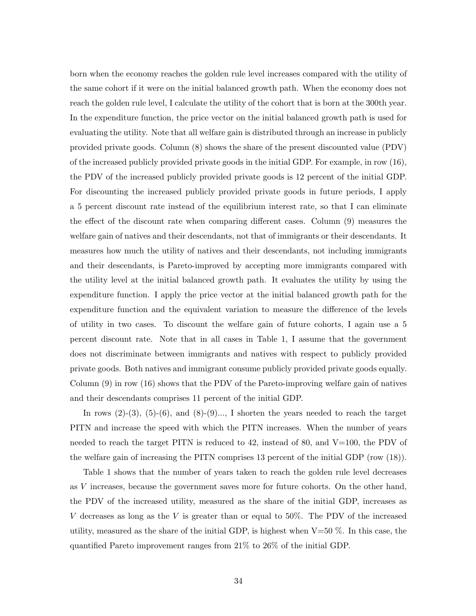born when the economy reaches the golden rule level increases compared with the utility of the same cohort if it were on the initial balanced growth path. When the economy does not reach the golden rule level, I calculate the utility of the cohort that is born at the 300th year. In the expenditure function, the price vector on the initial balanced growth path is used for evaluating the utility. Note that all welfare gain is distributed through an increase in publicly provided private goods. Column (8) shows the share of the present discounted value (PDV) of the increased publicly provided private goods in the initial GDP. For example, in row (16), the PDV of the increased publicly provided private goods is 12 percent of the initial GDP. For discounting the increased publicly provided private goods in future periods, I apply a 5 percent discount rate instead of the equilibrium interest rate, so that I can eliminate the effect of the discount rate when comparing different cases. Column (9) measures the welfare gain of natives and their descendants, not that of immigrants or their descendants. It measures how much the utility of natives and their descendants, not including immigrants and their descendants, is Pareto-improved by accepting more immigrants compared with the utility level at the initial balanced growth path. It evaluates the utility by using the expenditure function. I apply the price vector at the initial balanced growth path for the expenditure function and the equivalent variation to measure the difference of the levels of utility in two cases. To discount the welfare gain of future cohorts, I again use a 5 percent discount rate. Note that in all cases in Table 1, I assume that the government does not discriminate between immigrants and natives with respect to publicly provided private goods. Both natives and immigrant consume publicly provided private goods equally. Column (9) in row (16) shows that the PDV of the Pareto-improving welfare gain of natives and their descendants comprises 11 percent of the initial GDP.

In rows  $(2)-(3)$ ,  $(5)-(6)$ , and  $(8)-(9)$ ..., I shorten the years needed to reach the target PITN and increase the speed with which the PITN increases. When the number of years needed to reach the target PITN is reduced to 42, instead of 80, and  $V=100$ , the PDV of the welfare gain of increasing the PITN comprises 13 percent of the initial GDP (row (18)).

Table 1 shows that the number of years taken to reach the golden rule level decreases as V increases, because the government saves more for future cohorts. On the other hand, the PDV of the increased utility, measured as the share of the initial GDP, increases as V decreases as long as the V is greater than or equal to 50%. The PDV of the increased utility, measured as the share of the initial GDP, is highest when  $V=50\%$ . In this case, the quantified Pareto improvement ranges from 21% to 26% of the initial GDP.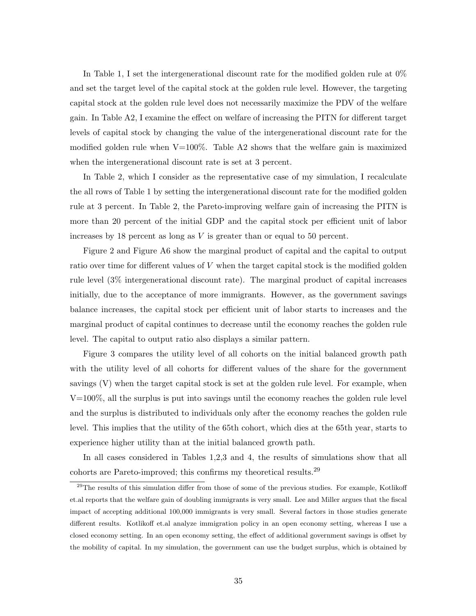In Table 1, I set the intergenerational discount rate for the modified golden rule at  $0\%$ and set the target level of the capital stock at the golden rule level. However, the targeting capital stock at the golden rule level does not necessarily maximize the PDV of the welfare gain. In Table A2, I examine the effect on welfare of increasing the PITN for different target levels of capital stock by changing the value of the intergenerational discount rate for the modified golden rule when  $V=100\%$ . Table A2 shows that the welfare gain is maximized when the intergenerational discount rate is set at 3 percent.

In Table 2, which I consider as the representative case of my simulation, I recalculate the all rows of Table 1 by setting the intergenerational discount rate for the modified golden rule at 3 percent. In Table 2, the Pareto-improving welfare gain of increasing the PITN is more than 20 percent of the initial GDP and the capital stock per efficient unit of labor increases by 18 percent as long as V is greater than or equal to 50 percent.

Figure 2 and Figure A6 show the marginal product of capital and the capital to output ratio over time for different values of  $V$  when the target capital stock is the modified golden rule level (3% intergenerational discount rate). The marginal product of capital increases initially, due to the acceptance of more immigrants. However, as the government savings balance increases, the capital stock per efficient unit of labor starts to increases and the marginal product of capital continues to decrease until the economy reaches the golden rule level. The capital to output ratio also displays a similar pattern.

Figure 3 compares the utility level of all cohorts on the initial balanced growth path with the utility level of all cohorts for different values of the share for the government savings (V) when the target capital stock is set at the golden rule level. For example, when  $V=100\%$ , all the surplus is put into savings until the economy reaches the golden rule level and the surplus is distributed to individuals only after the economy reaches the golden rule level. This implies that the utility of the 65th cohort, which dies at the 65th year, starts to experience higher utility than at the initial balanced growth path.

In all cases considered in Tables 1,2,3 and 4, the results of simulations show that all cohorts are Pareto-improved; this confirms my theoretical results.<sup>29</sup>

<sup>&</sup>lt;sup>29</sup>The results of this simulation differ from those of some of the previous studies. For example, Kotlikoff et.al reports that the welfare gain of doubling immigrants is very small. Lee and Miller argues that the fiscal impact of accepting additional 100,000 immigrants is very small. Several factors in those studies generate different results. Kotlikoff et.al analyze immigration policy in an open economy setting, whereas I use a closed economy setting. In an open economy setting, the effect of additional government savings is offset by the mobility of capital. In my simulation, the government can use the budget surplus, which is obtained by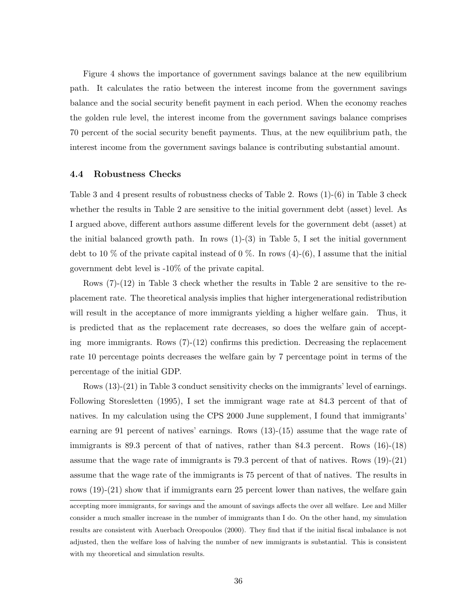Figure 4 shows the importance of government savings balance at the new equilibrium path. It calculates the ratio between the interest income from the government savings balance and the social security benefit payment in each period. When the economy reaches the golden rule level, the interest income from the government savings balance comprises 70 percent of the social security benefit payments. Thus, at the new equilibrium path, the interest income from the government savings balance is contributing substantial amount.

#### 4.4 Robustness Checks

Table 3 and 4 present results of robustness checks of Table 2. Rows (1)-(6) in Table 3 check whether the results in Table 2 are sensitive to the initial government debt (asset) level. As I argued above, different authors assume different levels for the government debt (asset) at the initial balanced growth path. In rows  $(1)-(3)$  in Table 5, I set the initial government debt to 10 % of the private capital instead of 0 %. In rows  $(4)-(6)$ , I assume that the initial government debt level is -10% of the private capital.

Rows (7)-(12) in Table 3 check whether the results in Table 2 are sensitive to the replacement rate. The theoretical analysis implies that higher intergenerational redistribution will result in the acceptance of more immigrants yielding a higher welfare gain. Thus, it is predicted that as the replacement rate decreases, so does the welfare gain of accepting more immigrants. Rows (7)-(12) confirms this prediction. Decreasing the replacement rate 10 percentage points decreases the welfare gain by 7 percentage point in terms of the percentage of the initial GDP.

Rows (13)-(21) in Table 3 conduct sensitivity checks on the immigrants' level of earnings. Following Storesletten (1995), I set the immigrant wage rate at 84.3 percent of that of natives. In my calculation using the CPS 2000 June supplement, I found that immigrants' earning are 91 percent of natives' earnings. Rows (13)-(15) assume that the wage rate of immigrants is 89.3 percent of that of natives, rather than 84.3 percent. Rows  $(16)-(18)$ assume that the wage rate of immigrants is 79.3 percent of that of natives. Rows (19)-(21) assume that the wage rate of the immigrants is 75 percent of that of natives. The results in rows  $(19)-(21)$  show that if immigrants earn 25 percent lower than natives, the welfare gain

accepting more immigrants, for savings and the amount of savings affects the over all welfare. Lee and Miller consider a much smaller increase in the number of immigrants than I do. On the other hand, my simulation results are consistent with Auerbach Oreopoulos (2000). They find that if the initial fiscal imbalance is not adjusted, then the welfare loss of halving the number of new immigrants is substantial. This is consistent with my theoretical and simulation results.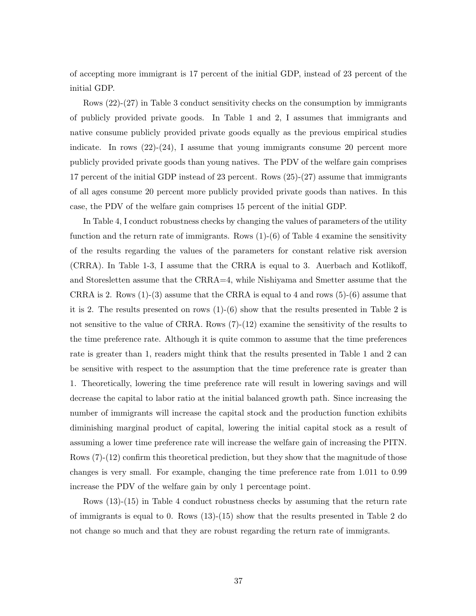of accepting more immigrant is 17 percent of the initial GDP, instead of 23 percent of the initial GDP.

Rows (22)-(27) in Table 3 conduct sensitivity checks on the consumption by immigrants of publicly provided private goods. In Table 1 and 2, I assumes that immigrants and native consume publicly provided private goods equally as the previous empirical studies indicate. In rows  $(22)-(24)$ , I assume that young immigrants consume 20 percent more publicly provided private goods than young natives. The PDV of the welfare gain comprises 17 percent of the initial GDP instead of 23 percent. Rows (25)-(27) assume that immigrants of all ages consume 20 percent more publicly provided private goods than natives. In this case, the PDV of the welfare gain comprises 15 percent of the initial GDP.

In Table 4, I conduct robustness checks by changing the values of parameters of the utility function and the return rate of immigrants. Rows  $(1)-(6)$  of Table 4 examine the sensitivity of the results regarding the values of the parameters for constant relative risk aversion (CRRA). In Table 1-3, I assume that the CRRA is equal to 3. Auerbach and Kotlikoff, and Storesletten assume that the CRRA=4, while Nishiyama and Smetter assume that the CRRA is 2. Rows  $(1)-(3)$  assume that the CRRA is equal to 4 and rows  $(5)-(6)$  assume that it is 2. The results presented on rows (1)-(6) show that the results presented in Table 2 is not sensitive to the value of CRRA. Rows (7)-(12) examine the sensitivity of the results to the time preference rate. Although it is quite common to assume that the time preferences rate is greater than 1, readers might think that the results presented in Table 1 and 2 can be sensitive with respect to the assumption that the time preference rate is greater than 1. Theoretically, lowering the time preference rate will result in lowering savings and will decrease the capital to labor ratio at the initial balanced growth path. Since increasing the number of immigrants will increase the capital stock and the production function exhibits diminishing marginal product of capital, lowering the initial capital stock as a result of assuming a lower time preference rate will increase the welfare gain of increasing the PITN. Rows (7)-(12) confirm this theoretical prediction, but they show that the magnitude of those changes is very small. For example, changing the time preference rate from 1.011 to 0.99 increase the PDV of the welfare gain by only 1 percentage point.

Rows (13)-(15) in Table 4 conduct robustness checks by assuming that the return rate of immigrants is equal to 0. Rows (13)-(15) show that the results presented in Table 2 do not change so much and that they are robust regarding the return rate of immigrants.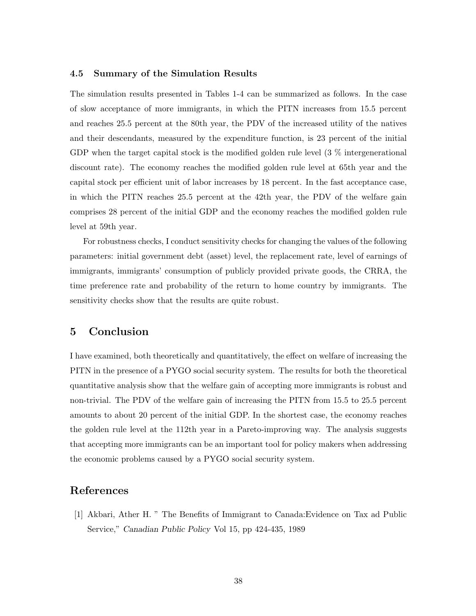#### 4.5 Summary of the Simulation Results

The simulation results presented in Tables 1-4 can be summarized as follows. In the case of slow acceptance of more immigrants, in which the PITN increases from 15.5 percent and reaches 25.5 percent at the 80th year, the PDV of the increased utility of the natives and their descendants, measured by the expenditure function, is 23 percent of the initial GDP when the target capital stock is the modified golden rule level (3 % intergenerational discount rate). The economy reaches the modified golden rule level at 65th year and the capital stock per efficient unit of labor increases by 18 percent. In the fast acceptance case, in which the PITN reaches 25.5 percent at the 42th year, the PDV of the welfare gain comprises 28 percent of the initial GDP and the economy reaches the modified golden rule level at 59th year.

For robustness checks, I conduct sensitivity checks for changing the values of the following parameters: initial government debt (asset) level, the replacement rate, level of earnings of immigrants, immigrants' consumption of publicly provided private goods, the CRRA, the time preference rate and probability of the return to home country by immigrants. The sensitivity checks show that the results are quite robust.

#### 5 Conclusion

I have examined, both theoretically and quantitatively, the effect on welfare of increasing the PITN in the presence of a PYGO social security system. The results for both the theoretical quantitative analysis show that the welfare gain of accepting more immigrants is robust and non-trivial. The PDV of the welfare gain of increasing the PITN from 15.5 to 25.5 percent amounts to about 20 percent of the initial GDP. In the shortest case, the economy reaches the golden rule level at the 112th year in a Pareto-improving way. The analysis suggests that accepting more immigrants can be an important tool for policy makers when addressing the economic problems caused by a PYGO social security system.

#### References

[1] Akbari, Ather H. " The Benefits of Immigrant to Canada:Evidence on Tax ad Public Service," Canadian Public Policy Vol 15, pp 424-435, 1989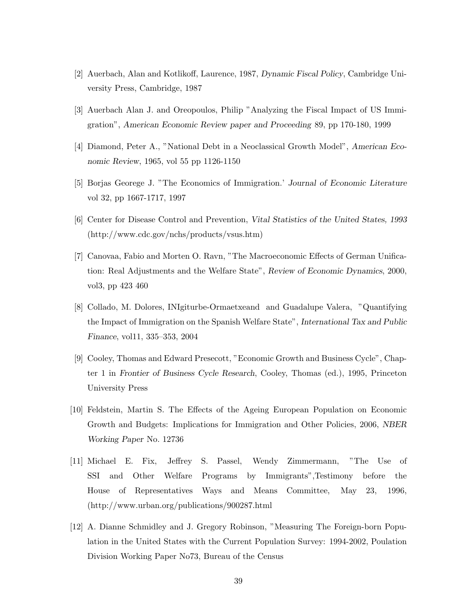- [2] Auerbach, Alan and Kotlikoff, Laurence, 1987, Dynamic Fiscal Policy, Cambridge University Press, Cambridge, 1987
- [3] Auerbach Alan J. and Oreopoulos, Philip "Analyzing the Fiscal Impact of US Immigration", American Economic Review paper and Proceeding 89, pp 170-180, 1999
- [4] Diamond, Peter A., "National Debt in a Neoclassical Growth Model", American Economic Review, 1965, vol 55 pp 1126-1150
- [5] Borjas Georege J. "The Economics of Immigration.' Journal of Economic Literature vol 32, pp 1667-1717, 1997
- [6] Center for Disease Control and Prevention, Vital Statistics of the United States, 1993 (http://www.cdc.gov/nchs/products/vsus.htm)
- [7] Canovaa, Fabio and Morten O. Ravn, "The Macroeconomic Effects of German Unification: Real Adjustments and the Welfare State", Review of Economic Dynamics, 2000, vol3, pp 423 460
- [8] Collado, M. Dolores, INIgiturbe-Ormaetxeand and Guadalupe Valera, "Quantifying the Impact of Immigration on the Spanish Welfare State", International Tax and Public Finance, vol11, 335–353, 2004
- [9] Cooley, Thomas and Edward Presecott, "Economic Growth and Business Cycle", Chapter 1 in Frontier of Business Cycle Research, Cooley, Thomas (ed.), 1995, Princeton University Press
- [10] Feldstein, Martin S. The Effects of the Ageing European Population on Economic Growth and Budgets: Implications for Immigration and Other Policies, 2006, NBER Working Paper No. 12736
- [11] Michael E. Fix, Jeffrey S. Passel, Wendy Zimmermann, "The Use of SSI and Other Welfare Programs by Immigrants",Testimony before the House of Representatives Ways and Means Committee, May 23, 1996, (http://www.urban.org/publications/900287.html
- [12] A. Dianne Schmidley and J. Gregory Robinson, "Measuring The Foreign-born Population in the United States with the Current Population Survey: 1994-2002, Poulation Division Working Paper No73, Bureau of the Census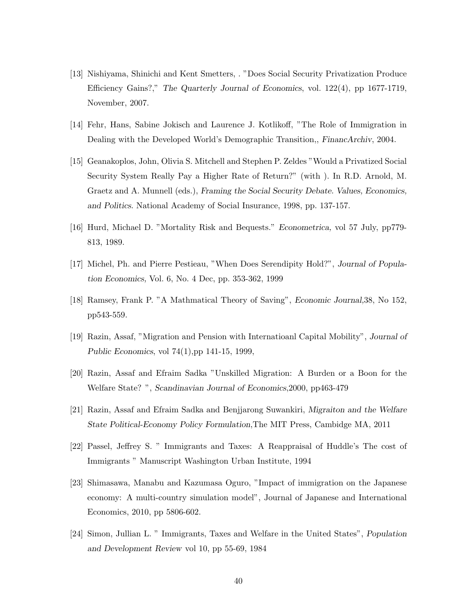- [13] Nishiyama, Shinichi and Kent Smetters, . "Does Social Security Privatization Produce Efficiency Gains?," The Quarterly Journal of Economics, vol. 122(4), pp 1677-1719, November, 2007.
- [14] Fehr, Hans, Sabine Jokisch and Laurence J. Kotlikoff, "The Role of Immigration in Dealing with the Developed World's Demographic Transition,, FinancArchiv, 2004.
- [15] Geanakoplos, John, Olivia S. Mitchell and Stephen P. Zeldes "Would a Privatized Social Security System Really Pay a Higher Rate of Return?" (with ). In R.D. Arnold, M. Graetz and A. Munnell (eds.), Framing the Social Security Debate. Values, Economics, and Politics. National Academy of Social Insurance, 1998, pp. 137-157.
- [16] Hurd, Michael D. "Mortality Risk and Bequests." Econometrica, vol 57 July, pp779- 813, 1989.
- [17] Michel, Ph. and Pierre Pestieau, "When Does Serendipity Hold?", Journal of Population Economics, Vol. 6, No. 4 Dec, pp. 353-362, 1999
- [18] Ramsey, Frank P. "A Mathmatical Theory of Saving", Economic Journal,38, No 152, pp543-559.
- [19] Razin, Assaf, "Migration and Pension with Internatioanl Capital Mobility", Journal of Public Economics, vol 74(1),pp 141-15, 1999,
- [20] Razin, Assaf and Efraim Sadka "Unskilled Migration: A Burden or a Boon for the Welfare State? ", Scandinavian Journal of Economics,2000, pp463-479
- [21] Razin, Assaf and Efraim Sadka and Benjjarong Suwankiri, Migraiton and the Welfare State Political-Economy Policy Formulation,The MIT Press, Cambidge MA, 2011
- [22] Passel, Jeffrey S. " Immigrants and Taxes: A Reappraisal of Huddle's The cost of Immigrants " Manuscript Washington Urban Institute, 1994
- [23] Shimasawa, Manabu and Kazumasa Oguro, "Impact of immigration on the Japanese economy: A multi-country simulation model", Journal of Japanese and International Economics, 2010, pp 5806-602.
- [24] Simon, Jullian L. " Immigrants, Taxes and Welfare in the United States", Population and Development Review vol 10, pp 55-69, 1984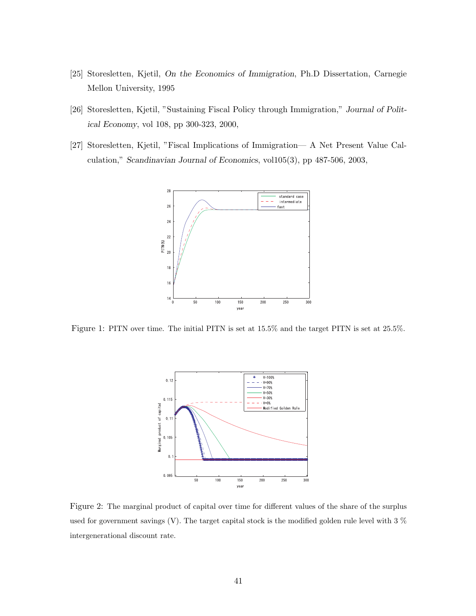- [25] Storesletten, Kjetil, On the Economics of Immigration, Ph.D Dissertation, Carnegie Mellon University, 1995
- [26] Storesletten, Kjetil, "Sustaining Fiscal Policy through Immigration," Journal of Political Economy, vol 108, pp 300-323, 2000,
- [27] Storesletten, Kjetil, "Fiscal Implications of Immigration— A Net Present Value Calculation," Scandinavian Journal of Economics, vol105(3), pp 487-506, 2003,



Figure 1: PITN over time. The initial PITN is set at 15.5% and the target PITN is set at 25.5%.



Figure 2: The marginal product of capital over time for different values of the share of the surplus used for government savings (V). The target capital stock is the modified golden rule level with 3 % intergenerational discount rate.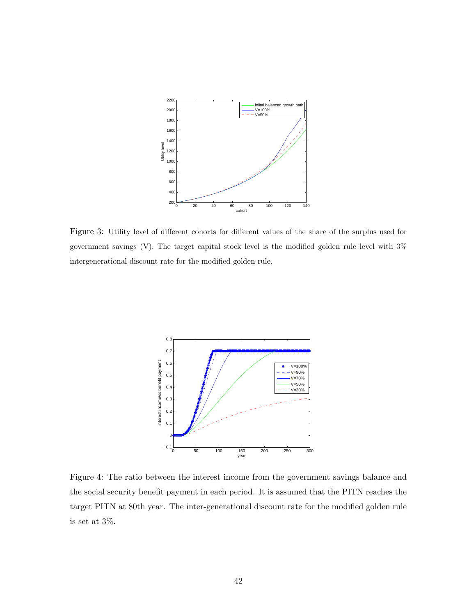

Figure 3: Utility level of different cohorts for different values of the share of the surplus used for government savings (V). The target capital stock level is the modified golden rule level with 3% intergenerational discount rate for the modified golden rule.



Figure 4: The ratio between the interest income from the government savings balance and the social security benefit payment in each period. It is assumed that the PITN reaches the target PITN at 80th year. The inter-generational discount rate for the modified golden rule is set at 3%.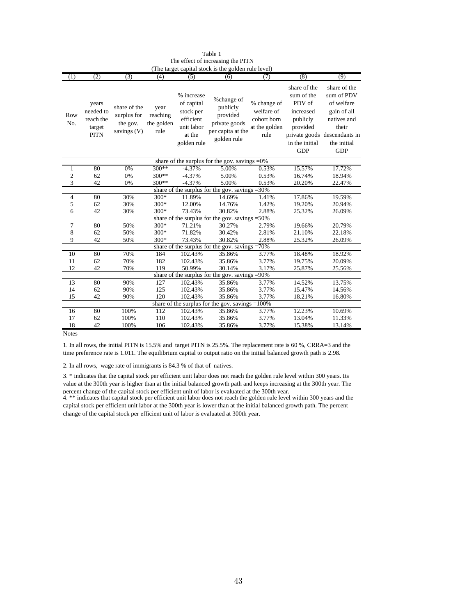| (1)                 | (2)                                                     | (3)          | (4)        | (5)         | (The target capital stock is the golden rule level)<br>(6) | (7)           | (8)            | (9)                          |  |
|---------------------|---------------------------------------------------------|--------------|------------|-------------|------------------------------------------------------------|---------------|----------------|------------------------------|--|
|                     |                                                         |              |            |             |                                                            |               |                |                              |  |
|                     |                                                         |              |            |             |                                                            |               | share of the   | share of the                 |  |
|                     |                                                         |              |            | % increase  | %change of                                                 |               | sum of the     | sum of PDV                   |  |
|                     | years                                                   | share of the | year       | of capital  | publicly                                                   | % change of   | PDV of         | of welfare                   |  |
| Row                 | needed to                                               | surplus for  | reaching   | stock per   | provided                                                   | welfare of    | increased      | gain of all                  |  |
| No.                 | reach the                                               | the gov.     | the golden | efficient   | private goods                                              | cohort born   | publicly       | natives and                  |  |
|                     | target                                                  |              |            | unit labor  |                                                            | at the golden | provided       | their                        |  |
|                     | <b>PITN</b>                                             | savings (V)  | rule       | at the      | per capita at the                                          | rule          |                | private goods descendants in |  |
|                     |                                                         |              |            | golden rule | golden rule                                                |               | in the initial | the initial                  |  |
|                     |                                                         |              |            |             |                                                            |               | <b>GDP</b>     | <b>GDP</b>                   |  |
|                     |                                                         |              |            |             |                                                            |               |                |                              |  |
|                     | 80                                                      | 0%           | $300**$    | $-4.37%$    | share of the surplus for the gov. savings $=0\%$<br>5.00%  | 0.53%         | 15.57%         | 17.72%                       |  |
| 1<br>$\mathfrak{2}$ | 62                                                      | 0%           | 300**      | $-4.37%$    | 5.00%                                                      | 0.53%         | 16.74%         | 18.94%                       |  |
| 3                   | 42                                                      |              | 300**      | $-4.37%$    | 5.00%                                                      | 0.53%         | 20.20%         | 22.47%                       |  |
|                     | 0%<br>share of the surplus for the gov. savings $=30\%$ |              |            |             |                                                            |               |                |                              |  |
| $\overline{4}$      | 80                                                      | 30%          | 300*       | 11.89%      | 14.69%                                                     | 1.41%         | 17.86%         | 19.59%                       |  |
| 5                   | 62                                                      | 30%          | 300*       | 12.00%      | 14.76%                                                     | 1.42%         | 19.20%         | 20.94%                       |  |
| 6                   | 42                                                      | 30%          | 300*       | 73.43%      | 30.82%                                                     | 2.88%         | 25.32%         | 26.09%                       |  |
|                     |                                                         |              |            |             | share of the surplus for the gov. savings                  | $= 50%$       |                |                              |  |
| $\overline{7}$      | 80                                                      | 50%          | $300*$     | 71.21%      | 30.27%                                                     | 2.79%         | 19.66%         | 20.79%                       |  |
| 8                   | 62                                                      | 50%          | 300*       | 71.82%      | 30.42%                                                     | 2.81%         | 21.10%         | 22.18%                       |  |
| 9                   | 42                                                      | 50%          | 300*       | 73.43%      | 30.82%                                                     | 2.88%         | 25.32%         | 26.09%                       |  |
|                     |                                                         |              |            |             | share of the surplus for the gov. savings                  | $=70%$        |                |                              |  |
| 10                  | 80                                                      | 70%          | 184        | 102.43%     | 35.86%                                                     | 3.77%         | 18.48%         | 18.92%                       |  |
| 11                  | 62                                                      | 70%          | 182        | 102.43%     | 35.86%                                                     | 3.77%         | 19.75%         | 20.09%                       |  |
| 12                  | 42                                                      | 70%          | 119        | 50.99%      | 30.14%                                                     | 3.17%         | 25.87%         | 25.56%                       |  |
|                     |                                                         |              |            |             | share of the surplus for the gov. savings                  | $= 90%$       |                |                              |  |
| 13                  | 80                                                      | 90%          | 127        | 102.43%     | 35.86%                                                     | 3.77%         | 14.52%         | 13.75%                       |  |
| 14                  | 62                                                      | 90%          | 125        | 102.43%     | 35.86%                                                     | 3.77%         | 15.47%         | 14.56%                       |  |
| 15                  | 42                                                      | 90%          | 120        | 102.43%     | 35.86%                                                     | 3.77%         | 18.21%         | 16.80%                       |  |
|                     |                                                         |              |            |             | share of the surplus for the gov. savings $=100\%$         |               |                |                              |  |
| 16                  | 80                                                      | 100%         | 112        | 102.43%     | 35.86%                                                     | 3.77%         | 12.23%         | 10.69%                       |  |
| 17                  | 62                                                      | 100%         | 110        | 102.43%     | 35.86%                                                     | 3.77%         | 13.04%         | 11.33%                       |  |
| 18                  | 42                                                      | 100%         | 106        | 102.43%     | 35.86%                                                     | 3.77%         | 15.38%         | 13.14%                       |  |

| Table 1                                             |
|-----------------------------------------------------|
| The effect of increasing the PITN                   |
| (The target capital stock is the golden rule level) |

Notes

1. In all rows, the initial PITN is 15.5% and target PITN is 25.5%. The replacement rate is 60 %, CRRA=3 and the time preference rate is 1.011. The equilibrium capital to output ratio on the initial balanced growth path is 2.98.

2. In all rows, wage rate of immigrants is 84.3 % of that of natives.

percent change of the capital stock per efficient unit of labor is evaluated at the 300th vear.<br>4. \*\* indicates that capital stock per efficient unit labor does not reach the golden rule level within 300 years and the 3. \* indicates that the capital stock per efficient unit labor does not reach the golden rule level within 300 years. Its value at the 300th year is higher than at the initial balanced growth path and keeps increasing at the 300th year. The

capital stock per efficient unit labor at the 300th year is lower than at the initial balanced growth path. The percent change of the capital stock per efficient unit of labor is evaluated at 300th year.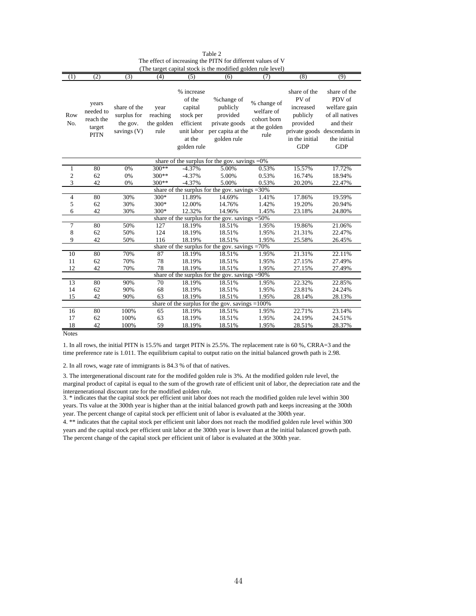| (1)                                             | (2)                                                      | (3)                                                    | (4)                                    | (5)                                                                                              | (6)                                                                                      | (7)                                                               | (8)                                                                                        | (9)                                                                                                                                |  |
|-------------------------------------------------|----------------------------------------------------------|--------------------------------------------------------|----------------------------------------|--------------------------------------------------------------------------------------------------|------------------------------------------------------------------------------------------|-------------------------------------------------------------------|--------------------------------------------------------------------------------------------|------------------------------------------------------------------------------------------------------------------------------------|--|
| Row<br>No.                                      | years<br>needed to<br>reach the<br>target<br><b>PITN</b> | share of the<br>surplus for<br>the gov.<br>savings (V) | year<br>reaching<br>the golden<br>rule | % increase<br>of the<br>capital<br>stock per<br>efficient<br>unit labor<br>at the<br>golden rule | % change of<br>publicly<br>provided<br>private goods<br>per capita at the<br>golden rule | % change of<br>welfare of<br>cohort born<br>at the golden<br>rule | share of the<br>PV of<br>increased<br>publicly<br>provided<br>in the initial<br><b>GDP</b> | share of the<br>PDV of<br>welfare gain<br>of all natives<br>and their<br>private goods descendants in<br>the initial<br><b>GDP</b> |  |
|                                                 |                                                          |                                                        |                                        |                                                                                                  | share of the surplus for the gov. savings $=0\%$                                         |                                                                   |                                                                                            |                                                                                                                                    |  |
| $\mathbf{1}$                                    | 80                                                       | 0%                                                     | $300**$                                | $-4.37%$                                                                                         | 5.00%                                                                                    | 0.53%                                                             | 15.57%                                                                                     | 17.72%                                                                                                                             |  |
| $\overline{\mathbf{c}}$                         | 62                                                       | 0%                                                     | 300**                                  | $-4.37%$                                                                                         | 5.00%                                                                                    | 0.53%                                                             | 16.74%                                                                                     | 18.94%                                                                                                                             |  |
| 3                                               | 42                                                       | 0%                                                     | $300**$                                | $-4.37%$                                                                                         | 5.00%                                                                                    | 0.53%                                                             | 20.20%                                                                                     | 22.47%                                                                                                                             |  |
|                                                 | share of the surplus for the gov. savings = 30%          |                                                        |                                        |                                                                                                  |                                                                                          |                                                                   |                                                                                            |                                                                                                                                    |  |
| $\overline{4}$                                  | 80                                                       | 30%                                                    | $300*$                                 | 11.89%                                                                                           | 14.69%                                                                                   | 1.41%                                                             | 17.86%                                                                                     | 19.59%                                                                                                                             |  |
| 5                                               | 62                                                       | 30%                                                    | 300*                                   | 12.00%                                                                                           | 14.76%                                                                                   | 1.42%                                                             | 19.20%                                                                                     | 20.94%                                                                                                                             |  |
| 6                                               | 42                                                       | 30%                                                    | 300*                                   | 12.32%                                                                                           | 14.96%                                                                                   | 1.45%                                                             | 23.18%                                                                                     | 24.80%                                                                                                                             |  |
| share of the surplus for the gov. savings = 50% |                                                          |                                                        |                                        |                                                                                                  |                                                                                          |                                                                   |                                                                                            |                                                                                                                                    |  |
| $\overline{7}$                                  | 80                                                       | 50%                                                    | 127                                    | 18.19%                                                                                           | 18.51%                                                                                   | 1.95%                                                             | 19.86%                                                                                     | 21.06%                                                                                                                             |  |
| 8                                               | 62                                                       | 50%                                                    | 124                                    | 18.19%                                                                                           | 18.51%                                                                                   | 1.95%                                                             | 21.31%                                                                                     | 22.47%                                                                                                                             |  |
| 9                                               | 42                                                       | 50%                                                    | 116                                    | 18.19%                                                                                           | 18.51%                                                                                   | 1.95%                                                             | 25.58%                                                                                     | 26.45%                                                                                                                             |  |
|                                                 |                                                          |                                                        |                                        |                                                                                                  | share of the surplus for the gov. savings $=70\%$                                        |                                                                   |                                                                                            |                                                                                                                                    |  |
| 10                                              | 80                                                       | 70%                                                    | 87                                     | 18.19%                                                                                           | 18.51%                                                                                   | 1.95%                                                             | 21.31%                                                                                     | 22.11%                                                                                                                             |  |
| 11                                              | 62                                                       | 70%                                                    | 78                                     | 18.19%                                                                                           | 18.51%                                                                                   | 1.95%                                                             | 27.15%                                                                                     | 27.49%                                                                                                                             |  |
| 12                                              | 42                                                       | 70%                                                    | 78                                     | 18.19%                                                                                           | 18.51%                                                                                   | 1.95%                                                             | 27.15%                                                                                     | 27.49%                                                                                                                             |  |
|                                                 |                                                          |                                                        |                                        |                                                                                                  | share of the surplus for the gov. savings =90%                                           |                                                                   |                                                                                            |                                                                                                                                    |  |
| 13                                              | 80                                                       | 90%                                                    | 70                                     | 18.19%                                                                                           | 18.51%                                                                                   | 1.95%                                                             | 22.32%                                                                                     | 22.85%                                                                                                                             |  |
| 14                                              | 62                                                       | 90%                                                    | 68                                     | 18.19%                                                                                           | 18.51%                                                                                   | 1.95%                                                             | 23.81%                                                                                     | 24.24%                                                                                                                             |  |
| 15                                              | 42                                                       | 90%                                                    | 63                                     | 18.19%                                                                                           | 18.51%                                                                                   | 1.95%                                                             | 28.14%                                                                                     | 28.13%                                                                                                                             |  |
|                                                 |                                                          |                                                        |                                        |                                                                                                  | share of the surplus for the gov. savings $=100\%$                                       |                                                                   |                                                                                            |                                                                                                                                    |  |
| 16                                              | 80                                                       | 100%                                                   | 65                                     | 18.19%                                                                                           | 18.51%                                                                                   | 1.95%                                                             | 22.71%                                                                                     | 23.14%                                                                                                                             |  |
| 17                                              | 62                                                       | 100%                                                   | 63                                     | 18.19%                                                                                           | 18.51%                                                                                   | 1.95%                                                             | 24.19%                                                                                     | 24.51%                                                                                                                             |  |
| 18                                              | 42                                                       | 100%                                                   | 59                                     | 18.19%                                                                                           | 18.51%                                                                                   | 1.95%                                                             | 28.51%                                                                                     | 28.37%                                                                                                                             |  |

Table 2 The effect of increasing the PITN for different values of V (The target capital stock is the modified golden rule level)

Notes

1. In all rows, the initial PITN is 15.5% and target PITN is 25.5%. The replacement rate is 60 %, CRRA=3 and the time preference rate is 1.011. The equilibrium capital to output ratio on the initial balanced growth path is 2.98.

2. In all rows, wage rate of immigrants is 84.3 % of that of natives.

3. The intergenerational discount rate for the modifed golden rule is 3%. At the modified golden rule level, the marginal product of capital is equal to the sum of the growth rate of efficient unit of labor, the depreciation rate and the intergenerational discount rate for the modified golden rule.

3. \* indicates that the capital stock per efficient unit labor does not reach the modified golden rule level within 300 years. Tts value at the 300th year is higher than at the initial balanced growth path and keeps increasing at the 300th year. The percent change of capital stock per efficient unit of labor is evaluated at the 300th year.

4. \*\* indicates that the capital stock per efficient unit labor does not reach the modified golden rule level within 300 years and the capital stock per efficient unit labor at the 300th year is lower than at the initial balanced growth path. The percent change of the capital stock per efficient unit of labor is evaluated at the 300th year.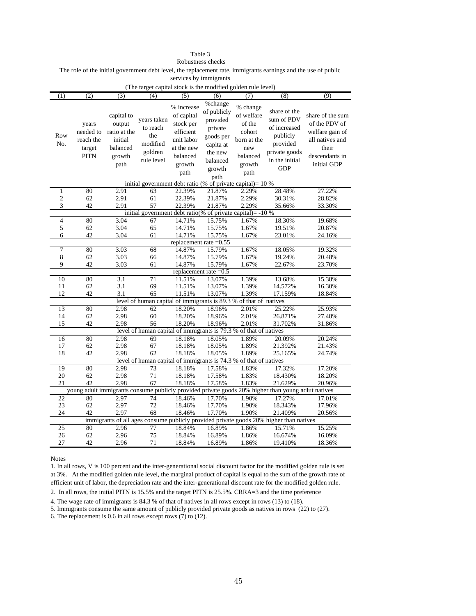#### Table 3

Robustness checks

The role of the initial government debt level, the replacement rate, immigrants earnings and the use of public

services by immigrants

| (The target capital stock is the modified golden rule level) |             |              |                                                                   |                          |                         |             |                                                                                                    |                  |
|--------------------------------------------------------------|-------------|--------------|-------------------------------------------------------------------|--------------------------|-------------------------|-------------|----------------------------------------------------------------------------------------------------|------------------|
| (1)                                                          | (2)         | (3)          | (4)                                                               | (5)                      | $\overline{(6)}$        | (7)         | (8)                                                                                                | (9)              |
|                                                              |             |              |                                                                   | % increase               | %change                 |             |                                                                                                    |                  |
|                                                              |             |              |                                                                   |                          | of publicly             | % change    | share of the                                                                                       |                  |
|                                                              |             | capital to   | years taken                                                       | of capital               | provided                | of welfare  | sum of PDV                                                                                         | share of the sum |
|                                                              | years       | output       | to reach                                                          | stock per                | private                 | of the      | of increased                                                                                       | of the PDV of    |
| Row                                                          | needed to   | ratio at the | the                                                               | efficient                | goods per               | cohort      | publicly                                                                                           | welfare gain of  |
| No.                                                          | reach the   | initial      | modified                                                          | unit labor               |                         | born at the | provided                                                                                           | all natives and  |
|                                                              | target      | balanced     |                                                                   | at the new               | capita at               | new         |                                                                                                    | their            |
|                                                              | <b>PITN</b> | growth       | goldren                                                           | balanced                 | the new                 | balanced    | private goods                                                                                      | descendants in   |
|                                                              |             | path         | rule level                                                        | growth                   | balanced                | growth      | in the initial                                                                                     | initial GDP      |
|                                                              |             |              |                                                                   | path                     | growth                  | path        | <b>GDP</b>                                                                                         |                  |
|                                                              |             |              |                                                                   |                          | path                    |             |                                                                                                    |                  |
|                                                              |             |              | initial government debt ratio (% of private capital)= 10 %        |                          |                         |             |                                                                                                    |                  |
| $\mathbf{1}$                                                 | 80          | 2.91         | 63                                                                | 22.39%                   | 21.87%                  | 2.29%       | 28.48%                                                                                             | 27.22%           |
| 2                                                            | 62          | 2.91         | 61                                                                | 22.39%                   | 21.87%                  | 2.29%       | 30.31%                                                                                             | 28.82%           |
| 3                                                            | 42          | 2.91         | 57                                                                | 22.39%                   | 21.87%                  | 2.29%       | 35.66%                                                                                             | 33.30%           |
|                                                              |             |              | initial government debt ratio(% of private capital)= -10 %        |                          |                         |             |                                                                                                    |                  |
| $\overline{4}$                                               | 80          | 3.04         | 67                                                                | 14.71%                   | 15.75%                  | 1.67%       | 18.30%                                                                                             | 19.68%           |
| 5                                                            | 62          | 3.04         | 65                                                                | 14.71%                   | 15.75%                  | 1.67%       | 19.51%                                                                                             | 20.87%           |
| 6                                                            | 42          | 3.04         | 61                                                                | 14.71%                   | 15.75%                  | 1.67%       | 23.01%                                                                                             | 24.16%           |
| $\overline{7}$                                               |             |              | 68                                                                | replacement rate $=0.55$ | 15.79%                  | 1.67%       |                                                                                                    |                  |
| $\,$ 8 $\,$                                                  | 80          | 3.03         |                                                                   | 14.87%                   |                         | 1.67%       | 18.05%                                                                                             | 19.32%           |
| 9                                                            | 62<br>42    | 3.03<br>3.03 | 66<br>61                                                          | 14.87%                   | 15.79%<br>15.79%        | 1.67%       | 19.24%<br>22.67%                                                                                   | 20.48%           |
|                                                              |             |              |                                                                   | 14.87%                   | replacement rate $=0.5$ |             |                                                                                                    | 23.70%           |
| 10                                                           | 80          | 3.1          | 71                                                                | 11.51%                   | 13.07%                  | 1.39%       | 13.68%                                                                                             | 15.38%           |
| 11                                                           | 62          | 3.1          | 69                                                                | 11.51%                   | 13.07%                  | 1.39%       | 14.572%                                                                                            | 16.30%           |
| 12                                                           | 42          | 3.1          | 65                                                                | 11.51%                   | 13.07%                  | 1.39%       | 17.159%                                                                                            | 18.84%           |
|                                                              |             |              | level of human capital of immigrants is 89.3 % of that of natives |                          |                         |             |                                                                                                    |                  |
| 13                                                           | 80          | 2.98         | 62                                                                | 18.20%                   | 18.96%                  | 2.01%       | 25.22%                                                                                             | 25.93%           |
| 14                                                           | 62          | 2.98         | 60                                                                | 18.20%                   | 18.96%                  | 2.01%       | 26.871%                                                                                            | 27.48%           |
| 15                                                           | 42          | 2.98         | 56                                                                | 18.20%                   | 18.96%                  | 2.01%       | 31.702%                                                                                            | 31.86%           |
|                                                              |             |              | level of human capital of immigrants is 79.3 % of that of natives |                          |                         |             |                                                                                                    |                  |
| $\overline{16}$                                              | 80          | 2.98         | 69                                                                | 18.18%                   | 18.05%                  | 1.89%       | 20.09%                                                                                             | 20.24%           |
| 17                                                           | 62          | 2.98         | 67                                                                | 18.18%                   | 18.05%                  | 1.89%       | 21.392%                                                                                            | 21.43%           |
| 18                                                           | 42          | 2.98         | 62                                                                | 18.18%                   | 18.05%                  | 1.89%       | 25.165%                                                                                            | 24.74%           |
|                                                              |             |              | level of human capital of immigrants is 74.3 % of that of natives |                          |                         |             |                                                                                                    |                  |
| $\overline{19}$                                              | 80          | 2.98         | $\overline{73}$                                                   | 18.18%                   | 17.58%                  | 1.83%       | 17.32%                                                                                             | 17.20%           |
| 20                                                           | 62          | 2.98         | 71                                                                | 18.18%                   | 17.58%                  | 1.83%       | 18.430%                                                                                            | 18.20%           |
| 21                                                           | 42          | 2.98         | 67                                                                | 18.18%                   | 17.58%                  | 1.83%       | 21.629%                                                                                            | 20.96%           |
|                                                              |             |              |                                                                   |                          |                         |             | young adult immigrants consume publicly provided private goods 20% higher than young adlut natives |                  |
| $\overline{22}$                                              | 80          | 2.97         | 74                                                                | 18.46%                   | 17.70%                  | 1.90%       | 17.27%                                                                                             | 17.01%           |
| 23                                                           | 62          | 2.97         | 72                                                                | 18.46%                   | 17.70%                  | 1.90%       | 18.343%                                                                                            | 17.96%           |
| 24                                                           | 42          | 2.97         | 68                                                                | 18.46%                   | 17.70%                  | 1.90%       | 21.409%                                                                                            | 20.56%           |
|                                                              |             |              |                                                                   |                          |                         |             | immigrants of all ages consume publicly provided private goods 20% higher than natives             |                  |
| 25                                                           | 80          | 2.96         | 77                                                                | 18.84%                   | 16.89%                  | 1.86%       | 15.71%                                                                                             | 15.25%           |
| 26                                                           | 62          | 2.96         | 75                                                                | 18.84%                   | 16.89%                  | 1.86%       | 16.674%                                                                                            | 16.09%           |
| 27                                                           | 42          | 2.96         | 71                                                                | 18.84%                   | 16.89%                  | 1.86%       | 19.410%                                                                                            | 18.36%           |

Notes

1. In all rows, V is 100 percent and the inter-generational social discount factor for the modified golden rule is set at 3%. At the modified golden rule level, the marginal product of capital is equal to the sum of the growth rate of efficient unit of labor, the depreciation rate and the inter-generational discount rate for the modified golden rule.

2. In all rows, the initial PITN is 15.5% and the target PITN is 25.5%. CRRA=3 and the time preference

4. The wage rate of immigrants is 84.3 % of that of natives in all rows except in rows (13) to (18).

5. Immigrants consume the same amount of publicly provided private goods as natives in rows (22) to (27).

6. The replacement is 0.6 in all rows except rows (7) to (12).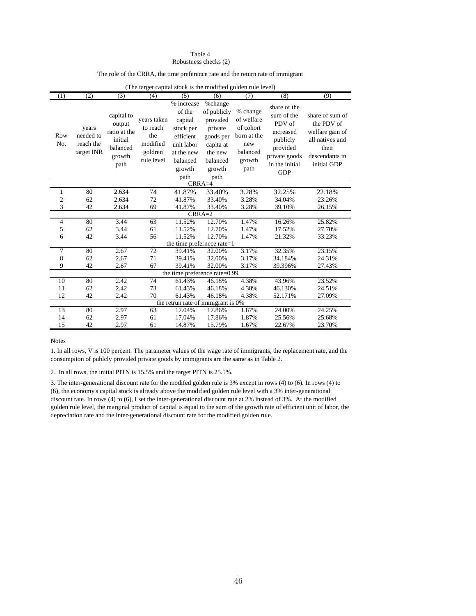#### Robustness checks (2) Table 4

#### The role of the CRRA, the time preference rate and the return rate of immigrant

| (The target capital stock is the modified golden rule level) |                                               |                                                                               |                                                                     |                                                                                                                     |                                                                                                                  |                                                                                         |                                                                                                                            |                                                                                                               |  |
|--------------------------------------------------------------|-----------------------------------------------|-------------------------------------------------------------------------------|---------------------------------------------------------------------|---------------------------------------------------------------------------------------------------------------------|------------------------------------------------------------------------------------------------------------------|-----------------------------------------------------------------------------------------|----------------------------------------------------------------------------------------------------------------------------|---------------------------------------------------------------------------------------------------------------|--|
| (1)                                                          | (2)                                           | (3)                                                                           | (4)                                                                 | (5)                                                                                                                 | (6)                                                                                                              | (7)                                                                                     | (8)                                                                                                                        | (9)                                                                                                           |  |
| Row<br>No.                                                   | years<br>needed to<br>reach the<br>target INR | capital to<br>output<br>ratio at the<br>initial<br>balanced<br>growth<br>path | years taken<br>to reach<br>the<br>modified<br>goldren<br>rule level | % increase<br>of the<br>capital<br>stock per<br>efficient<br>unit labor<br>at the new<br>balanced<br>growth<br>path | %change<br>of publicly<br>provided<br>private<br>goods per<br>capita at<br>the new<br>balanced<br>growth<br>path | % change<br>of welfare<br>of cohort<br>born at the<br>new<br>balanced<br>growth<br>path | share of the<br>sum of the<br>PDV of<br>increased<br>publicly<br>provided<br>private goods<br>in the initial<br><b>GDP</b> | share of sum of<br>the PDV of<br>welfare gain of<br>all natives and<br>their<br>descendants in<br>initial GDP |  |
|                                                              | $CRRA=4$                                      |                                                                               |                                                                     |                                                                                                                     |                                                                                                                  |                                                                                         |                                                                                                                            |                                                                                                               |  |
| 1                                                            | 80                                            | 2.634                                                                         | 74                                                                  | 41.87%                                                                                                              | 33.40%                                                                                                           | 3.28%                                                                                   | 32.25%                                                                                                                     | 22.18%                                                                                                        |  |
| 2                                                            | 62                                            | 2.634                                                                         | 72                                                                  | 41.87%                                                                                                              | 33.40%                                                                                                           | 3.28%                                                                                   | 34.04%                                                                                                                     | 23.26%                                                                                                        |  |
| 3                                                            | 42                                            | 2.634                                                                         | 69                                                                  | 41.87%                                                                                                              | 33.40%                                                                                                           | 3.28%                                                                                   | 39.10%                                                                                                                     | 26.15%                                                                                                        |  |
|                                                              |                                               |                                                                               |                                                                     | $CRRA=2$                                                                                                            |                                                                                                                  |                                                                                         |                                                                                                                            |                                                                                                               |  |
| $\overline{4}$                                               | 80                                            | 3.44                                                                          | 63                                                                  | 11.52%                                                                                                              | 12.70%                                                                                                           | 1.47%                                                                                   | 16.26%                                                                                                                     | 25.82%                                                                                                        |  |
| 5                                                            | 62                                            | 3.44                                                                          | 61                                                                  | 11.52%                                                                                                              | 12.70%                                                                                                           | 1.47%                                                                                   | 17.52%                                                                                                                     | 27.70%                                                                                                        |  |
| 6                                                            | 42                                            | 3.44                                                                          | 56                                                                  | 11.52%                                                                                                              | 12.70%                                                                                                           | 1.47%                                                                                   | 21.32%                                                                                                                     | 33.23%                                                                                                        |  |
|                                                              |                                               |                                                                               |                                                                     |                                                                                                                     | the time prefernece rate=1                                                                                       |                                                                                         |                                                                                                                            |                                                                                                               |  |
| $\tau$                                                       | 80                                            | 2.67                                                                          | $\overline{72}$                                                     | 39.41%                                                                                                              | 32.00%                                                                                                           | 3.17%                                                                                   | 32.35%                                                                                                                     | 23.15%                                                                                                        |  |
| 8                                                            | 62                                            | 2.67                                                                          | 71                                                                  | 39.41%                                                                                                              | 32.00%                                                                                                           | 3.17%                                                                                   | 34.184%                                                                                                                    | 24.31%                                                                                                        |  |
| 9                                                            | 42                                            | 2.67                                                                          | 67                                                                  | 39.41%                                                                                                              | 32.00%                                                                                                           | 3.17%                                                                                   | 39.396%                                                                                                                    | 27.43%                                                                                                        |  |
|                                                              |                                               |                                                                               |                                                                     |                                                                                                                     | the time preference rate=0.99                                                                                    |                                                                                         |                                                                                                                            |                                                                                                               |  |
| 10                                                           | 80                                            | 2.42                                                                          | 74                                                                  | 61.43%                                                                                                              | 46.18%                                                                                                           | 4.38%                                                                                   | 43.96%                                                                                                                     | 23.52%                                                                                                        |  |
| 11                                                           | 62                                            | 2.42                                                                          | 73                                                                  | 61.43%                                                                                                              | 46.18%                                                                                                           | 4.38%                                                                                   | 46.130%                                                                                                                    | 24.51%                                                                                                        |  |
| 12                                                           | 42                                            | 2.42                                                                          | 70                                                                  | 61.43%                                                                                                              | 46.18%                                                                                                           | 4.38%                                                                                   | 52.171%                                                                                                                    | 27.09%                                                                                                        |  |
|                                                              |                                               |                                                                               |                                                                     |                                                                                                                     | the retrun rate of immigrant is 0%                                                                               |                                                                                         |                                                                                                                            |                                                                                                               |  |
| 13                                                           | 80                                            | 2.97                                                                          | 63                                                                  | 17.04%                                                                                                              | 17.86%                                                                                                           | 1.87%                                                                                   | 24.00%                                                                                                                     | 24.25%                                                                                                        |  |
| 14                                                           | 62                                            | 2.97                                                                          | 61                                                                  | 17.04%                                                                                                              | 17.86%                                                                                                           | 1.87%                                                                                   | 25.56%                                                                                                                     | 25.68%                                                                                                        |  |
| 15                                                           | 42                                            | 2.97                                                                          | 61                                                                  | 14.87%                                                                                                              | 15.79%                                                                                                           | 1.67%                                                                                   | 22.67%                                                                                                                     | 23.70%                                                                                                        |  |

Notes

1. In all rows, V is 100 percent. The parameter values of the wage rate of immigrants, the replacement rate, and the consumpiton of publcly provided private goods by immigrants are the same as in Table 2.

2. In all rows, the initial PITN is 15.5% and the target PITN is 25.5%.

3. The inter-generational discount rate for the modifed golden rule is 3% except in rows (4) to (6). In rows (4) to (6), the economy's capital stock is already above the modified golden rule level with a 3% inter-generational discount rate. In rows (4) to (6), I set the inter-generational discount rate at 2% instead of 3%. At the modified golden rule level, the marginal product of capital is equal to the sum of the growth rate of efficient unit of labor, the depreciation rate and the inter-generational discount rate for the modified golden rule.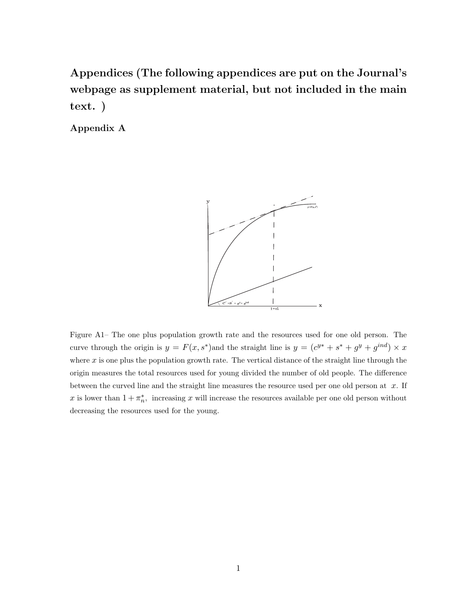Appendices (The following appendices are put on the Journal's webpage as supplement material, but not included in the main text. )

Appendix A



Figure A1– The one plus population growth rate and the resources used for one old person. The curve through the origin is  $y = F(x, s^*)$  and the straight line is  $y = (c^{y*} + s^* + g^y + g^{ind}) \times x$ where  $x$  is one plus the population growth rate. The vertical distance of the straight line through the origin measures the total resources used for young divided the number of old people. The difference between the curved line and the straight line measures the resource used per one old person at  $x$ . If x is lower than  $1 + \pi_n^*$ , increasing x will increase the resources available per one old person without decreasing the resources used for the young.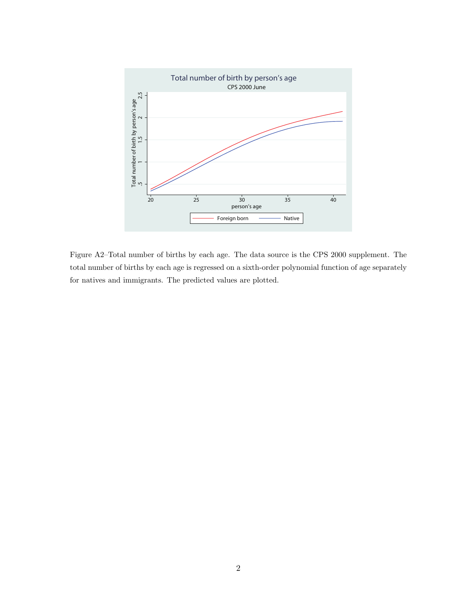

Figure A2–Total number of births by each age. The data source is the CPS 2000 supplement. The total number of births by each age is regressed on a sixth-order polynomial function of age separately for natives and immigrants. The predicted values are plotted.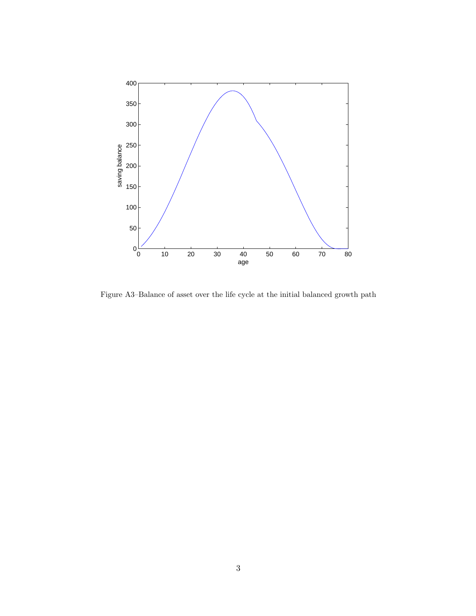

Figure A3–Balance of asset over the life cycle at the initial balanced growth path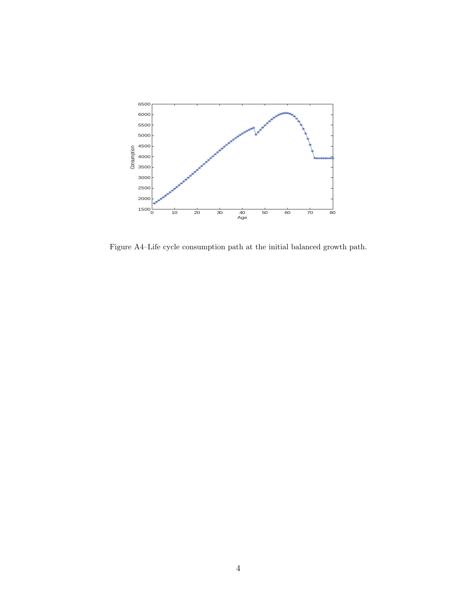

Figure A4–Life cycle consumption path at the initial balanced growth path.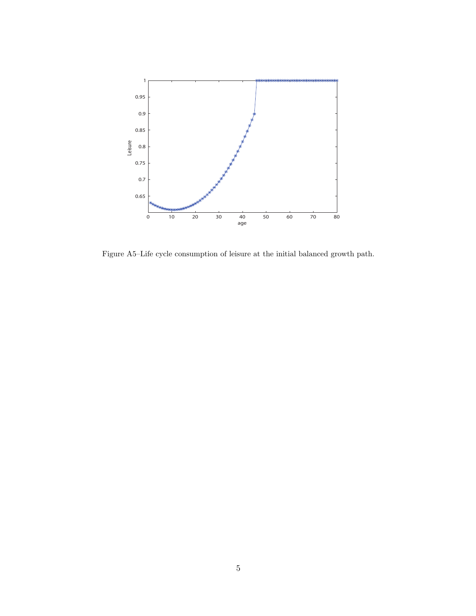

Figure A5–Life cycle consumption of leisure at the initial balanced growth path.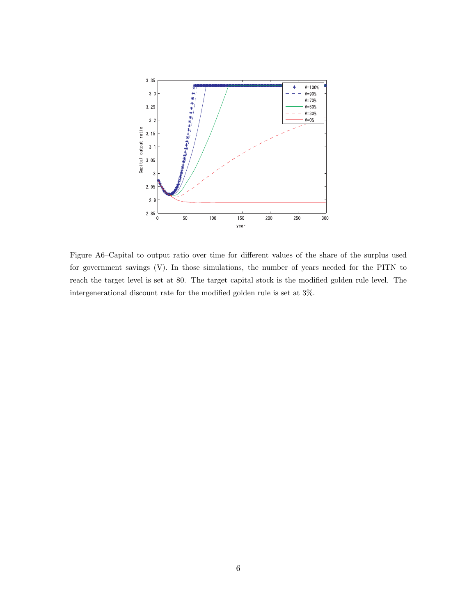

Figure A6–Capital to output ratio over time for different values of the share of the surplus used for government savings (V). In those simulations, the number of years needed for the PITN to reach the target level is set at 80. The target capital stock is the modified golden rule level. The intergenerational discount rate for the modified golden rule is set at 3%.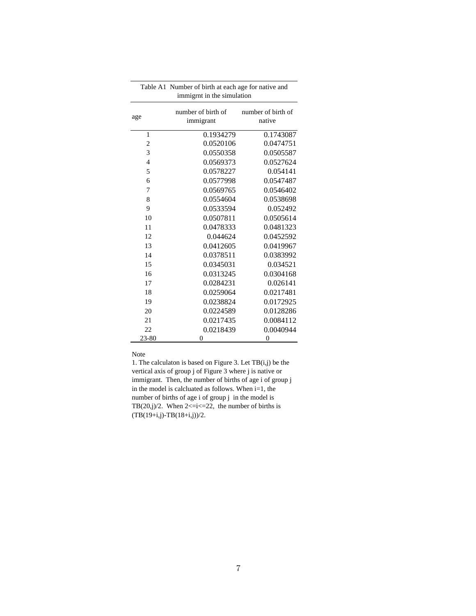|                            | Table A1 Number of birth at each age for native and |                    |  |  |  |  |  |  |
|----------------------------|-----------------------------------------------------|--------------------|--|--|--|--|--|--|
| immigrnt in the simulation |                                                     |                    |  |  |  |  |  |  |
|                            | number of birth of                                  | number of birth of |  |  |  |  |  |  |
| age                        | immigrant                                           | native             |  |  |  |  |  |  |
| $\mathbf{1}$               | 0.1934279                                           | 0.1743087          |  |  |  |  |  |  |
| 2                          | 0.0520106                                           | 0.0474751          |  |  |  |  |  |  |
| 3                          | 0.0550358                                           | 0.0505587          |  |  |  |  |  |  |
| $\overline{4}$             | 0.0569373                                           | 0.0527624          |  |  |  |  |  |  |
| 5                          | 0.0578227                                           | 0.054141           |  |  |  |  |  |  |
| 6                          | 0.0577998                                           | 0.0547487          |  |  |  |  |  |  |
| $\overline{7}$             | 0.0569765                                           | 0.0546402          |  |  |  |  |  |  |
| 8                          | 0.0554604                                           | 0.0538698          |  |  |  |  |  |  |
| 9                          | 0.0533594                                           | 0.052492           |  |  |  |  |  |  |
| 10                         | 0.0507811                                           | 0.0505614          |  |  |  |  |  |  |
| 11                         | 0.0478333                                           | 0.0481323          |  |  |  |  |  |  |
| 12                         | 0.044624                                            | 0.0452592          |  |  |  |  |  |  |
| 13                         | 0.0412605                                           | 0.0419967          |  |  |  |  |  |  |
| 14                         | 0.0378511                                           | 0.0383992          |  |  |  |  |  |  |
| 15                         | 0.0345031                                           | 0.034521           |  |  |  |  |  |  |
| 16                         | 0.0313245                                           | 0.0304168          |  |  |  |  |  |  |
| 17                         | 0.0284231                                           | 0.026141           |  |  |  |  |  |  |
| 18                         | 0.0259064                                           | 0.0217481          |  |  |  |  |  |  |
| 19                         | 0.0238824                                           | 0.0172925          |  |  |  |  |  |  |
| 20                         | 0.0224589                                           | 0.0128286          |  |  |  |  |  |  |
| 21                         | 0.0217435                                           | 0.0084112          |  |  |  |  |  |  |
| 22                         | 0.0218439                                           | 0.0040944          |  |  |  |  |  |  |
| 23-80                      | 0                                                   | $\overline{0}$     |  |  |  |  |  |  |

Note

1. The calculaton is based on Figure 3. Let TB(i,j) be the vertical axis of group j of Figure 3 where j is native or immigrant. Then, the number of births of age i of group j in the model is calcluated as follows. When i=1, the number of births of age i of group j in the model is TB $(20,j)/2$ . When  $2 \le i \le 22$ , the number of births is (TB(19+i,j)-TB(18+i,j))/2.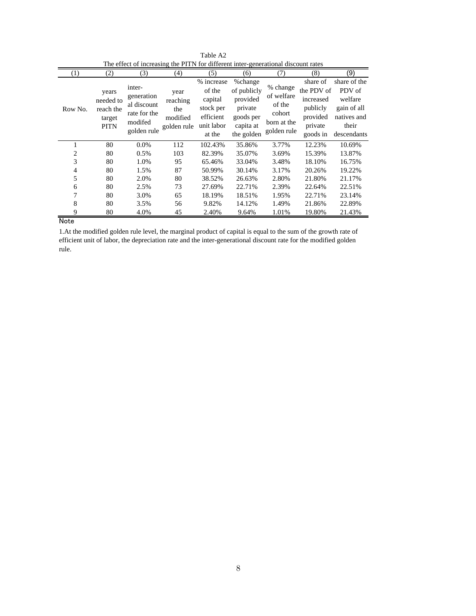| $\scriptstyle{(1)}$ | (2)                                                      | (3)                                                                           | (4)                                                | (5)                                                                               | 5<br>(6)                                                                              | (7)                                                                      | (8)                                                                                | $\overline{(9)}$                                                                        |
|---------------------|----------------------------------------------------------|-------------------------------------------------------------------------------|----------------------------------------------------|-----------------------------------------------------------------------------------|---------------------------------------------------------------------------------------|--------------------------------------------------------------------------|------------------------------------------------------------------------------------|-----------------------------------------------------------------------------------------|
| Row No.             | years<br>needed to<br>reach the<br>target<br><b>PITN</b> | inter-<br>generation<br>al discount<br>rate for the<br>modifed<br>golden rule | year<br>reaching<br>the<br>modified<br>golden rule | % increase<br>of the<br>capital<br>stock per<br>efficient<br>unit labor<br>at the | %change<br>of publicly<br>provided<br>private<br>goods per<br>capita at<br>the golden | % change<br>of welfare<br>of the<br>cohort<br>born at the<br>golden rule | share of<br>the PDV of<br>increased<br>publicly<br>provided<br>private<br>goods in | share of the<br>PDV of<br>welfare<br>gain of all<br>natives and<br>their<br>descendants |
|                     | 80                                                       | 0.0%                                                                          | 112                                                | 102.43%                                                                           | 35.86%                                                                                | 3.77%                                                                    | 12.23%                                                                             | 10.69%                                                                                  |
| 2                   | 80                                                       | 0.5%                                                                          | 103                                                | 82.39%                                                                            | 35.07%                                                                                | 3.69%                                                                    | 15.39%                                                                             | 13.87%                                                                                  |
| 3                   | 80                                                       | 1.0%                                                                          | 95                                                 | 65.46%                                                                            | 33.04%                                                                                | 3.48%                                                                    | 18.10%                                                                             | 16.75%                                                                                  |
| 4                   | 80                                                       | 1.5%                                                                          | 87                                                 | 50.99%                                                                            | 30.14%                                                                                | 3.17%                                                                    | 20.26%                                                                             | 19.22%                                                                                  |
| 5                   | 80                                                       | 2.0%                                                                          | 80                                                 | 38.52%                                                                            | 26.63%                                                                                | 2.80%                                                                    | 21.80%                                                                             | 21.17%                                                                                  |
| 6                   | 80                                                       | 2.5%                                                                          | 73                                                 | 27.69%                                                                            | 22.71%                                                                                | 2.39%                                                                    | 22.64%                                                                             | 22.51%                                                                                  |
| 7                   | 80                                                       | 3.0%                                                                          | 65                                                 | 18.19%                                                                            | 18.51%                                                                                | 1.95%                                                                    | 22.71%                                                                             | 23.14%                                                                                  |
| 8                   | 80                                                       | 3.5%                                                                          | 56                                                 | 9.82%                                                                             | 14.12%                                                                                | 1.49%                                                                    | 21.86%                                                                             | 22.89%                                                                                  |
| 9                   | 80                                                       | 4.0%                                                                          | 45                                                 | 2.40%                                                                             | 9.64%                                                                                 | 1.01%                                                                    | 19.80%                                                                             | 21.43%                                                                                  |

Table A2 The effect of increasing the PITN for different inter-generational discount rates

Note

1.At the modified golden rule level, the marginal product of capital is equal to the sum of the growth rate of efficient unit of labor, the depreciation rate and the inter-generational discount rate for the modified golden rule.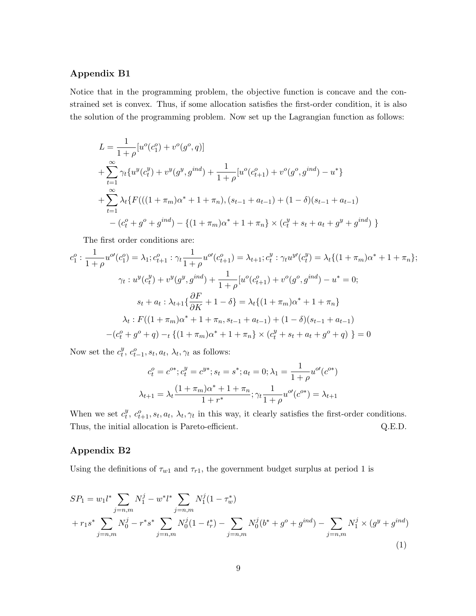#### Appendix B1

Notice that in the programming problem, the objective function is concave and the constrained set is convex. Thus, if some allocation satisfies the first-order condition, it is also the solution of the programming problem. Now set up the Lagrangian function as follows:

$$
L = \frac{1}{1+\rho} [u^o(c_1^o) + v^o(g^o, q)]
$$
  
+ 
$$
\sum_{t=1}^{\infty} \gamma_t \{u^y(c_t^y) + v^y(g^y, g^{ind}) + \frac{1}{1+\rho} [u^o(c_{t+1}^o) + v^o(g^o, g^{ind}) - u^* \}
$$
  
+ 
$$
\sum_{t=1}^{\infty} \lambda_t \{F(((1+\pi_m)\alpha^* + 1 + \pi_n), (s_{t-1} + a_{t-1}) + (1-\delta)(s_{t-1} + a_{t-1}) - (c_t^o + g^o + g^{ind}) - \{(1+\pi_m)\alpha^* + 1 + \pi_n\} \times (c_t^y + s_t + a_t + g^y + g^{ind}) \}
$$

The first order conditions are:

$$
c_1^o: \frac{1}{1+\rho}u^{o'}(c_1^o) = \lambda_1; c_{t+1}^o: \gamma_t \frac{1}{1+\rho}u^{o'}(c_{t+1}^o) = \lambda_{t+1}; c_t^y: \gamma_t u^{y'}(c_t^y) = \lambda_t \{(1+\pi_m)\alpha^* + 1 + \pi_n\};
$$
  

$$
\gamma_t: u^y(c_t^y) + v^y(g^y, g^{ind}) + \frac{1}{1+\rho}[u^o(c_{t+1}^o) + v^o(g^o, g^{ind}) - u^* = 0;
$$
  

$$
s_t + a_t: \lambda_{t+1} \{\frac{\partial F}{\partial K} + 1 - \delta\} = \lambda_t \{(1+\pi_m)\alpha^* + 1 + \pi_n\}
$$
  

$$
\lambda_t: F((1+\pi_m)\alpha^* + 1 + \pi_n, s_{t-1} + a_{t-1}) + (1-\delta)(s_{t-1} + a_{t-1})
$$
  

$$
-(c_t^o + g^o + q) -_t \{(1+\pi_m)\alpha^* + 1 + \pi_n\} \times (c_t^y + s_t + a_t + g^o + q) \} = 0
$$

Now set the  $c_t^y$  $t^y$ ,  $c_{t-1}^o$ ,  $s_t$ ,  $a_t$ ,  $\lambda_t$ ,  $\gamma_t$  as follows:

$$
c_t^o = c^{o*}; c_t^y = c^{y*}; s_t = s^*; a_t = 0; \lambda_1 = \frac{1}{1+\rho} u^{o'}(c^{o*})
$$

$$
\lambda_{t+1} = \lambda_t \frac{(1+\pi_m)\alpha^* + 1 + \pi_n}{1+r^*}; \gamma_t \frac{1}{1+\rho} u^{o'}(c^{o*}) = \lambda_{t+1}
$$

When we set  $c_t^y$  $t, c_{t+1}^g, s_t, a_t, \lambda_t, \gamma_t$  in this way, it clearly satisfies the first-order conditions. Thus, the initial allocation is Pareto-efficient.  $Q.E.D.$ 

#### Appendix B2

Using the definitions of  $\tau_{w1}$  and  $\tau_{r1}$ , the government budget surplus at period 1 is

$$
SP_1 = w_1 l^* \sum_{j=n,m} N_1^j - w^* l^* \sum_{j=n,m} N_1^j (1 - \tau_w^*)
$$
  
+ 
$$
r_1 s^* \sum_{j=n,m} N_0^j - r^* s^* \sum_{j=n,m} N_0^j (1 - t_r^*) - \sum_{j=n,m} N_0^j (b^* + g^0 + g^{ind}) - \sum_{j=n,m} N_1^j \times (g^y + g^{ind})
$$
  
(1)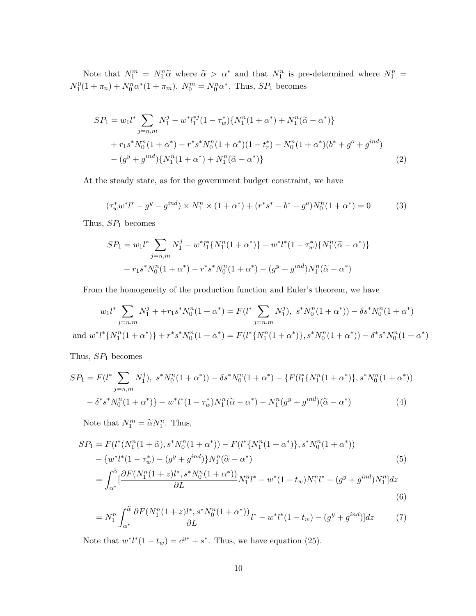Note that  $N_1^m = N_1^n \tilde{\alpha}$  where  $\tilde{\alpha} > \alpha^*$  and that  $N_1^n$  is pre-determined where  $N_1^n =$  $N_1^0(1 + \pi_n) + N_0^n \alpha^*(1 + \pi_m)$ .  $N_0^m = N_0^n \alpha^*$ . Thus,  $SP_1$  becomes

$$
SP_1 = w_1 l^* \sum_{j=n,m} N_1^j - w^* l_1^{*j} (1 - \tau_w^*) \{ N_1^n (1 + \alpha^*) + N_1^n (\tilde{\alpha} - \alpha^*) \}
$$
  
+  $r_1 s^* N_0^n (1 + \alpha^*) - r^* s^* N_0^n (1 + \alpha^*) (1 - t_r^*) - N_0^n (1 + \alpha^*) (b^* + g^0 + g^{ind})$   
-  $(g^y + g^{ind}) \{ N_1^n (1 + \alpha^*) + N_1^n (\tilde{\alpha} - \alpha^*) \}$  (2)

At the steady state, as for the government budget constraint, we have

$$
(\tau_w^* w^* l^* - g^y - g^{ind}) \times N_1^n \times (1 + \alpha^*) + (r^* s^* - b^* - g^o) N_0^n (1 + \alpha^*) = 0 \tag{3}
$$

Thus,  $SP<sub>1</sub>$  becomes

$$
SP_1 = w_1 l^* \sum_{j=n,m} N_1^j - w^* l_1^* \{ N_1^n (1 + \alpha^*) \} - w^* l^* (1 - \tau_w^*) \{ N_1^n (\tilde{\alpha} - \alpha^*) \}
$$
  
+  $r_1 s^* N_0^n (1 + \alpha^*) - r^* s^* N_0^n (1 + \alpha^*) - (g^y + g^{ind}) N_1^n (\tilde{\alpha} - \alpha^*)$ 

From the homogeneity of the production function and Euler's theorem, we have

$$
w_1 l^* \sum_{j=n,m} N_1^j + +r_1 s^* N_0^n (1+\alpha^*) = F(l^* \sum_{j=n,m} N_1^j), \ s^* N_0^n (1+\alpha^*) - \delta s^* N_0^n (1+\alpha^*)
$$
  
and 
$$
w^* l^* \{N_1^n (1+\alpha^*)\} + r^* s^* N_0^n (1+\alpha^*) = F(l^* \{N_1^n (1+\alpha^*)\}, s^* N_0^n (1+\alpha^*)) - \delta^* s^* N_0^n (1+\alpha^*)
$$

Thus,  $SP<sub>1</sub>$  becomes

$$
SP_1 = F(l^* \sum_{j=n,m} N_1^j), \ s^* N_0^n (1 + \alpha^*)) - \delta s^* N_0^n (1 + \alpha^*) - \{ F(l_1^* \{ N_1^n (1 + \alpha^*) \}, s^* N_0^n (1 + \alpha^*))
$$
  

$$
- \delta^* s^* N_0^n (1 + \alpha^*) - w^* l^* (1 - \tau_w^*) N_1^n (\tilde{\alpha} - \alpha^*) - N_1^n (g^y + g^{ind}) (\tilde{\alpha} - \alpha^*)
$$
 (4)

Note that  $N_1^m = \tilde{\alpha} N_1^n$ . Thus,

$$
SP_{1} = F(l^{*}(N_{1}^{n}(1+\tilde{\alpha}), s^{*}N_{0}^{n}(1+\alpha^{*})) - F(l^{*}\{N_{1}^{n}(1+\alpha^{*})\}, s^{*}N_{0}^{n}(1+\alpha^{*}))
$$
  
\n
$$
- \{w^{*}l^{*}(1-\tau_{w}^{*}) - (g^{y}+g^{ind})\}N_{1}^{n}(\tilde{\alpha}-\alpha^{*})
$$
  
\n
$$
= \int_{\alpha^{*}}^{\tilde{\alpha}} [\frac{\partial F(N_{1}^{n}(1+z)l^{*}, s^{*}N_{0}^{n}(1+\alpha^{*}))}{\partial L}N_{1}^{n}l^{*} - w^{*}(1-t_{w})N_{1}^{n}l^{*} - (g^{y}+g^{ind})N_{1}^{n}]dz
$$
  
\n(6)

$$
=N_1^n \int_{\alpha^*}^{\widetilde{\alpha}} \frac{\partial F(N_1^n(1+z)l^*, s^*N_0^n(1+\alpha^*))}{\partial L} l^* - w^*l^*(1-t_w) - (g^y + g^{ind})]dz\tag{7}
$$

Note that  $w^*l^*(1-t_w) = c^{y*} + s^*$ . Thus, we have equation (25).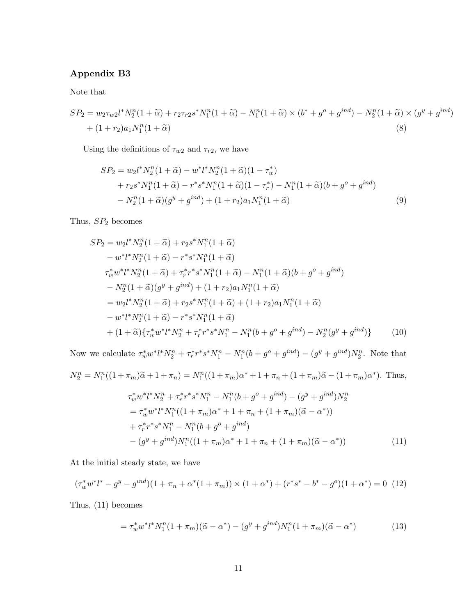## Appendix B3

Note that

$$
SP_2 = w_2 \tau_{w2} l^* N_2^n (1 + \tilde{\alpha}) + r_2 \tau_{r2} s^* N_1^n (1 + \tilde{\alpha}) - N_1^n (1 + \tilde{\alpha}) \times (b^* + g^o + g^{ind}) - N_2^n (1 + \tilde{\alpha}) \times (g^y + g^{ind})
$$
  
+  $(1 + r_2) a_1 N_1^n (1 + \tilde{\alpha})$  (8)

Using the definitions of  $\tau_{w2}$  and  $\tau_{r2}$ , we have

$$
SP_2 = w_2 l^* N_2^n (1 + \tilde{\alpha}) - w^* l^* N_2^n (1 + \tilde{\alpha}) (1 - \tau_w^*)
$$
  
+ 
$$
r_2 s^* N_1^n (1 + \tilde{\alpha}) - r^* s^* N_1^n (1 + \tilde{\alpha}) (1 - \tau_r^*) - N_1^n (1 + \tilde{\alpha}) (b + g^o + g^{ind})
$$
  
- 
$$
N_2^n (1 + \tilde{\alpha}) (g^y + g^{ind}) + (1 + r_2) a_1 N_1^n (1 + \tilde{\alpha})
$$
 (9)

Thus,  $SP<sub>2</sub>$  becomes

$$
SP_{2} = w_{2}l^{*}N_{2}^{n}(1+\tilde{\alpha}) + r_{2}s^{*}N_{1}^{n}(1+\tilde{\alpha})
$$
  
\n
$$
-w^{*}l^{*}N_{2}^{n}(1+\tilde{\alpha}) - r^{*}s^{*}N_{1}^{n}(1+\tilde{\alpha})
$$
  
\n
$$
\tau_{w}^{*}w^{*}l^{*}N_{2}^{n}(1+\tilde{\alpha}) + \tau_{r}^{*}r^{*}s^{*}N_{1}^{n}(1+\tilde{\alpha}) - N_{1}^{n}(1+\tilde{\alpha})(b+g^{o}+g^{ind})
$$
  
\n
$$
-N_{2}^{n}(1+\tilde{\alpha})(g^{y}+g^{ind}) + (1+r_{2})a_{1}N_{1}^{n}(1+\tilde{\alpha})
$$
  
\n
$$
= w_{2}l^{*}N_{2}^{n}(1+\tilde{\alpha}) + r_{2}s^{*}N_{1}^{n}(1+\tilde{\alpha}) + (1+r_{2})a_{1}N_{1}^{n}(1+\tilde{\alpha})
$$
  
\n
$$
-w^{*}l^{*}N_{2}^{n}(1+\tilde{\alpha}) - r^{*}s^{*}N_{1}^{n}(1+\tilde{\alpha})
$$
  
\n
$$
+ (1+\tilde{\alpha})\{\tau_{w}^{*}w^{*}l^{*}N_{2}^{n} + \tau_{r}^{*}r^{*}s^{*}N_{1}^{n} - N_{1}^{n}(b+g^{o}+g^{ind}) - N_{2}^{n}(g^{y}+g^{ind})\}
$$
 (10)

Now we calculate  $\tau_w^* w^* l^* N_2^n + \tau_r^* r^* s^* N_1^n - N_1^n (b + g^o + g^{ind}) - (g^y + g^{ind}) N_2^n$ . Note that

$$
N_2^n = N_1^n((1 + \pi_m)\tilde{\alpha} + 1 + \pi_n) = N_1^n((1 + \pi_m)\alpha^* + 1 + \pi_n + (1 + \pi_m)\tilde{\alpha} - (1 + \pi_m)\alpha^*).
$$
 Thus,  

$$
\tau_w^* w^* l^* N_2^n + \tau_r^* r^* s^* N_1^n - N_1^n(b + g^o + g^{ind}) - (g^y + g^{ind}) N_2^n
$$

$$
= \tau_w^* w^* l^* N_1^n((1 + \pi_m)\alpha^* + 1 + \pi_n + (1 + \pi_m)(\tilde{\alpha} - \alpha^*))
$$

$$
+ \tau_r^* r^* s^* N_1^n - N_1^n(b + g^o + g^{ind})
$$

$$
- (g^y + g^{ind}) N_1^n((1 + \pi_m)\alpha^* + 1 + \pi_n + (1 + \pi_m)(\tilde{\alpha} - \alpha^*))
$$
(11)

At the initial steady state, we have

$$
(\tau_w^* w^* l^* - g^y - g^{ind})(1 + \pi_n + \alpha^* (1 + \pi_m)) \times (1 + \alpha^*) + (r^* s^* - b^* - g^o)(1 + \alpha^*) = 0
$$
 (12)

Thus, (11) becomes

$$
= \tau_w^* w^* l^* N_1^n (1 + \pi_m)(\tilde{\alpha} - \alpha^*) - (g^y + g^{ind}) N_1^n (1 + \pi_m)(\tilde{\alpha} - \alpha^*)
$$
\n(13)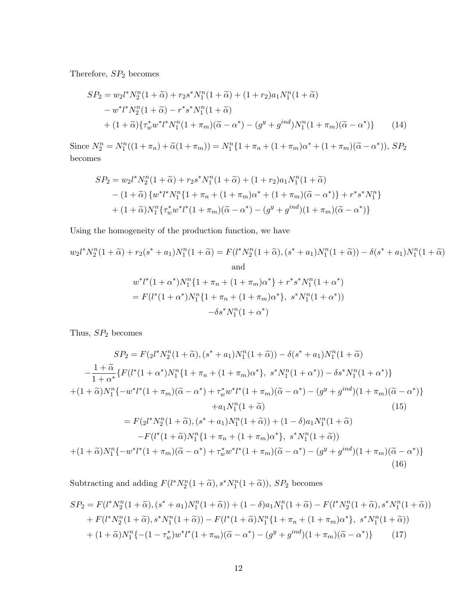Therefore,  ${\cal SP}_2$  becomes

$$
SP_2 = w_2 l^* N_2^n (1 + \tilde{\alpha}) + r_2 s^* N_1^n (1 + \tilde{\alpha}) + (1 + r_2) a_1 N_1^n (1 + \tilde{\alpha})
$$
  
\n
$$
- w^* l^* N_2^n (1 + \tilde{\alpha}) - r^* s^* N_1^n (1 + \tilde{\alpha})
$$
  
\n
$$
+ (1 + \tilde{\alpha}) \{ \tau_w^* w^* l^* N_1^n (1 + \pi_m) (\tilde{\alpha} - \alpha^*) - (g^y + g^{ind}) N_1^n (1 + \pi_m) (\tilde{\alpha} - \alpha^*) \}
$$
 (14)

Since  $N_2^n = N_1^n((1 + \pi_n) + \tilde{\alpha}(1 + \pi_m)) = N_1^n(1 + \pi_n + (1 + \pi_m)\alpha^* + (1 + \pi_m)(\tilde{\alpha} - \alpha^*)), SP_2$ becomes

$$
SP_2 = w_2 l^* N_2^n (1 + \tilde{\alpha}) + r_2 s^* N_1^n (1 + \tilde{\alpha}) + (1 + r_2) a_1 N_1^n (1 + \tilde{\alpha})
$$
  
– (1 + \tilde{\alpha}) \{ w^\* l^\* N\_1^n \{ 1 + \pi\_n + (1 + \pi\_m) \alpha^\* + (1 + \pi\_m) (\tilde{\alpha} - \alpha^\*) \} + r^\* s^\* N\_1^n \}  
+ (1 + \tilde{\alpha}) N\_1^n \{ \tau\_w^\* w^\* l^\* (1 + \pi\_m) (\tilde{\alpha} - \alpha^\*) - (g^y + g^{ind}) (1 + \pi\_m) (\tilde{\alpha} - \alpha^\*) \}

Using the homogeneity of the production function, we have

$$
w_2 l^* N_2^n (1 + \widetilde{\alpha}) + r_2 (s^* + a_1) N_1^n (1 + \widetilde{\alpha}) = F(l^* N_2^n (1 + \widetilde{\alpha}), (s^* + a_1) N_1^n (1 + \widetilde{\alpha})) - \delta(s^* + a_1) N_1^n (1 + \widetilde{\alpha})
$$
  
and  

$$
w^* l^* (1 + \alpha^*) N_1^n \{1 + \pi_n + (1 + \pi_m) \alpha^* \} + r^* s^* N_1^n (1 + \alpha^*)
$$

$$
= F(l^* (1 + \alpha^*) N_1^n \{1 + \pi_n + (1 + \pi_m) \alpha^* \}, s^* N_1^n (1 + \alpha^*)
$$

$$
- \delta s^* N_1^n (1 + \alpha^*)
$$

Thus,  $SP<sub>2</sub>$  becomes

$$
SP_{2} = F(\frac{1}{2} \Lambda^{n}(\mathbf{1} + \widetilde{\alpha}), (s^{*} + a_{1})N_{1}^{n}(1 + \widetilde{\alpha})) - \delta(s^{*} + a_{1})N_{1}^{n}(1 + \widetilde{\alpha})
$$
  
\n
$$
-\frac{1 + \widetilde{\alpha}}{1 + \alpha^{*}} \{F(l^{*}(1 + \alpha^{*})N_{1}^{n}\{1 + \pi_{n} + (1 + \pi_{m})\alpha^{*}\}, s^{*}N_{1}^{n}(1 + \alpha^{*})) - \delta s^{*}N_{1}^{n}(1 + \alpha^{*})\}
$$
  
\n
$$
+ (1 + \widetilde{\alpha})N_{1}^{n}\{-w^{*}l^{*}(1 + \pi_{m})(\widetilde{\alpha} - \alpha^{*}) + \tau_{w}^{*}w^{*}l^{*}(1 + \pi_{m})(\widetilde{\alpha} - \alpha^{*}) - (g^{y} + g^{ind})(1 + \pi_{m})(\widetilde{\alpha} - \alpha^{*})\}
$$
  
\n
$$
+ a_{1}N_{1}^{n}(1 + \widetilde{\alpha})
$$
  
\n
$$
= F(\frac{1}{2} \Lambda^{n}(\widetilde{\alpha}) + \widetilde{\alpha}), (s^{*} + a_{1})N_{1}^{n}(1 + \widetilde{\alpha}) + (1 - \delta)a_{1}N_{1}^{n}(1 + \widetilde{\alpha})
$$
  
\n
$$
-F(l^{*}(1 + \widetilde{\alpha})N_{1}^{n}\{1 + \pi_{n} + (1 + \pi_{m})\alpha^{*}\}, s^{*}N_{1}^{n}(1 + \widetilde{\alpha}))
$$
  
\n
$$
+ (1 + \widetilde{\alpha})N_{1}^{n}\{-w^{*}l^{*}(1 + \pi_{m})(\widetilde{\alpha} - \alpha^{*}) + \tau_{w}^{*}w^{*}l^{*}(1 + \pi_{m})(\widetilde{\alpha} - \alpha^{*}) - (g^{y} + g^{ind})(1 + \pi_{m})(\widetilde{\alpha} - \alpha^{*})\}
$$
  
\n(16)

Subtracting and adding  $F(l^*N_2^n(1+\tilde{\alpha}), s^*N_1^n(1+\tilde{\alpha})), SP_2$  becomes

$$
SP_2 = F(l^*N_2^n(1+\tilde{\alpha}), (s^*+a_1)N_1^n(1+\tilde{\alpha})) + (1-\delta)a_1N_1^n(1+\tilde{\alpha}) - F(l^*N_2^n(1+\tilde{\alpha}), s^*N_1^n(1+\tilde{\alpha})) + F(l^*N_2^n(1+\tilde{\alpha}), s^*N_1^n(1+\tilde{\alpha})) - F(l^*(1+\tilde{\alpha})N_1^n\{1+\pi_n+(1+\pi_m)\alpha^*\}, s^*N_1^n(1+\tilde{\alpha})) + (1+\tilde{\alpha})N_1^n\{-(1-\tau_w^*)w^*l^*(1+\pi_m)(\tilde{\alpha}-\alpha^*) - (g^y+g^{ind})(1+\pi_m)(\tilde{\alpha}-\alpha^*)\}
$$
(17)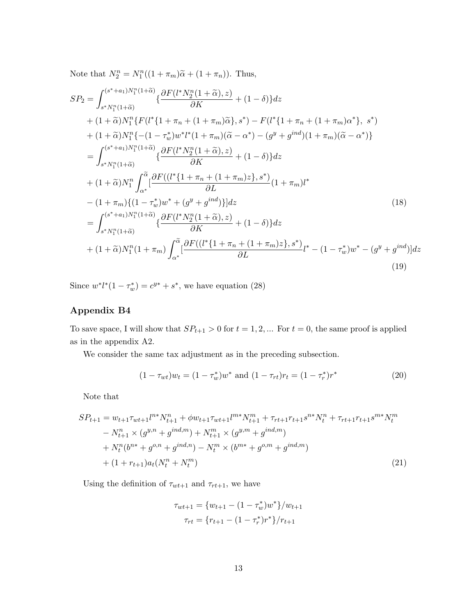Note that  $N_2^n = N_1^n((1 + \pi_m)\tilde{\alpha} + (1 + \pi_n))$ . Thus,

$$
SP_{2} = \int_{s^{*}N_{1}^{n}(1+\tilde{\alpha})}^{(s^{*}+a_{1})N_{1}^{n}(1+\tilde{\alpha})} \{\frac{\partial F(l^{*}N_{2}^{n}(1+\tilde{\alpha}),z)}{\partial K} + (1-\delta)\}dz
$$
  
+  $(1+\tilde{\alpha})N_{1}^{n}\{F(l^{*}\{1+\pi_{n}+(1+\pi_{m})\tilde{\alpha}\},s^{*}) - F(l^{*}\{1+\pi_{n}+(1+\pi_{m})\alpha^{*}\},s^{*})$   
+  $(1+\tilde{\alpha})N_{1}^{n}\{-(1-\tau_{w}^{*})w^{*}l^{*}(1+\pi_{m})(\tilde{\alpha}-\alpha^{*}) - (g^{y}+g^{ind})(1+\pi_{m})(\tilde{\alpha}-\alpha^{*})\}$   
=  $\int_{s^{*}N_{1}^{n}(1+\tilde{\alpha})}^{(s^{*}+a_{1})N_{1}^{n}(1+\tilde{\alpha})} \{\frac{\partial F(l^{*}N_{2}^{n}(1+\tilde{\alpha}),z)}{\partial K} + (1-\delta)\}dz$   
+  $(1+\tilde{\alpha})N_{1}^{n}\int_{\alpha^{*}}^{\tilde{\alpha}} \frac{\partial F((l^{*}\{1+\pi_{n}+(1+\pi_{m})z\},s^{*})}{\partial L}(1+\pi_{m})l^{*}$   
-  $(1+\pi_{m})\{(1-\tau_{w}^{*})w^{*} + (g^{y}+g^{ind})\}]dz$   
=  $\int_{s^{*}N_{1}^{n}(1+\tilde{\alpha})}^{(s^{*}+a_{1})N_{1}^{n}(1+\tilde{\alpha})} \{\frac{\partial F(l^{*}N_{2}^{n}(1+\tilde{\alpha}),z)}{\partial K} + (1-\delta)\}dz$   
+  $(1+\tilde{\alpha})N_{1}^{n}(1+\pi_{m})\int_{\alpha^{*}}^{\tilde{\alpha}} \frac{\partial F((l^{*}\{1+\pi_{n}+(1+\pi_{m})z\},s^{*})}{\partial L}l^{*} - (1-\tau_{w}^{*})w^{*} - (g^{y}+g^{ind})]dz$   
(19)

Since  $w^*l^*(1 - \tau_w^*) = c^{y*} + s^*$ , we have equation (28)

## Appendix B4

To save space, I will show that  $SP_{t+1} > 0$  for  $t = 1, 2, ...$  For  $t = 0$ , the same proof is applied as in the appendix A2.

We consider the same tax adjustment as in the preceding subsection.

$$
(1 - \tau_{wt})w_t = (1 - \tau_w^*)w^* \text{ and } (1 - \tau_{rt})r_t = (1 - \tau_r^*)r^* \tag{20}
$$

Note that

$$
SP_{t+1} = w_{t+1} \tau_{wt+1} l^{n*} N_{t+1}^n + \phi w_{t+1} \tau_{wt+1} l^{m*} N_{t+1}^m + \tau_{rt+1} r_{t+1} s^{n*} N_t^n + \tau_{rt+1} r_{t+1} s^{m*} N_t^m
$$
  
\n
$$
- N_{t+1}^n \times (g^{y,n} + g^{ind,m}) + N_{t+1}^m \times (g^{y,m} + g^{ind,m})
$$
  
\n
$$
+ N_t^n (b^{n*} + g^{o,n} + g^{ind,n}) - N_t^m \times (b^{m*} + g^{o,m} + g^{ind,m})
$$
  
\n
$$
+ (1 + r_{t+1}) a_t (N_t^n + N_t^m)
$$
\n(21)

Using the definition of  $\tau_{wt+1}$  and  $\tau_{rt+1}$ , we have

$$
\tau_{wt+1} = \{w_{t+1} - (1 - \tau_w^*)w^*\}/w_{t+1}
$$

$$
\tau_{rt} = \{\tau_{t+1} - (1 - \tau_r^*)r^*\}/r_{t+1}
$$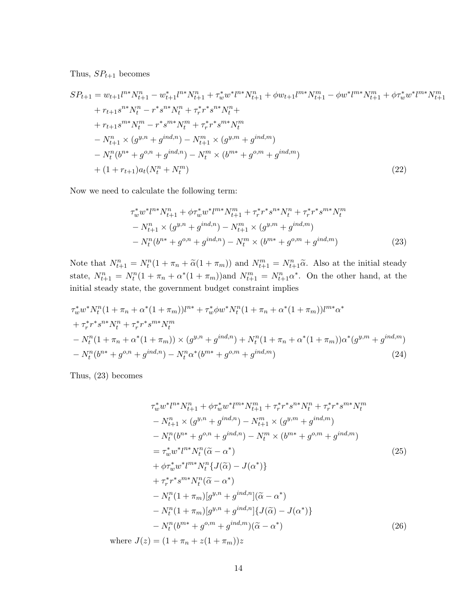Thus,  $SP_{t+1}$  becomes

$$
SP_{t+1} = w_{t+1}l^{n*}N_{t+1}^n - w_{t+1}^*l^{n*}N_{t+1}^n + \tau_w^*w^*l^{n*}N_{t+1}^n + \phi w_{t+1}l^{m*}N_{t+1}^m - \phi w^*l^{m*}N_{t+1}^m + \phi \tau_w^*w^*l^{m*}N_{t+1}^m
$$
  
+  $r_{t+1}s^{n*}N_t^n - r^*s^{n*}N_t^n + \tau_r^*r^*s^{n*}N_t^n +$   
+  $r_{t+1}s^{m*}N_t^m - r^*s^{m*}N_t^m + \tau_r^*r^*s^{m*}N_t^m$   
-  $N_{t+1}^n \times (g^{y,n} + g^{ind,n}) - N_{t+1}^m \times (g^{y,m} + g^{ind,m})$   
-  $N_t^n(b^{n*} + g^{o,n} + g^{ind,n}) - N_t^m \times (b^{m*} + g^{o,m} + g^{ind,m})$   
+  $(1 + r_{t+1})a_t(N_t^n + N_t^m)$  (22)

Now we need to calculate the following term:

$$
\tau_w^* w^* l^{n*} N_{t+1}^n + \phi \tau_w^* w^* l^{m*} N_{t+1}^m + \tau_r^* r^* s^{n*} N_t^n + \tau_r^* r^* s^{m*} N_t^m
$$
  
\n
$$
- N_{t+1}^n \times (g^{y,n} + g^{ind,n}) - N_{t+1}^m \times (g^{y,m} + g^{ind,m})
$$
  
\n
$$
- N_t^n (b^{n*} + g^{o,n} + g^{ind,n}) - N_t^m \times (b^{m*} + g^{o,m} + g^{ind,m})
$$
\n(23)

Note that  $N_{t+1}^n = N_t^n (1 + \pi_n + \tilde{\alpha}(1 + \pi_m))$  and  $N_{t+1}^m = N_{t+1}^n \tilde{\alpha}$ . Also at the initial steady state,  $N_{t+1}^n = N_t^n(1 + \pi_n + \alpha^*(1 + \pi_m))$ and  $N_{t+1}^m = N_{t+1}^n \alpha^*$ . On the other hand, at the initial steady state, the government budget constraint implies

$$
\tau_w^* w^* N_t^n (1 + \pi_n + \alpha^* (1 + \pi_m)) l^{n*} + \tau_w^* \phi w^* N_t^n (1 + \pi_n + \alpha^* (1 + \pi_m)) l^{m*} \alpha^*
$$
  
+ 
$$
\tau_r^* r^* s^{n*} N_t^n + \tau_r^* r^* s^{m*} N_t^m
$$
  
- 
$$
N_t^n (1 + \pi_n + \alpha^* (1 + \pi_m)) \times (g^{y,n} + g^{ind,n}) + N_t^n (1 + \pi_n + \alpha^* (1 + \pi_m)) \alpha^* (g^{y,m} + g^{ind,m})
$$
  
- 
$$
N_t^n (b^{n*} + g^{o,n} + g^{ind,n}) - N_t^n \alpha^* (b^{m*} + g^{o,m} + g^{ind,m})
$$
 (24)

Thus, (23) becomes

$$
\tau_w^* w^* l^{n*} N_{t+1}^n + \phi \tau_w^* w^* l^{m*} N_{t+1}^m + \tau_r^* r^* s^{n*} N_t^n + \tau_r^* r^* s^{m*} N_t^m
$$
  
\n
$$
- N_{t+1}^n \times (g^{y,n} + g^{ind,n}) - N_{t+1}^m \times (g^{y,m} + g^{ind,m})
$$
  
\n
$$
- N_t^n (b^{n*} + g^{o,n} + g^{ind,n}) - N_t^m \times (b^{m*} + g^{o,m} + g^{ind,m})
$$
  
\n
$$
= \tau_w^* w^* l^{n*} N_t^n (\tilde{\alpha} - \alpha^*)
$$
  
\n
$$
+ \phi \tau_w^* w^* l^{m*} N_t^n \{ J(\tilde{\alpha}) - J(\alpha^*) \}
$$
  
\n
$$
+ \tau_r^* r^* s^{m*} N_t^n (\tilde{\alpha} - \alpha^*)
$$
  
\n
$$
- N_t^n (1 + \pi_m) [g^{y,n} + g^{ind,n}] {\{\tilde{\alpha}} - \alpha^* \}
$$
  
\n
$$
- N_t^n (1 + \pi_m) [g^{y,n} + g^{ind,n}] {\{ J(\tilde{\alpha}) - J(\alpha^*) \}}
$$
  
\n
$$
- N_t^n (b^{m*} + g^{o,m} + g^{ind,m}) (\tilde{\alpha} - \alpha^*)
$$
\n(26)

where  $J(z) = (1 + \pi_n + z(1 + \pi_m))z$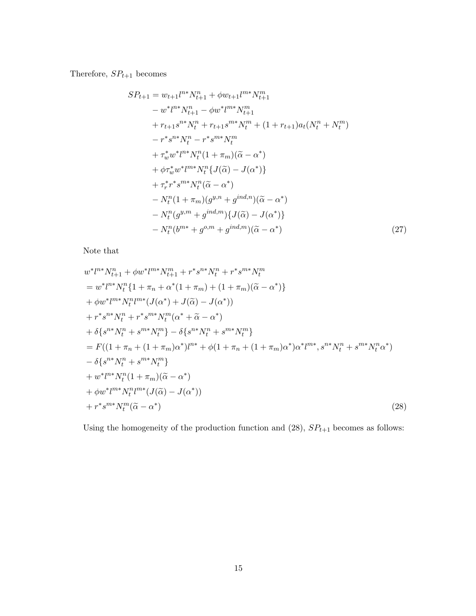Therefore,  $SP_{t+1}$  becomes

$$
SP_{t+1} = w_{t+1}l^{n*}N_{t+1}^{n} + \phi w_{t+1}l^{m*}N_{t+1}^{m}
$$
  
\t
$$
- w^{*}l^{n*}N_{t+1}^{n} - \phi w^{*}l^{m*}N_{t+1}^{m}
$$
  
\t
$$
+ r_{t+1}s^{n*}N_{t}^{n} + r_{t+1}s^{m*}N_{t}^{m} + (1 + r_{t+1})a_{t}(N_{t}^{n} + N_{t}^{m})
$$
  
\t
$$
- r^{*}s^{n*}N_{t}^{n} - r^{*}s^{m*}N_{t}^{m}
$$
  
\t
$$
+ \tau_{w}^{*}w^{*}l^{n*}N_{t}^{n}(1 + \pi_{m})(\tilde{\alpha} - \alpha^{*})
$$
  
\t
$$
+ \phi\tau_{w}^{*}w^{*}l^{m*}N_{t}^{n}\{J(\tilde{\alpha}) - J(\alpha^{*})\}
$$
  
\t
$$
+ \tau_{r}^{*}r^{*}s^{m*}N_{t}^{n}(\tilde{\alpha} - \alpha^{*})
$$
  
\t
$$
- N_{t}^{n}(1 + \pi_{m})(g^{y,n} + g^{ind,n})(\tilde{\alpha} - \alpha^{*})
$$
  
\t
$$
- N_{t}^{n}(g^{y,m} + g^{ind,m})\{J(\tilde{\alpha}) - J(\alpha^{*})\}
$$
  
\t
$$
- N_{t}^{n}(b^{m*} + g^{o,m} + g^{ind,m})(\tilde{\alpha} - \alpha^{*})
$$
  
\t(27)

Note that

$$
w^* l^{n*} N_{t+1}^n + \phi w^* l^{m*} N_{t+1}^m + r^* s^{n*} N_t^n + r^* s^{m*} N_t^m
$$
  
\n
$$
= w^* l^{n*} N_t^n \{1 + \pi_n + \alpha^* (1 + \pi_m) + (1 + \pi_m)(\tilde{\alpha} - \alpha^*)\}
$$
  
\n
$$
+ \phi w^* l^{m*} N_t^n l^{m*} (J(\alpha^*) + J(\tilde{\alpha}) - J(\alpha^*))
$$
  
\n
$$
+ r^* s^{n*} N_t^n + r^* s^{m*} N_t^m (\alpha^* + \tilde{\alpha} - \alpha^*)
$$
  
\n
$$
+ \delta \{s^{n*} N_t^n + s^{m*} N_t^m\} - \delta \{s^{n*} N_t^n + s^{m*} N_t^m\}
$$
  
\n
$$
= F((1 + \pi_n + (1 + \pi_m) \alpha^*) l^{n*} + \phi (1 + \pi_n + (1 + \pi_m) \alpha^*) \alpha^* l^{m*}, s^{n*} N_t^n + s^{m*} N_t^n \alpha^*)
$$
  
\n
$$
- \delta \{s^{n*} N_t^n + s^{m*} N_t^m\}
$$
  
\n
$$
+ w^* l^{n*} N_t^n (1 + \pi_m) (\tilde{\alpha} - \alpha^*)
$$
  
\n
$$
+ \phi w^* l^{m*} N_t^n l^{m*} (J(\tilde{\alpha}) - J(\alpha^*))
$$
  
\n
$$
+ r^* s^{m*} N_t^m (\tilde{\alpha} - \alpha^*)
$$
\n(28)

Using the homogeneity of the production function and (28),  $SP_{t+1}$  becomes as follows: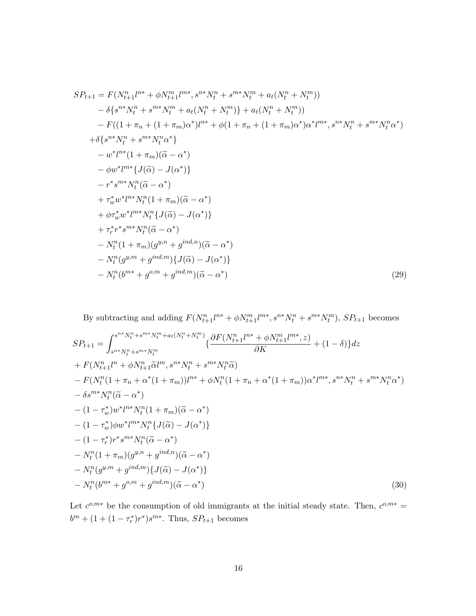$$
SP_{t+1} = F(N_{t+1}^{n}l^{n*} + \phi N_{t+1}^{m}l^{m*}, s^{n*}N_{t}^{n} + s^{m*}N_{t}^{m} + a_{t}(N_{t}^{n} + N_{t}^{m}))
$$
  
\n
$$
- \delta \{s^{n*}N_{t}^{n} + s^{m*}N_{t}^{m} + a_{t}(N_{t}^{n} + N_{t}^{m})\} + a_{t}(N_{t}^{n} + N_{t}^{m}))
$$
  
\n
$$
- F((1 + \pi_{n} + (1 + \pi_{m})\alpha^{*})l^{n*} + \phi(1 + \pi_{n} + (1 + \pi_{m})\alpha^{*})\alpha^{*}l^{m*}, s^{n*}N_{t}^{n} + s^{m*}N_{t}^{n}\alpha^{*})
$$
  
\n
$$
+ \delta \{s^{n*}N_{t}^{n} + s^{m*}N_{t}^{n}\alpha^{*}\}
$$
  
\n
$$
- \psi^{*}l^{n*}(1 + \pi_{m})(\tilde{\alpha} - \alpha^{*})
$$
  
\n
$$
- \phi w^{*}l^{m*}\{J(\tilde{\alpha}) - J(\alpha^{*})\}
$$
  
\n
$$
- r^{*}s^{m*}N_{t}^{n}(\tilde{\alpha} - \alpha^{*})
$$
  
\n
$$
+ \tau_{w}^{*}w^{*}l^{m*}N_{t}^{n}\{J(\tilde{\alpha}) - J(\alpha^{*})\}
$$
  
\n
$$
+ \tau_{r}^{*}r^{*}s^{m*}N_{t}^{n}\{\tilde{\alpha} - \alpha^{*}\}
$$
  
\n
$$
- N_{t}^{n}(1 + \pi_{m})(g^{y,n} + g^{ind,n})(\tilde{\alpha} - \alpha^{*})
$$
  
\n
$$
- N_{t}^{n}(g^{y,m} + g^{ind,m})\{J(\tilde{\alpha}) - J(\alpha^{*})\}
$$
  
\n
$$
- N_{t}^{n}(b^{m*} + g^{o,m} + g^{ind,m})(\tilde{\alpha} - \alpha^{*})
$$
  
\n(29)

By subtracting and adding  $F(N_{t+1}^n l^{n*} + \phi N_{t+1}^m l^{m*}, s^{n*} N_t^n + s^{m*} N_t^m)$ ,  $SP_{t+1}$  becomes

$$
SP_{t+1} = \int_{s^{n*}N_t^n + s^{m*}N_t^m + a_t(N_t^n + N_t^m)}^{s^{n*} + a_t(N_t^n + N_t^m)} \left\{ \frac{\partial F(N_{t+1}^n l^{n*} + \phi N_{t+1}^m l^{m*}, z)}{\partial K} + (1 - \delta) \right\} dz + F(N_{t+1}^n l^n + \phi N_{t+1}^n \tilde{\alpha}l^m, s^{n*} N_t^n + s^{m*} N_t^n \tilde{\alpha}) - F(N_t^n (1 + \pi_n + \alpha^*(1 + \pi_m))l^{n*} + \phi N_t^n (1 + \pi_n + \alpha^*(1 + \pi_m))\alpha^* l^{m*}, s^{n*} N_t^n + s^{m*} N_t^n \alpha^*) - \delta s^{m*} N_t^n (\tilde{\alpha} - \alpha^*) - (1 - \tau_w^*) w^* l^{n*} N_t^n (1 + \pi_m) (\tilde{\alpha} - \alpha^*) - (1 - \tau_w^*) \phi w^* l^{m*} N_t^n \{ J(\tilde{\alpha}) - J(\alpha^*) \} - (1 - \tau_r^*) r^* s^{m*} N_t^n (\tilde{\alpha} - \alpha^*) - N_t^n (1 + \pi_m) (g^{y,n} + g^{ind,n}) (\tilde{\alpha} - \alpha^*) - N_t^n (g^{y,m} + g^{ind,m}) \{ J(\tilde{\alpha}) - J(\alpha^*) \} - N_t^n (b^{m*} + g^{o,m} + g^{ind,m}) (\tilde{\alpha} - \alpha^*)
$$
\n(30)

Let  $c^{o,m*}$  be the consumption of old immigrants at the initial steady state. Then,  $c^{o,m*} =$  $b^m + (1 + (1 - \tau_r^*)r^*)s^{m*}$ . Thus,  $SP_{t+1}$  becomes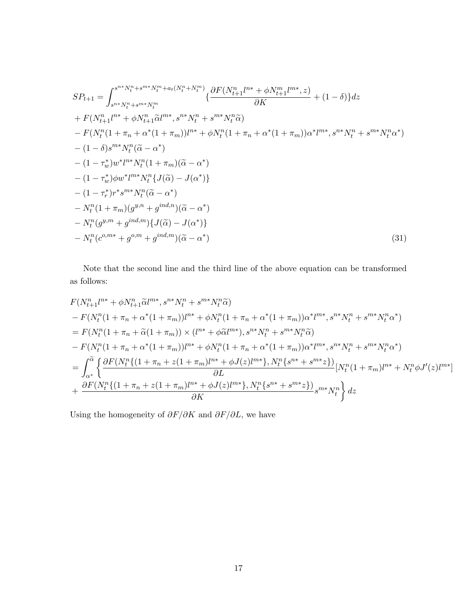$$
SP_{t+1} = \int_{s^{n*}N_t^n + s^{m*}N_t^m + a_t(N_t^n + N_t^m)}^{s^{n*}N_t^n + a_t(N_t^n + N_t^m)} \left\{ \frac{\partial F(N_{t+1}^n l^{n*} + \phi N_{t+1}^m l^{m*}, z)}{\partial K} + (1 - \delta) \right\} dz + F(N_{t+1}^n l^{n*} + \phi N_{t+1}^n \tilde{\alpha}l^{m*}, s^{n*} N_t^n + s^{m*} N_t^n \tilde{\alpha}) - F(N_t^n (1 + \pi_n + \alpha^*(1 + \pi_m))l^{n*} + \phi N_t^n (1 + \pi_n + \alpha^*(1 + \pi_m))\alpha^* l^{m*}, s^{n*} N_t^n + s^{m*} N_t^n \alpha^*) - (1 - \delta) s^{m*} N_t^n (\tilde{\alpha} - \alpha^*) - (1 - \tau_w^*) w^* l^{m*} N_t^n (1 + \pi_m) (\tilde{\alpha} - \alpha^*) - (1 - \tau_w^*) \phi w^* l^{m*} N_t^n \{ J(\tilde{\alpha}) - J(\alpha^*) \} - (1 - \tau_r^*) r^* s^{m*} N_t^n (\tilde{\alpha} - \alpha^*) - N_t^n (1 + \pi_m) (g^{y,n} + g^{ind,n}) (\tilde{\alpha} - \alpha^*) - N_t^n (g^{y,m} + g^{ind,m}) \{ J(\tilde{\alpha}) - J(\alpha^*) \} - N_t^n (e^{o,m*} + g^{o,m} + g^{ind,m}) (\tilde{\alpha} - \alpha^*)
$$
(31)

Note that the second line and the third line of the above equation can be transformed as follows:

$$
F(N_{t+1}^{n}l^{n*} + \phi N_{t+1}^{n}\tilde{\alpha}l^{m*}, s^{n*}N_{t}^{n} + s^{m*}N_{t}^{n}\tilde{\alpha})
$$
  
\n
$$
- F(N_{t}^{n}(1 + \pi_{n} + \alpha^{*}(1 + \pi_{m}))l^{n*} + \phi N_{t}^{n}(1 + \pi_{n} + \alpha^{*}(1 + \pi_{m}))\alpha^{*}l^{m*}, s^{n*}N_{t}^{n} + s^{m*}N_{t}^{n}\alpha^{*})
$$
  
\n
$$
= F(N_{t}^{n}(1 + \pi_{n} + \tilde{\alpha}(1 + \pi_{m})) \times (l^{n*} + \phi\tilde{\alpha}l^{m*}), s^{n*}N_{t}^{n} + s^{m*}N_{t}^{n}\tilde{\alpha})
$$
  
\n
$$
- F(N_{t}^{n}(1 + \pi_{n} + \alpha^{*}(1 + \pi_{m}))l^{n*} + \phi N_{t}^{n}(1 + \pi_{n} + \alpha^{*}(1 + \pi_{m}))\alpha^{*}l^{m*}, s^{n*}N_{t}^{n} + s^{m*}N_{t}^{n}\alpha^{*})
$$
  
\n
$$
= \int_{\alpha^{*}}^{\tilde{\alpha}} \left\{ \frac{\partial F(N_{t}^{n}\{(1 + \pi_{n} + z(1 + \pi_{m})l^{n*} + \phi J(z)l^{m*}), N_{t}^{n}\{s^{n*} + s^{m*}z\}}{\partial L}[N_{t}^{n}(1 + \pi_{m})l^{n*} + N_{t}^{n}\phi J'(z)l^{m*}] + \frac{\partial F(N_{t}^{n}\{(1 + \pi_{n} + z(1 + \pi_{m})l^{n*} + \phi J(z)l^{m*}), N_{t}^{n}\{s^{n*} + s^{m*}z\}}{\partial K} \right\} ds
$$

Using the homogeneity of  $\partial F/\partial K$  and  $\partial F/\partial L$ , we have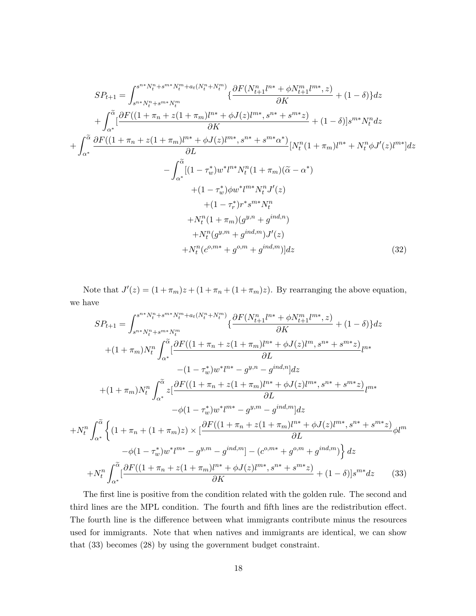$$
SP_{t+1} = \int_{s^{n*}N_t^{n+1}}^{s^{n*}N_t^{n+1}} N_t^{m+1} N_t^{m+1} \left\{ \frac{\partial F(N_{t+1}^{n} l^{n*} + \phi N_{t+1}^{m} l^{m*}, z)}{\partial K} + (1 - \delta) \right\} dz
$$
  
+ 
$$
\int_{\alpha^*}^{\tilde{\alpha}} \frac{\partial F((1 + \pi_n + z(1 + \pi_m) l^{n*} + \phi J(z) l^{m*}, s^{n*} + s^{m*} z)}{\partial K} + (1 - \delta) \left| s^{m*} N_t^{n} dz \right.
$$
  
+ 
$$
\int_{\alpha^*}^{\tilde{\alpha}} \frac{\partial F((1 + \pi_n + z(1 + \pi_m) l^{n*} + \phi J(z) l^{m*}, s^{n*} + s^{m*} \alpha^*)}{\partial L} [N_t^n (1 + \pi_m) l^{n*} + N_t^n \phi J'(z) l^{m*}] dz
$$
  
- 
$$
\int_{\alpha^*}^{\tilde{\alpha}} [(1 - \tau_w^*) w^* l^{n*} N_t^n (1 + \pi_m) (\tilde{\alpha} - \alpha^*) + (1 - \tau_w^*) \phi w^* l^{m*} N_t^n J'(z) + (1 - \tau_v^*) r^* s^{m*} N_t^n + N_t^n (1 + \pi_m) (g^{y,n} + g^{ind,n}) + N_t^n (g^{y,m} + g^{ind,m}) J'(z)
$$
  
+ 
$$
N_t^n (g^{y,m} + g^{ind,m}) J'(z)
$$
  
+ 
$$
N_t^n (e^{o,m*} + g^{o,m} + g^{ind,m})] dz
$$
 (32)

Note that  $J'(z) = (1 + \pi_m)z + (1 + \pi_n + (1 + \pi_m)z)$ . By rearranging the above equation, we have

$$
SP_{t+1} = \int_{s^{n*}N_t^{n+}s^{m*}N_t^{m} + a_t(N_t^{n}+N_t^{m})}^{s+} \left\{ \frac{\partial F(N_{t+1}^{n}l^{n*} + \phi N_{t+1}^{m}l^{m*}, z)}{\partial K} + (1 - \delta) \right\} dz
$$
  
+ 
$$
(1 + \pi_m)N_t^{n} \int_{\alpha^*}^{\widetilde{\alpha}} \left[ \frac{\partial F((1 + \pi_n + z(1 + \pi_m)l^{n*} + \phi J(z)l^{m}, s^{n*} + s^{m*}z)}{\partial L} l^{n*} \right] dz - (1 - \tau_w^*)w^*l^{n*} - g^{yn} - g^{ind,n} \right] dz
$$
  
+ 
$$
(1 + \pi_m)N_t^{n} \int_{\alpha^*}^{\widetilde{\alpha}} z \left[ \frac{\partial F((1 + \pi_n + z(1 + \pi_m)l^{n*} + \phi J(z)l^{m*}, s^{n*} + s^{m*}z)}{\partial L} l^{m*} \right] dz - \phi (1 - \tau_w^*)w^*l^{m*} - g^{y,m} - g^{ind,m} \right] dz
$$
  
+ 
$$
N_t^{n} \int_{\alpha^*}^{\widetilde{\alpha}} \left\{ (1 + \pi_n + (1 + \pi_m)z) \times \left[ \frac{\partial F((1 + \pi_n + z(1 + \pi_m)l^{n*} + \phi J(z)l^{m*}, s^{n*} + s^{m*}z)}{\partial L} \phi l^{m*} \right] - (\sigma_{\alpha}l^{m*} + g^{0,m} + g^{ind,m}) \right\} dz
$$
  
+ 
$$
N_t^{n} \int_{\alpha^*}^{\widetilde{\alpha}} \left[ \frac{\partial F((1 + \pi_n + z(1 + \pi_m)l^{n*} + \phi J(z)l^{m*}, s^{n*} + s^{m*}z)}{\partial K} + (1 - \delta) \right] s^{m*} dz \qquad (33)
$$

The first line is positive from the condition related with the golden rule. The second and third lines are the MPL condition. The fourth and fifth lines are the redistribution effect. The fourth line is the difference between what immigrants contribute minus the resources used for immigrants. Note that when natives and immigrants are identical, we can show that (33) becomes (28) by using the government budget constraint.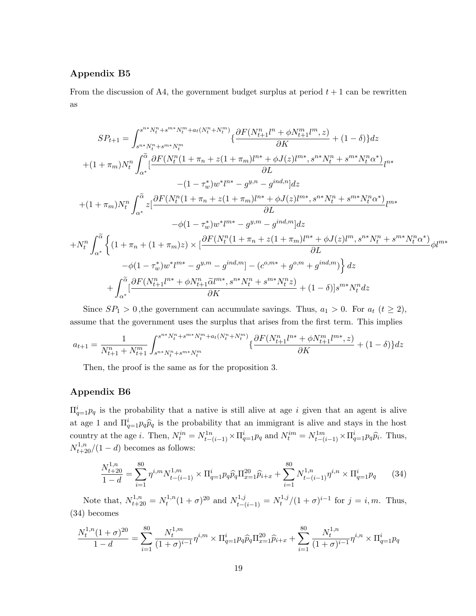#### Appendix B5

From the discussion of A4, the government budget surplus at period  $t + 1$  can be rewritten as

$$
SP_{t+1} = \int_{s^{n*}N_t^n + s^{m*}N_t^m + a_t(N_t^n + N_t^m)}^{s^{n*}N_t^n + a_t(N_t^n + N_t^m)} \left\{ \frac{\partial F(N_{t+1}^n l^n + \phi N_{t+1}^m l^m, z)}{\partial K} + (1 - \delta) \right\} dz
$$
  
+ 
$$
(1 + \pi_m)N_t^n \int_{\alpha^*}^{\tilde{\alpha}} \frac{\partial F(N_t^n (1 + \pi_n + z(1 + \pi_m)l^{n*} + \phi J(z)l^{m*}, s^{n*}N_t^n + s^{m*}N_t^n \alpha^*)}{\partial L} l^{n*}
$$
  
- 
$$
(1 - \tau_w^*) w^* l^{n*} - g^{y,n} - g^{ind,n} \Big] dz
$$
  
+ 
$$
(1 + \pi_m)N_t^n \int_{\alpha^*}^{\tilde{\alpha}} z \left[ \frac{\partial F(N_t^n (1 + \pi_n + z(1 + \pi_m)l^{n*} + \phi J(z)l^{m*}, s^{n*}N_t^n + s^{m*}N_t^n \alpha^*)}{\partial L} l^{m*} \right] dV
$$
  
- 
$$
\phi (1 - \tau_w^*) w^* l^{m*} - g^{y,m} - g^{ind,m} \Big] dz
$$
  
+ 
$$
N_t^n \int_{\alpha^*}^{\tilde{\alpha}} \left\{ (1 + \pi_n + (1 + \pi_m)z) \times [\frac{\partial F(N_t^n (1 + \pi_n + z(1 + \pi_m)l^{n*} + \phi J(z)l^m, s^{n*}N_t^n + s^{m*}N_t^n \alpha^*)}{\partial L} \phi l^{m*} \right\} dV
$$
  
+ 
$$
\int_{\alpha^*}^{\tilde{\alpha}} [\frac{\partial F(N_{t+1}^n l^{n*} + \phi N_{t+1}^n \tilde{\alpha} l^{m*}, s^{n*}N_t^n + s^{m*}N_t^n z)}{\partial K} + (1 - \delta)] s^{m*} N_t^n dz
$$

Since  $SP_1 > 0$ , the government can accumulate savings. Thus,  $a_1 > 0$ . For  $a_t$   $(t \geq 2)$ , assume that the government uses the surplus that arises from the first term. This implies

$$
a_{t+1} = \frac{1}{N_{t+1}^n + N_{t+1}^m} \int_{s^{n*} N_t^n + s^{m*} N_t^m}^{s^{n*} N_t^m + a_t (N_t^n + N_t^m)} \left\{ \frac{\partial F(N_{t+1}^n l^{n*} + \phi N_{t+1}^m l^{m*}, z)}{\partial K} + (1 - \delta) \right\} dz
$$

Then, the proof is the same as for the proposition 3.

#### Appendix B6

 $\Pi_{q=1}^{i}$  probability that a native is still alive at age i given that an agent is alive at age 1 and  $\Pi_{q=1}^i p_q \hat{p}_q$  is the probability that an immigrant is alive and stays in the host country at the age i. Then,  $N_t^{in} = N_{t-(i-1)}^{1n} \times \Pi_{q=1}^i p_q$  and  $N_t^{im} = N_{t-(i-1)}^{1m} \times \Pi_{q=1}^i p_q \widehat{p}_i$ . Thus,  $N_{t+20}^{1,n}/(1-d)$  becomes as follows:

$$
\frac{N_{t+20}^{1,n}}{1-d} = \sum_{i=1}^{80} \eta^{i,m} N_{t-(i-1)}^{1,m} \times \Pi_{q=1}^{i} p_q \widehat{p}_q \Pi_{x=1}^{20} \widehat{p}_{i+x} + \sum_{i=1}^{80} N_{t-(i-1)}^{1,n} \eta^{i,n} \times \Pi_{q=1}^{i} p_q \qquad (34)
$$

Note that,  $N_{t+20}^{1,n} = N_t^{1,n}$  $t^{1,n}(1+\sigma)^{20}$  and  $N^{1,j}_{t-(i-1)} = N^{1,j}_{t}$  $t^{1,j} / (1 + \sigma)^{i-1}$  for  $j = i, m$ . Thus, (34) becomes

$$
\frac{N_t^{1,n}(1+\sigma)^{20}}{1-d}=\sum_{i=1}^{80}\frac{N_t^{1,m}}{(1+\sigma)^{i-1}}\eta^{i,m}\times \Pi_{q=1}^ip_q\widehat{p}_q\Pi_{x=1}^{20}\widehat{p}_{i+x}+\sum_{i=1}^{80}\frac{N_t^{1,n}}{(1+\sigma)^{i-1}}\eta^{i,n}\times \Pi_{q=1}^ip_q
$$